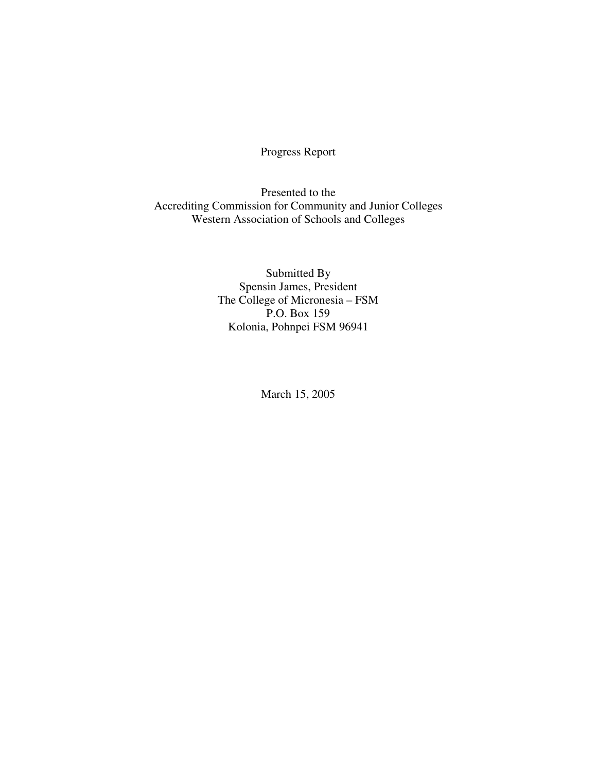Progress Report

Presented to the Accrediting Commission for Community and Junior Colleges Western Association of Schools and Colleges

> Submitted By Spensin James, President The College of Micronesia – FSM P.O. Box 159 Kolonia, Pohnpei FSM 96941

> > March 15, 2005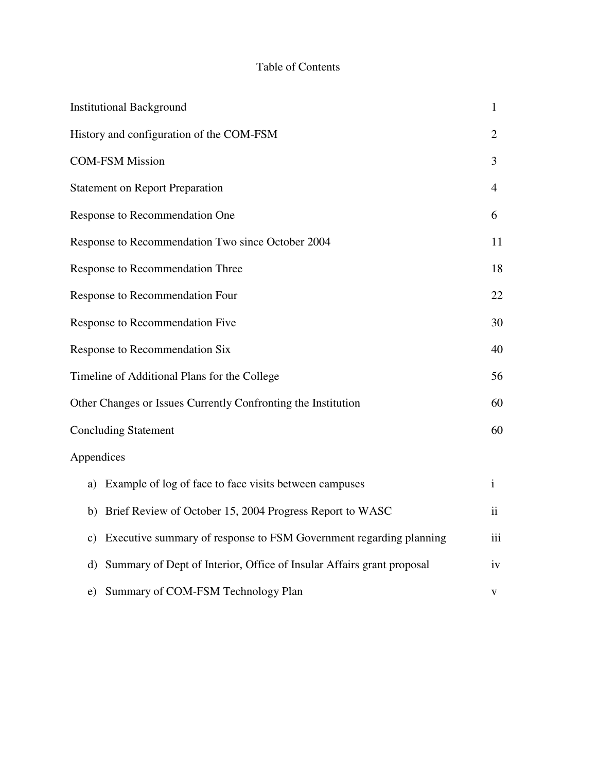# Table of Contents

| <b>Institutional Background</b>                                             | 1              |
|-----------------------------------------------------------------------------|----------------|
| History and configuration of the COM-FSM                                    | $\overline{2}$ |
| <b>COM-FSM Mission</b>                                                      | 3              |
| <b>Statement on Report Preparation</b>                                      | 4              |
| Response to Recommendation One                                              | 6              |
| Response to Recommendation Two since October 2004                           | 11             |
| Response to Recommendation Three                                            | 18             |
| Response to Recommendation Four                                             | 22             |
| Response to Recommendation Five                                             | 30             |
| Response to Recommendation Six                                              | 40             |
| Timeline of Additional Plans for the College                                | 56             |
| Other Changes or Issues Currently Confronting the Institution               | 60             |
| <b>Concluding Statement</b>                                                 | 60             |
| Appendices                                                                  |                |
| a) Example of log of face to face visits between campuses                   | $\mathbf{i}$   |
| b) Brief Review of October 15, 2004 Progress Report to WASC                 | $\mathbf{ii}$  |
| c) Executive summary of response to FSM Government regarding planning       | iii            |
| Summary of Dept of Interior, Office of Insular Affairs grant proposal<br>d) | iv             |
| e) Summary of COM-FSM Technology Plan                                       | V              |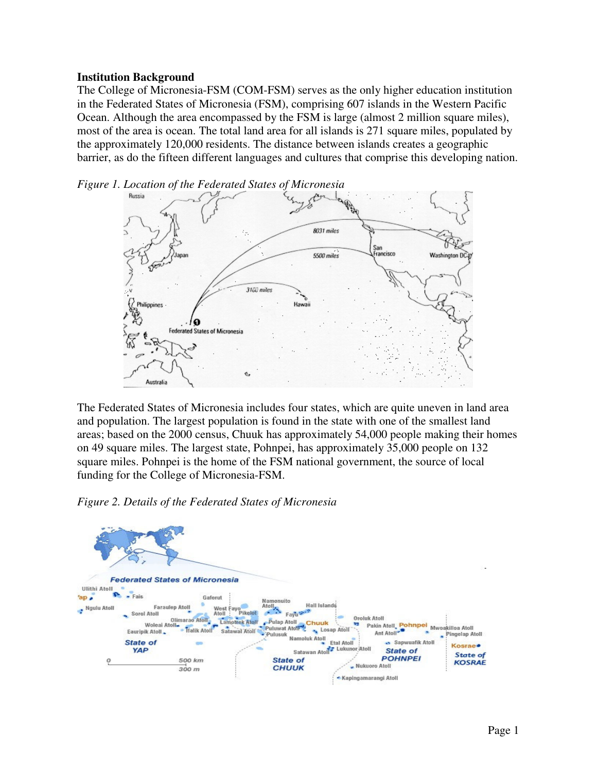#### **Institution Background**

The College of Micronesia-FSM (COM-FSM) serves as the only higher education institution in the Federated States of Micronesia (FSM), comprising 607 islands in the Western Pacific Ocean. Although the area encompassed by the FSM is large (almost 2 million square miles), most of the area is ocean. The total land area for all islands is 271 square miles, populated by the approximately 120,000 residents. The distance between islands creates a geographic barrier, as do the fifteen different languages and cultures that comprise this developing nation.





The Federated States of Micronesia includes four states, which are quite uneven in land area and population. The largest population is found in the state with one of the smallest land areas; based on the 2000 census, Chuuk has approximately 54,000 people making their homes on 49 square miles. The largest state, Pohnpei, has approximately 35,000 people on 132 square miles. Pohnpei is the home of the FSM national government, the source of local funding for the College of Micronesia-FSM.



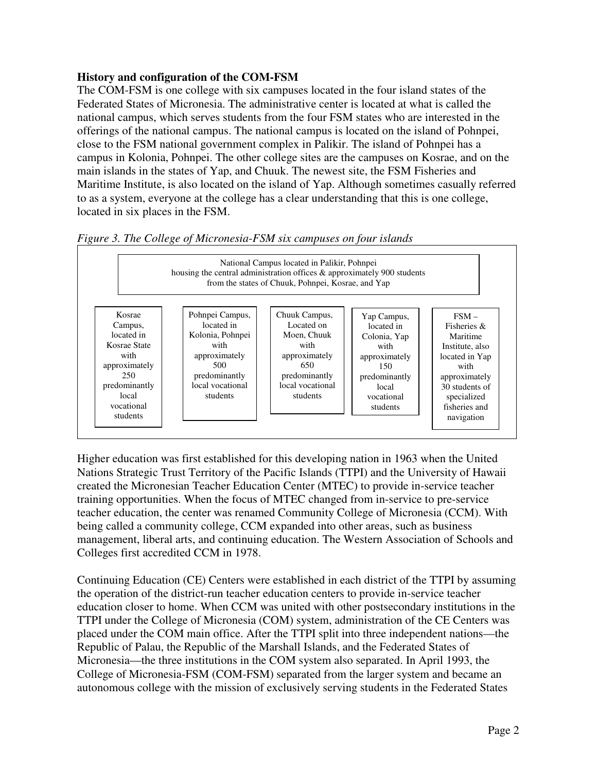### **History and configuration of the COM-FSM**

The COM-FSM is one college with six campuses located in the four island states of the Federated States of Micronesia. The administrative center is located at what is called the national campus, which serves students from the four FSM states who are interested in the offerings of the national campus. The national campus is located on the island of Pohnpei, close to the FSM national government complex in Palikir. The island of Pohnpei has a campus in Kolonia, Pohnpei. The other college sites are the campuses on Kosrae, and on the main islands in the states of Yap, and Chuuk. The newest site, the FSM Fisheries and Maritime Institute, is also located on the island of Yap. Although sometimes casually referred to as a system, everyone at the college has a clear understanding that this is one college, located in six places in the FSM.



*Figure 3. The College of Micronesia-FSM six campuses on four islands* 

Higher education was first established for this developing nation in 1963 when the United Nations Strategic Trust Territory of the Pacific Islands (TTPI) and the University of Hawaii created the Micronesian Teacher Education Center (MTEC) to provide in-service teacher training opportunities. When the focus of MTEC changed from in-service to pre-service teacher education, the center was renamed Community College of Micronesia (CCM). With being called a community college, CCM expanded into other areas, such as business management, liberal arts, and continuing education. The Western Association of Schools and Colleges first accredited CCM in 1978.

Continuing Education (CE) Centers were established in each district of the TTPI by assuming the operation of the district-run teacher education centers to provide in-service teacher education closer to home. When CCM was united with other postsecondary institutions in the TTPI under the College of Micronesia (COM) system, administration of the CE Centers was placed under the COM main office. After the TTPI split into three independent nations—the Republic of Palau, the Republic of the Marshall Islands, and the Federated States of Micronesia—the three institutions in the COM system also separated. In April 1993, the College of Micronesia-FSM (COM-FSM) separated from the larger system and became an autonomous college with the mission of exclusively serving students in the Federated States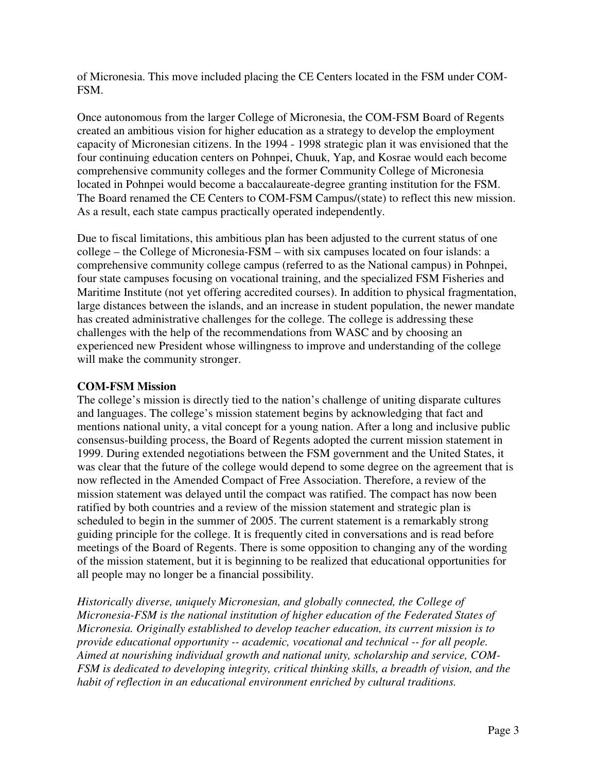of Micronesia. This move included placing the CE Centers located in the FSM under COM-FSM.

Once autonomous from the larger College of Micronesia, the COM-FSM Board of Regents created an ambitious vision for higher education as a strategy to develop the employment capacity of Micronesian citizens. In the 1994 - 1998 strategic plan it was envisioned that the four continuing education centers on Pohnpei, Chuuk, Yap, and Kosrae would each become comprehensive community colleges and the former Community College of Micronesia located in Pohnpei would become a baccalaureate-degree granting institution for the FSM. The Board renamed the CE Centers to COM-FSM Campus/(state) to reflect this new mission. As a result, each state campus practically operated independently.

Due to fiscal limitations, this ambitious plan has been adjusted to the current status of one college – the College of Micronesia-FSM – with six campuses located on four islands: a comprehensive community college campus (referred to as the National campus) in Pohnpei, four state campuses focusing on vocational training, and the specialized FSM Fisheries and Maritime Institute (not yet offering accredited courses). In addition to physical fragmentation, large distances between the islands, and an increase in student population, the newer mandate has created administrative challenges for the college. The college is addressing these challenges with the help of the recommendations from WASC and by choosing an experienced new President whose willingness to improve and understanding of the college will make the community stronger.

## **COM-FSM Mission**

The college's mission is directly tied to the nation's challenge of uniting disparate cultures and languages. The college's mission statement begins by acknowledging that fact and mentions national unity, a vital concept for a young nation. After a long and inclusive public consensus-building process, the Board of Regents adopted the current mission statement in 1999. During extended negotiations between the FSM government and the United States, it was clear that the future of the college would depend to some degree on the agreement that is now reflected in the Amended Compact of Free Association. Therefore, a review of the mission statement was delayed until the compact was ratified. The compact has now been ratified by both countries and a review of the mission statement and strategic plan is scheduled to begin in the summer of 2005. The current statement is a remarkably strong guiding principle for the college. It is frequently cited in conversations and is read before meetings of the Board of Regents. There is some opposition to changing any of the wording of the mission statement, but it is beginning to be realized that educational opportunities for all people may no longer be a financial possibility.

*Historically diverse, uniquely Micronesian, and globally connected, the College of Micronesia-FSM is the national institution of higher education of the Federated States of Micronesia. Originally established to develop teacher education, its current mission is to provide educational opportunity -- academic, vocational and technical -- for all people. Aimed at nourishing individual growth and national unity, scholarship and service, COM-FSM is dedicated to developing integrity, critical thinking skills, a breadth of vision, and the habit of reflection in an educational environment enriched by cultural traditions.*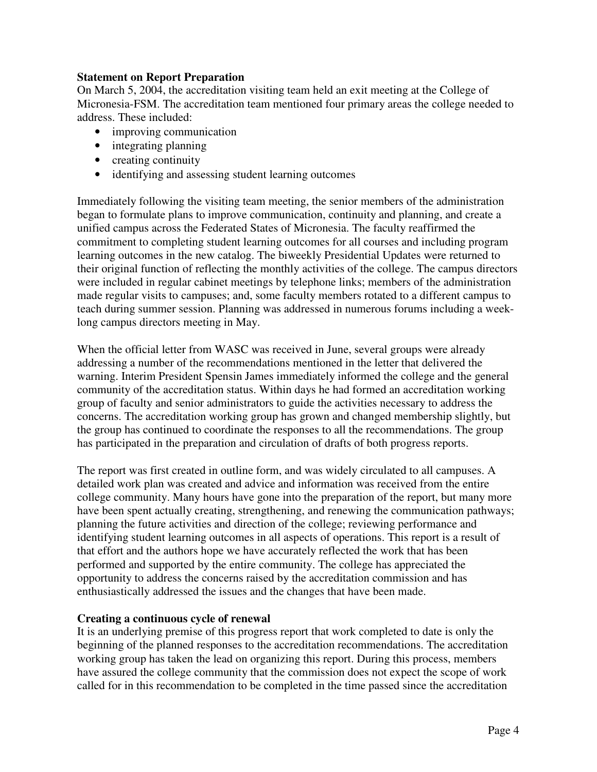### **Statement on Report Preparation**

On March 5, 2004, the accreditation visiting team held an exit meeting at the College of Micronesia-FSM. The accreditation team mentioned four primary areas the college needed to address. These included:

- improving communication
- integrating planning
- creating continuity
- identifying and assessing student learning outcomes

Immediately following the visiting team meeting, the senior members of the administration began to formulate plans to improve communication, continuity and planning, and create a unified campus across the Federated States of Micronesia. The faculty reaffirmed the commitment to completing student learning outcomes for all courses and including program learning outcomes in the new catalog. The biweekly Presidential Updates were returned to their original function of reflecting the monthly activities of the college. The campus directors were included in regular cabinet meetings by telephone links; members of the administration made regular visits to campuses; and, some faculty members rotated to a different campus to teach during summer session. Planning was addressed in numerous forums including a weeklong campus directors meeting in May.

When the official letter from WASC was received in June, several groups were already addressing a number of the recommendations mentioned in the letter that delivered the warning. Interim President Spensin James immediately informed the college and the general community of the accreditation status. Within days he had formed an accreditation working group of faculty and senior administrators to guide the activities necessary to address the concerns. The accreditation working group has grown and changed membership slightly, but the group has continued to coordinate the responses to all the recommendations. The group has participated in the preparation and circulation of drafts of both progress reports.

The report was first created in outline form, and was widely circulated to all campuses. A detailed work plan was created and advice and information was received from the entire college community. Many hours have gone into the preparation of the report, but many more have been spent actually creating, strengthening, and renewing the communication pathways; planning the future activities and direction of the college; reviewing performance and identifying student learning outcomes in all aspects of operations. This report is a result of that effort and the authors hope we have accurately reflected the work that has been performed and supported by the entire community. The college has appreciated the opportunity to address the concerns raised by the accreditation commission and has enthusiastically addressed the issues and the changes that have been made.

### **Creating a continuous cycle of renewal**

It is an underlying premise of this progress report that work completed to date is only the beginning of the planned responses to the accreditation recommendations. The accreditation working group has taken the lead on organizing this report. During this process, members have assured the college community that the commission does not expect the scope of work called for in this recommendation to be completed in the time passed since the accreditation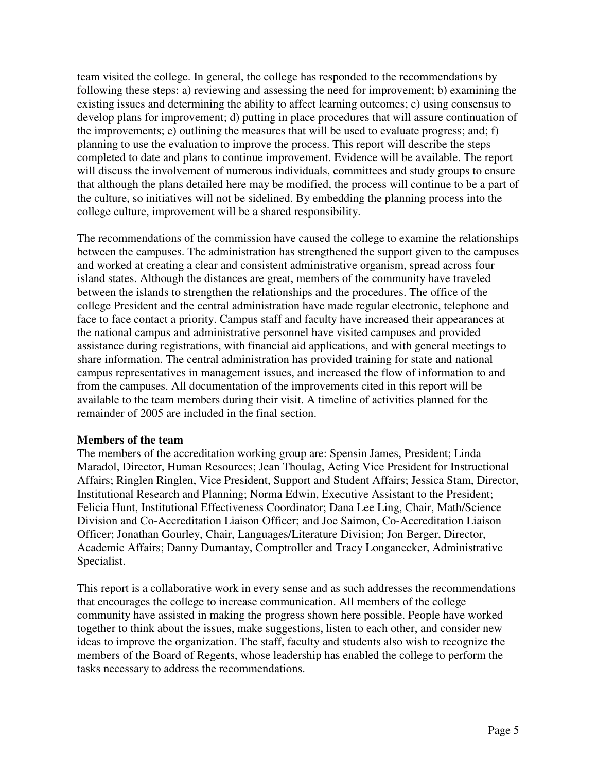team visited the college. In general, the college has responded to the recommendations by following these steps: a) reviewing and assessing the need for improvement; b) examining the existing issues and determining the ability to affect learning outcomes; c) using consensus to develop plans for improvement; d) putting in place procedures that will assure continuation of the improvements; e) outlining the measures that will be used to evaluate progress; and; f) planning to use the evaluation to improve the process. This report will describe the steps completed to date and plans to continue improvement. Evidence will be available. The report will discuss the involvement of numerous individuals, committees and study groups to ensure that although the plans detailed here may be modified, the process will continue to be a part of the culture, so initiatives will not be sidelined. By embedding the planning process into the college culture, improvement will be a shared responsibility.

The recommendations of the commission have caused the college to examine the relationships between the campuses. The administration has strengthened the support given to the campuses and worked at creating a clear and consistent administrative organism, spread across four island states. Although the distances are great, members of the community have traveled between the islands to strengthen the relationships and the procedures. The office of the college President and the central administration have made regular electronic, telephone and face to face contact a priority. Campus staff and faculty have increased their appearances at the national campus and administrative personnel have visited campuses and provided assistance during registrations, with financial aid applications, and with general meetings to share information. The central administration has provided training for state and national campus representatives in management issues, and increased the flow of information to and from the campuses. All documentation of the improvements cited in this report will be available to the team members during their visit. A timeline of activities planned for the remainder of 2005 are included in the final section.

### **Members of the team**

The members of the accreditation working group are: Spensin James, President; Linda Maradol, Director, Human Resources; Jean Thoulag, Acting Vice President for Instructional Affairs; Ringlen Ringlen, Vice President, Support and Student Affairs; Jessica Stam, Director, Institutional Research and Planning; Norma Edwin, Executive Assistant to the President; Felicia Hunt, Institutional Effectiveness Coordinator; Dana Lee Ling, Chair, Math/Science Division and Co-Accreditation Liaison Officer; and Joe Saimon, Co-Accreditation Liaison Officer; Jonathan Gourley, Chair, Languages/Literature Division; Jon Berger, Director, Academic Affairs; Danny Dumantay, Comptroller and Tracy Longanecker, Administrative Specialist.

This report is a collaborative work in every sense and as such addresses the recommendations that encourages the college to increase communication. All members of the college community have assisted in making the progress shown here possible. People have worked together to think about the issues, make suggestions, listen to each other, and consider new ideas to improve the organization. The staff, faculty and students also wish to recognize the members of the Board of Regents, whose leadership has enabled the college to perform the tasks necessary to address the recommendations.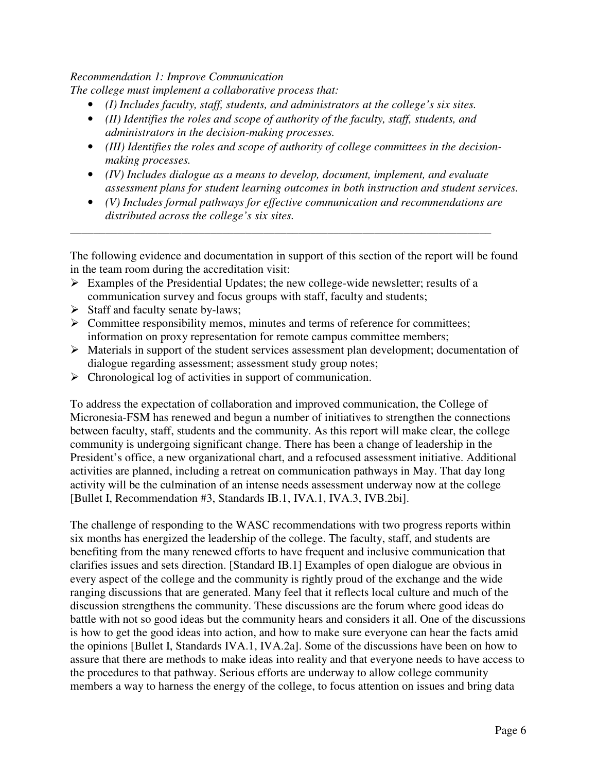### *Recommendation 1: Improve Communication*

*The college must implement a collaborative process that:* 

- *(I) Includes faculty, staff, students, and administrators at the college's six sites.*
- *(II) Identifies the roles and scope of authority of the faculty, staff, students, and administrators in the decision-making processes.*
- *(III) Identifies the roles and scope of authority of college committees in the decisionmaking processes.*
- *(IV) Includes dialogue as a means to develop, document, implement, and evaluate assessment plans for student learning outcomes in both instruction and student services.*
- *(V) Includes formal pathways for effective communication and recommendations are distributed across the college's six sites.*

\_\_\_\_\_\_\_\_\_\_\_\_\_\_\_\_\_\_\_\_\_\_\_\_\_\_\_\_\_\_\_\_\_\_\_\_\_\_\_\_\_\_\_\_\_\_\_\_\_\_\_\_\_\_\_\_\_\_\_\_\_\_\_\_\_\_\_\_\_\_\_\_

The following evidence and documentation in support of this section of the report will be found in the team room during the accreditation visit:

- $\triangleright$  Examples of the Presidential Updates; the new college-wide newsletter; results of a communication survey and focus groups with staff, faculty and students;
- $\triangleright$  Staff and faculty senate by-laws;
- $\triangleright$  Committee responsibility memos, minutes and terms of reference for committees; information on proxy representation for remote campus committee members;
- Materials in support of the student services assessment plan development; documentation of dialogue regarding assessment; assessment study group notes;
- $\triangleright$  Chronological log of activities in support of communication.

To address the expectation of collaboration and improved communication, the College of Micronesia-FSM has renewed and begun a number of initiatives to strengthen the connections between faculty, staff, students and the community. As this report will make clear, the college community is undergoing significant change. There has been a change of leadership in the President's office, a new organizational chart, and a refocused assessment initiative. Additional activities are planned, including a retreat on communication pathways in May. That day long activity will be the culmination of an intense needs assessment underway now at the college [Bullet I, Recommendation #3, Standards IB.1, IVA.1, IVA.3, IVB.2bi].

The challenge of responding to the WASC recommendations with two progress reports within six months has energized the leadership of the college. The faculty, staff, and students are benefiting from the many renewed efforts to have frequent and inclusive communication that clarifies issues and sets direction. [Standard IB.1] Examples of open dialogue are obvious in every aspect of the college and the community is rightly proud of the exchange and the wide ranging discussions that are generated. Many feel that it reflects local culture and much of the discussion strengthens the community. These discussions are the forum where good ideas do battle with not so good ideas but the community hears and considers it all. One of the discussions is how to get the good ideas into action, and how to make sure everyone can hear the facts amid the opinions [Bullet I, Standards IVA.1, IVA.2a]. Some of the discussions have been on how to assure that there are methods to make ideas into reality and that everyone needs to have access to the procedures to that pathway. Serious efforts are underway to allow college community members a way to harness the energy of the college, to focus attention on issues and bring data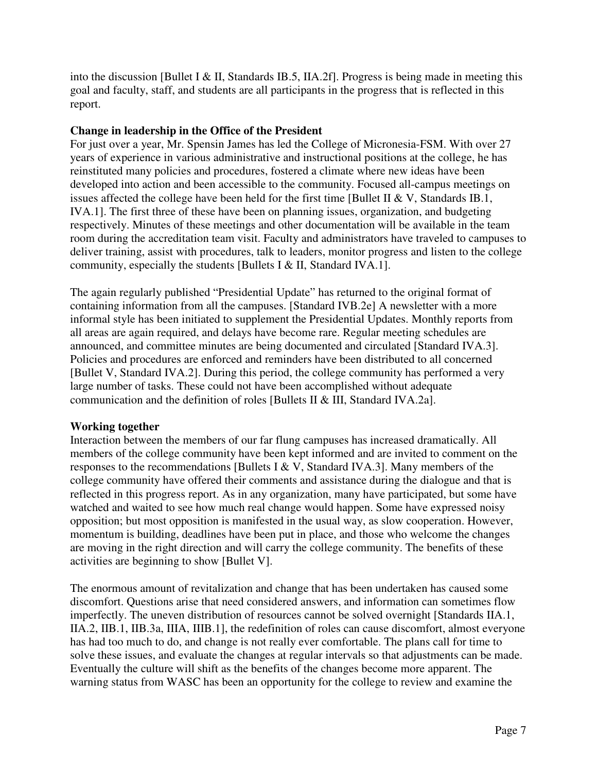into the discussion [Bullet I & II, Standards IB.5, IIA.2f]. Progress is being made in meeting this goal and faculty, staff, and students are all participants in the progress that is reflected in this report.

### **Change in leadership in the Office of the President**

For just over a year, Mr. Spensin James has led the College of Micronesia-FSM. With over 27 years of experience in various administrative and instructional positions at the college, he has reinstituted many policies and procedures, fostered a climate where new ideas have been developed into action and been accessible to the community. Focused all-campus meetings on issues affected the college have been held for the first time [Bullet II & V, Standards IB.1, IVA.1]. The first three of these have been on planning issues, organization, and budgeting respectively. Minutes of these meetings and other documentation will be available in the team room during the accreditation team visit. Faculty and administrators have traveled to campuses to deliver training, assist with procedures, talk to leaders, monitor progress and listen to the college community, especially the students [Bullets I & II, Standard IVA.1].

The again regularly published "Presidential Update" has returned to the original format of containing information from all the campuses. [Standard IVB.2e] A newsletter with a more informal style has been initiated to supplement the Presidential Updates. Monthly reports from all areas are again required, and delays have become rare. Regular meeting schedules are announced, and committee minutes are being documented and circulated [Standard IVA.3]. Policies and procedures are enforced and reminders have been distributed to all concerned [Bullet V, Standard IVA.2]. During this period, the college community has performed a very large number of tasks. These could not have been accomplished without adequate communication and the definition of roles [Bullets II & III, Standard IVA.2a].

## **Working together**

Interaction between the members of our far flung campuses has increased dramatically. All members of the college community have been kept informed and are invited to comment on the responses to the recommendations [Bullets I & V, Standard IVA.3]. Many members of the college community have offered their comments and assistance during the dialogue and that is reflected in this progress report. As in any organization, many have participated, but some have watched and waited to see how much real change would happen. Some have expressed noisy opposition; but most opposition is manifested in the usual way, as slow cooperation. However, momentum is building, deadlines have been put in place, and those who welcome the changes are moving in the right direction and will carry the college community. The benefits of these activities are beginning to show [Bullet V].

The enormous amount of revitalization and change that has been undertaken has caused some discomfort. Questions arise that need considered answers, and information can sometimes flow imperfectly. The uneven distribution of resources cannot be solved overnight [Standards IIA.1, IIA.2, IIB.1, IIB.3a, IIIA, IIIB.1], the redefinition of roles can cause discomfort, almost everyone has had too much to do, and change is not really ever comfortable. The plans call for time to solve these issues, and evaluate the changes at regular intervals so that adjustments can be made. Eventually the culture will shift as the benefits of the changes become more apparent. The warning status from WASC has been an opportunity for the college to review and examine the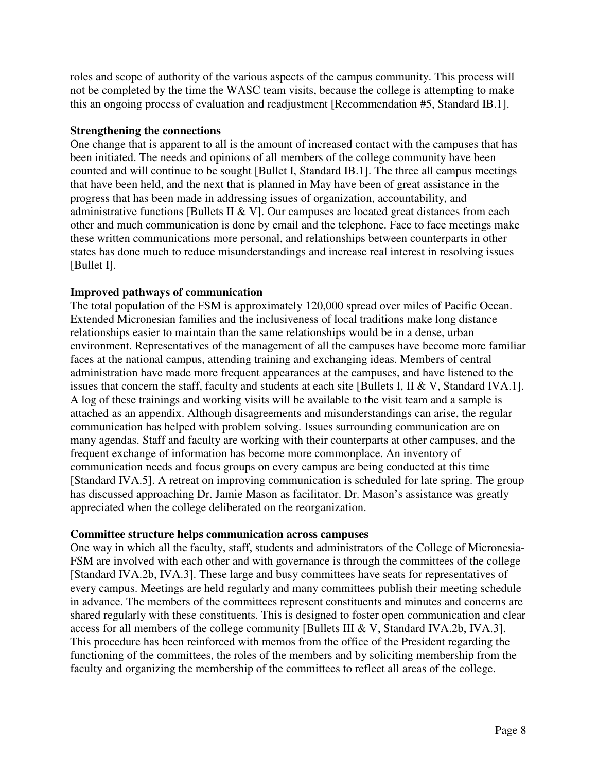roles and scope of authority of the various aspects of the campus community. This process will not be completed by the time the WASC team visits, because the college is attempting to make this an ongoing process of evaluation and readjustment [Recommendation #5, Standard IB.1].

### **Strengthening the connections**

One change that is apparent to all is the amount of increased contact with the campuses that has been initiated. The needs and opinions of all members of the college community have been counted and will continue to be sought [Bullet I, Standard IB.1]. The three all campus meetings that have been held, and the next that is planned in May have been of great assistance in the progress that has been made in addressing issues of organization, accountability, and administrative functions [Bullets II & V]. Our campuses are located great distances from each other and much communication is done by email and the telephone. Face to face meetings make these written communications more personal, and relationships between counterparts in other states has done much to reduce misunderstandings and increase real interest in resolving issues [Bullet I].

### **Improved pathways of communication**

The total population of the FSM is approximately 120,000 spread over miles of Pacific Ocean. Extended Micronesian families and the inclusiveness of local traditions make long distance relationships easier to maintain than the same relationships would be in a dense, urban environment. Representatives of the management of all the campuses have become more familiar faces at the national campus, attending training and exchanging ideas. Members of central administration have made more frequent appearances at the campuses, and have listened to the issues that concern the staff, faculty and students at each site [Bullets I, II & V, Standard IVA.1]. A log of these trainings and working visits will be available to the visit team and a sample is attached as an appendix. Although disagreements and misunderstandings can arise, the regular communication has helped with problem solving. Issues surrounding communication are on many agendas. Staff and faculty are working with their counterparts at other campuses, and the frequent exchange of information has become more commonplace. An inventory of communication needs and focus groups on every campus are being conducted at this time [Standard IVA.5]. A retreat on improving communication is scheduled for late spring. The group has discussed approaching Dr. Jamie Mason as facilitator. Dr. Mason's assistance was greatly appreciated when the college deliberated on the reorganization.

### **Committee structure helps communication across campuses**

One way in which all the faculty, staff, students and administrators of the College of Micronesia-FSM are involved with each other and with governance is through the committees of the college [Standard IVA.2b, IVA.3]. These large and busy committees have seats for representatives of every campus. Meetings are held regularly and many committees publish their meeting schedule in advance. The members of the committees represent constituents and minutes and concerns are shared regularly with these constituents. This is designed to foster open communication and clear access for all members of the college community [Bullets III & V, Standard IVA.2b, IVA.3]. This procedure has been reinforced with memos from the office of the President regarding the functioning of the committees, the roles of the members and by soliciting membership from the faculty and organizing the membership of the committees to reflect all areas of the college.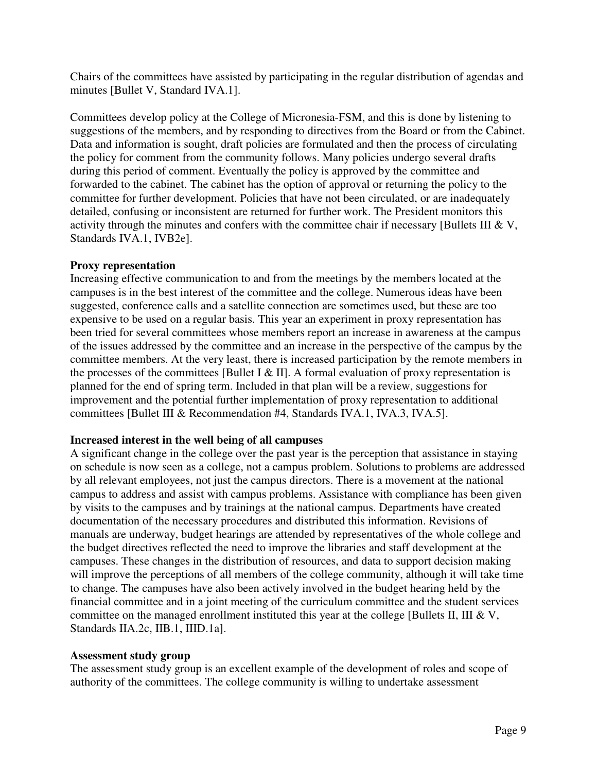Chairs of the committees have assisted by participating in the regular distribution of agendas and minutes [Bullet V, Standard IVA.1].

Committees develop policy at the College of Micronesia-FSM, and this is done by listening to suggestions of the members, and by responding to directives from the Board or from the Cabinet. Data and information is sought, draft policies are formulated and then the process of circulating the policy for comment from the community follows. Many policies undergo several drafts during this period of comment. Eventually the policy is approved by the committee and forwarded to the cabinet. The cabinet has the option of approval or returning the policy to the committee for further development. Policies that have not been circulated, or are inadequately detailed, confusing or inconsistent are returned for further work. The President monitors this activity through the minutes and confers with the committee chair if necessary [Bullets III & V, Standards IVA.1, IVB2e].

### **Proxy representation**

Increasing effective communication to and from the meetings by the members located at the campuses is in the best interest of the committee and the college. Numerous ideas have been suggested, conference calls and a satellite connection are sometimes used, but these are too expensive to be used on a regular basis. This year an experiment in proxy representation has been tried for several committees whose members report an increase in awareness at the campus of the issues addressed by the committee and an increase in the perspective of the campus by the committee members. At the very least, there is increased participation by the remote members in the processes of the committees [Bullet I & II]. A formal evaluation of proxy representation is planned for the end of spring term. Included in that plan will be a review, suggestions for improvement and the potential further implementation of proxy representation to additional committees [Bullet III & Recommendation #4, Standards IVA.1, IVA.3, IVA.5].

### **Increased interest in the well being of all campuses**

A significant change in the college over the past year is the perception that assistance in staying on schedule is now seen as a college, not a campus problem. Solutions to problems are addressed by all relevant employees, not just the campus directors. There is a movement at the national campus to address and assist with campus problems. Assistance with compliance has been given by visits to the campuses and by trainings at the national campus. Departments have created documentation of the necessary procedures and distributed this information. Revisions of manuals are underway, budget hearings are attended by representatives of the whole college and the budget directives reflected the need to improve the libraries and staff development at the campuses. These changes in the distribution of resources, and data to support decision making will improve the perceptions of all members of the college community, although it will take time to change. The campuses have also been actively involved in the budget hearing held by the financial committee and in a joint meeting of the curriculum committee and the student services committee on the managed enrollment instituted this year at the college [Bullets II, III & V, Standards IIA.2c, IIB.1, IIID.1a].

### **Assessment study group**

The assessment study group is an excellent example of the development of roles and scope of authority of the committees. The college community is willing to undertake assessment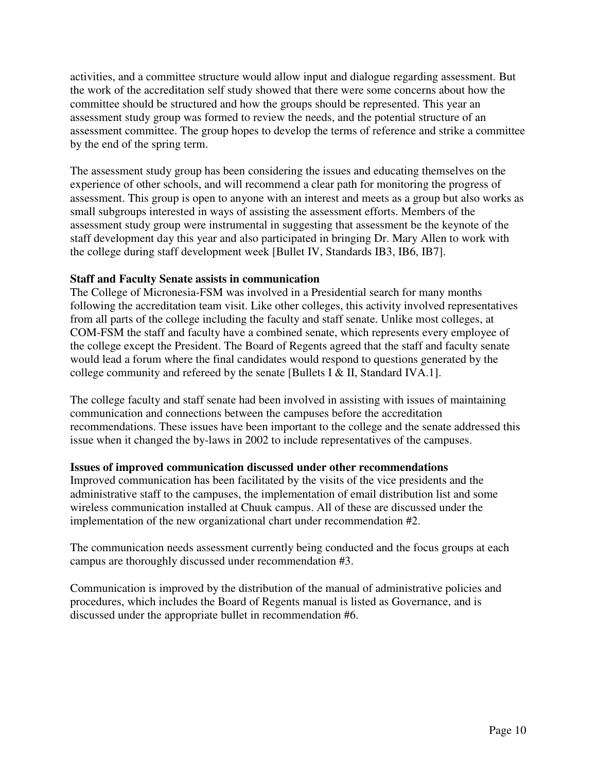activities, and a committee structure would allow input and dialogue regarding assessment. But the work of the accreditation self study showed that there were some concerns about how the committee should be structured and how the groups should be represented. This year an assessment study group was formed to review the needs, and the potential structure of an assessment committee. The group hopes to develop the terms of reference and strike a committee by the end of the spring term.

The assessment study group has been considering the issues and educating themselves on the experience of other schools, and will recommend a clear path for monitoring the progress of assessment. This group is open to anyone with an interest and meets as a group but also works as small subgroups interested in ways of assisting the assessment efforts. Members of the assessment study group were instrumental in suggesting that assessment be the keynote of the staff development day this year and also participated in bringing Dr. Mary Allen to work with the college during staff development week [Bullet IV, Standards IB3, IB6, IB7].

## **Staff and Faculty Senate assists in communication**

The College of Micronesia-FSM was involved in a Presidential search for many months following the accreditation team visit. Like other colleges, this activity involved representatives from all parts of the college including the faculty and staff senate. Unlike most colleges, at COM-FSM the staff and faculty have a combined senate, which represents every employee of the college except the President. The Board of Regents agreed that the staff and faculty senate would lead a forum where the final candidates would respond to questions generated by the college community and refereed by the senate [Bullets I & II, Standard IVA.1].

The college faculty and staff senate had been involved in assisting with issues of maintaining communication and connections between the campuses before the accreditation recommendations. These issues have been important to the college and the senate addressed this issue when it changed the by-laws in 2002 to include representatives of the campuses.

### **Issues of improved communication discussed under other recommendations**

Improved communication has been facilitated by the visits of the vice presidents and the administrative staff to the campuses, the implementation of email distribution list and some wireless communication installed at Chuuk campus. All of these are discussed under the implementation of the new organizational chart under recommendation #2.

The communication needs assessment currently being conducted and the focus groups at each campus are thoroughly discussed under recommendation #3.

Communication is improved by the distribution of the manual of administrative policies and procedures, which includes the Board of Regents manual is listed as Governance, and is discussed under the appropriate bullet in recommendation #6.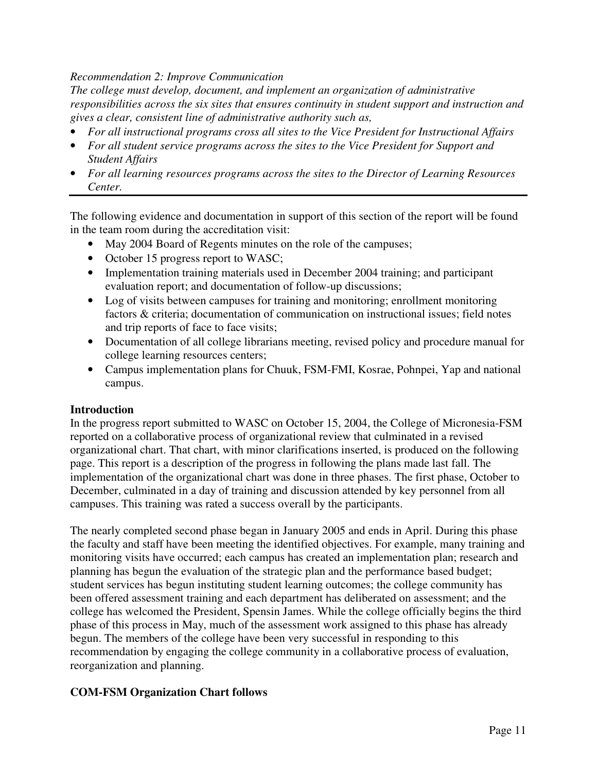### *Recommendation 2: Improve Communication*

*The college must develop, document, and implement an organization of administrative responsibilities across the six sites that ensures continuity in student support and instruction and gives a clear, consistent line of administrative authority such as,* 

- *For all instructional programs cross all sites to the Vice President for Instructional Affairs*
- *For all student service programs across the sites to the Vice President for Support and Student Affairs*
- *For all learning resources programs across the sites to the Director of Learning Resources Center.*

The following evidence and documentation in support of this section of the report will be found in the team room during the accreditation visit:

- May 2004 Board of Regents minutes on the role of the campuses;
- October 15 progress report to WASC;
- Implementation training materials used in December 2004 training; and participant evaluation report; and documentation of follow-up discussions;
- Log of visits between campuses for training and monitoring; enrollment monitoring factors & criteria; documentation of communication on instructional issues; field notes and trip reports of face to face visits;
- Documentation of all college librarians meeting, revised policy and procedure manual for college learning resources centers;
- Campus implementation plans for Chuuk, FSM-FMI, Kosrae, Pohnpei, Yap and national campus.

## **Introduction**

In the progress report submitted to WASC on October 15, 2004, the College of Micronesia-FSM reported on a collaborative process of organizational review that culminated in a revised organizational chart. That chart, with minor clarifications inserted, is produced on the following page. This report is a description of the progress in following the plans made last fall. The implementation of the organizational chart was done in three phases. The first phase, October to December, culminated in a day of training and discussion attended by key personnel from all campuses. This training was rated a success overall by the participants.

The nearly completed second phase began in January 2005 and ends in April. During this phase the faculty and staff have been meeting the identified objectives. For example, many training and monitoring visits have occurred; each campus has created an implementation plan; research and planning has begun the evaluation of the strategic plan and the performance based budget; student services has begun instituting student learning outcomes; the college community has been offered assessment training and each department has deliberated on assessment; and the college has welcomed the President, Spensin James. While the college officially begins the third phase of this process in May, much of the assessment work assigned to this phase has already begun. The members of the college have been very successful in responding to this recommendation by engaging the college community in a collaborative process of evaluation, reorganization and planning.

## **COM-FSM Organization Chart follows**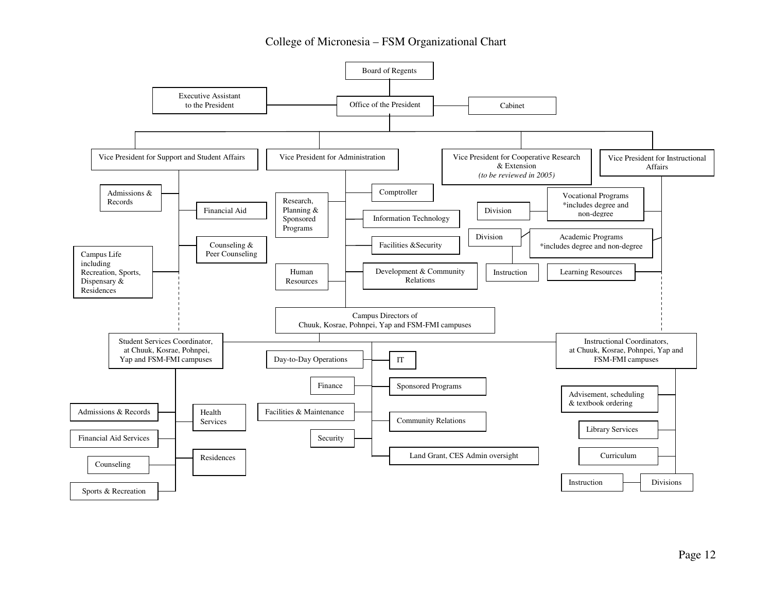### College of Micronesia – FSM Organizational Chart

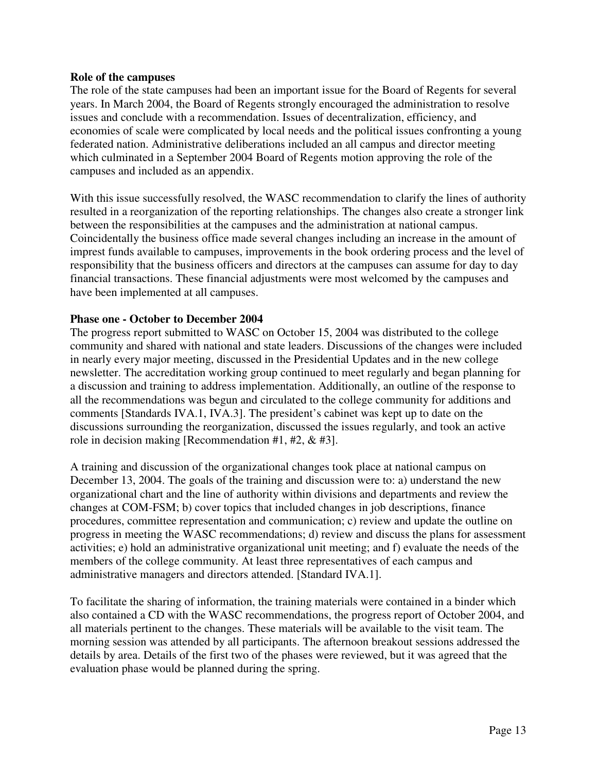#### **Role of the campuses**

The role of the state campuses had been an important issue for the Board of Regents for several years. In March 2004, the Board of Regents strongly encouraged the administration to resolve issues and conclude with a recommendation. Issues of decentralization, efficiency, and economies of scale were complicated by local needs and the political issues confronting a young federated nation. Administrative deliberations included an all campus and director meeting which culminated in a September 2004 Board of Regents motion approving the role of the campuses and included as an appendix.

With this issue successfully resolved, the WASC recommendation to clarify the lines of authority resulted in a reorganization of the reporting relationships. The changes also create a stronger link between the responsibilities at the campuses and the administration at national campus. Coincidentally the business office made several changes including an increase in the amount of imprest funds available to campuses, improvements in the book ordering process and the level of responsibility that the business officers and directors at the campuses can assume for day to day financial transactions. These financial adjustments were most welcomed by the campuses and have been implemented at all campuses.

### **Phase one - October to December 2004**

The progress report submitted to WASC on October 15, 2004 was distributed to the college community and shared with national and state leaders. Discussions of the changes were included in nearly every major meeting, discussed in the Presidential Updates and in the new college newsletter. The accreditation working group continued to meet regularly and began planning for a discussion and training to address implementation. Additionally, an outline of the response to all the recommendations was begun and circulated to the college community for additions and comments [Standards IVA.1, IVA.3]. The president's cabinet was kept up to date on the discussions surrounding the reorganization, discussed the issues regularly, and took an active role in decision making [Recommendation #1, #2, & #3].

A training and discussion of the organizational changes took place at national campus on December 13, 2004. The goals of the training and discussion were to: a) understand the new organizational chart and the line of authority within divisions and departments and review the changes at COM-FSM; b) cover topics that included changes in job descriptions, finance procedures, committee representation and communication; c) review and update the outline on progress in meeting the WASC recommendations; d) review and discuss the plans for assessment activities; e) hold an administrative organizational unit meeting; and f) evaluate the needs of the members of the college community. At least three representatives of each campus and administrative managers and directors attended. [Standard IVA.1].

To facilitate the sharing of information, the training materials were contained in a binder which also contained a CD with the WASC recommendations, the progress report of October 2004, and all materials pertinent to the changes. These materials will be available to the visit team. The morning session was attended by all participants. The afternoon breakout sessions addressed the details by area. Details of the first two of the phases were reviewed, but it was agreed that the evaluation phase would be planned during the spring.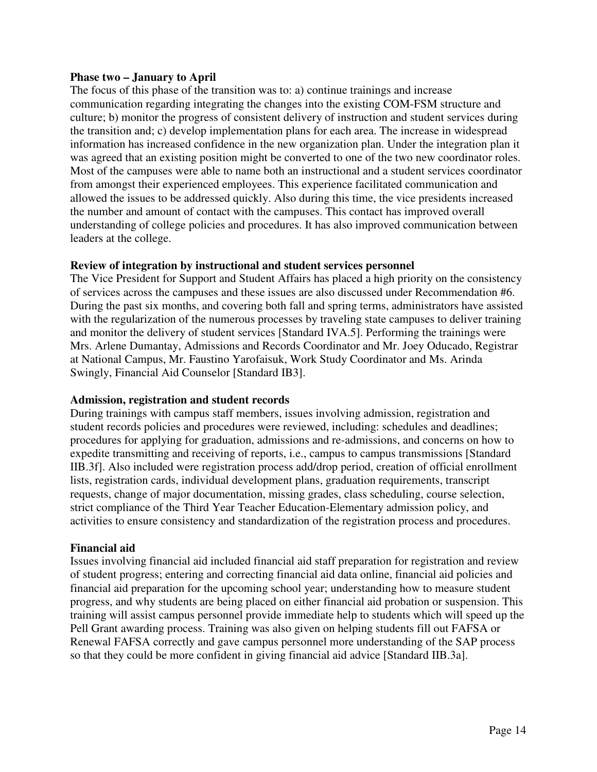#### **Phase two – January to April**

The focus of this phase of the transition was to: a) continue trainings and increase communication regarding integrating the changes into the existing COM-FSM structure and culture; b) monitor the progress of consistent delivery of instruction and student services during the transition and; c) develop implementation plans for each area. The increase in widespread information has increased confidence in the new organization plan. Under the integration plan it was agreed that an existing position might be converted to one of the two new coordinator roles. Most of the campuses were able to name both an instructional and a student services coordinator from amongst their experienced employees. This experience facilitated communication and allowed the issues to be addressed quickly. Also during this time, the vice presidents increased the number and amount of contact with the campuses. This contact has improved overall understanding of college policies and procedures. It has also improved communication between leaders at the college.

### **Review of integration by instructional and student services personnel**

The Vice President for Support and Student Affairs has placed a high priority on the consistency of services across the campuses and these issues are also discussed under Recommendation #6. During the past six months, and covering both fall and spring terms, administrators have assisted with the regularization of the numerous processes by traveling state campuses to deliver training and monitor the delivery of student services [Standard IVA.5]. Performing the trainings were Mrs. Arlene Dumantay, Admissions and Records Coordinator and Mr. Joey Oducado, Registrar at National Campus, Mr. Faustino Yarofaisuk, Work Study Coordinator and Ms. Arinda Swingly, Financial Aid Counselor [Standard IB3].

### **Admission, registration and student records**

During trainings with campus staff members, issues involving admission, registration and student records policies and procedures were reviewed, including: schedules and deadlines; procedures for applying for graduation, admissions and re-admissions, and concerns on how to expedite transmitting and receiving of reports, i.e., campus to campus transmissions [Standard IIB.3f]. Also included were registration process add/drop period, creation of official enrollment lists, registration cards, individual development plans, graduation requirements, transcript requests, change of major documentation, missing grades, class scheduling, course selection, strict compliance of the Third Year Teacher Education-Elementary admission policy, and activities to ensure consistency and standardization of the registration process and procedures.

### **Financial aid**

Issues involving financial aid included financial aid staff preparation for registration and review of student progress; entering and correcting financial aid data online, financial aid policies and financial aid preparation for the upcoming school year; understanding how to measure student progress, and why students are being placed on either financial aid probation or suspension. This training will assist campus personnel provide immediate help to students which will speed up the Pell Grant awarding process. Training was also given on helping students fill out FAFSA or Renewal FAFSA correctly and gave campus personnel more understanding of the SAP process so that they could be more confident in giving financial aid advice [Standard IIB.3a].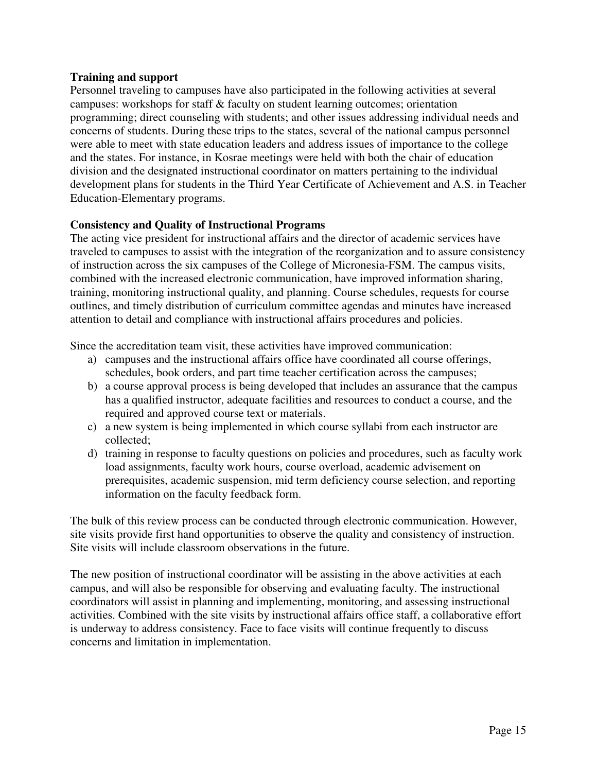### **Training and support**

Personnel traveling to campuses have also participated in the following activities at several campuses: workshops for staff & faculty on student learning outcomes; orientation programming; direct counseling with students; and other issues addressing individual needs and concerns of students. During these trips to the states, several of the national campus personnel were able to meet with state education leaders and address issues of importance to the college and the states. For instance, in Kosrae meetings were held with both the chair of education division and the designated instructional coordinator on matters pertaining to the individual development plans for students in the Third Year Certificate of Achievement and A.S. in Teacher Education-Elementary programs.

### **Consistency and Quality of Instructional Programs**

The acting vice president for instructional affairs and the director of academic services have traveled to campuses to assist with the integration of the reorganization and to assure consistency of instruction across the six campuses of the College of Micronesia-FSM. The campus visits, combined with the increased electronic communication, have improved information sharing, training, monitoring instructional quality, and planning. Course schedules, requests for course outlines, and timely distribution of curriculum committee agendas and minutes have increased attention to detail and compliance with instructional affairs procedures and policies.

Since the accreditation team visit, these activities have improved communication:

- a) campuses and the instructional affairs office have coordinated all course offerings, schedules, book orders, and part time teacher certification across the campuses;
- b) a course approval process is being developed that includes an assurance that the campus has a qualified instructor, adequate facilities and resources to conduct a course, and the required and approved course text or materials.
- c) a new system is being implemented in which course syllabi from each instructor are collected;
- d) training in response to faculty questions on policies and procedures, such as faculty work load assignments, faculty work hours, course overload, academic advisement on prerequisites, academic suspension, mid term deficiency course selection, and reporting information on the faculty feedback form.

The bulk of this review process can be conducted through electronic communication. However, site visits provide first hand opportunities to observe the quality and consistency of instruction. Site visits will include classroom observations in the future.

The new position of instructional coordinator will be assisting in the above activities at each campus, and will also be responsible for observing and evaluating faculty. The instructional coordinators will assist in planning and implementing, monitoring, and assessing instructional activities. Combined with the site visits by instructional affairs office staff, a collaborative effort is underway to address consistency. Face to face visits will continue frequently to discuss concerns and limitation in implementation.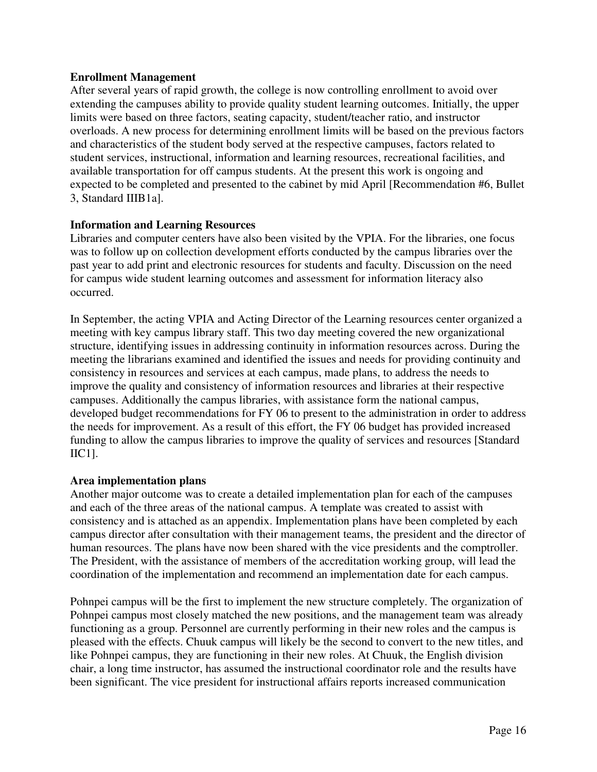### **Enrollment Management**

After several years of rapid growth, the college is now controlling enrollment to avoid over extending the campuses ability to provide quality student learning outcomes. Initially, the upper limits were based on three factors, seating capacity, student/teacher ratio, and instructor overloads. A new process for determining enrollment limits will be based on the previous factors and characteristics of the student body served at the respective campuses, factors related to student services, instructional, information and learning resources, recreational facilities, and available transportation for off campus students. At the present this work is ongoing and expected to be completed and presented to the cabinet by mid April [Recommendation #6, Bullet 3, Standard IIIB1a].

### **Information and Learning Resources**

Libraries and computer centers have also been visited by the VPIA. For the libraries, one focus was to follow up on collection development efforts conducted by the campus libraries over the past year to add print and electronic resources for students and faculty. Discussion on the need for campus wide student learning outcomes and assessment for information literacy also occurred.

In September, the acting VPIA and Acting Director of the Learning resources center organized a meeting with key campus library staff. This two day meeting covered the new organizational structure, identifying issues in addressing continuity in information resources across. During the meeting the librarians examined and identified the issues and needs for providing continuity and consistency in resources and services at each campus, made plans, to address the needs to improve the quality and consistency of information resources and libraries at their respective campuses. Additionally the campus libraries, with assistance form the national campus, developed budget recommendations for FY 06 to present to the administration in order to address the needs for improvement. As a result of this effort, the FY 06 budget has provided increased funding to allow the campus libraries to improve the quality of services and resources [Standard IIC1].

### **Area implementation plans**

Another major outcome was to create a detailed implementation plan for each of the campuses and each of the three areas of the national campus. A template was created to assist with consistency and is attached as an appendix. Implementation plans have been completed by each campus director after consultation with their management teams, the president and the director of human resources. The plans have now been shared with the vice presidents and the comptroller. The President, with the assistance of members of the accreditation working group, will lead the coordination of the implementation and recommend an implementation date for each campus.

Pohnpei campus will be the first to implement the new structure completely. The organization of Pohnpei campus most closely matched the new positions, and the management team was already functioning as a group. Personnel are currently performing in their new roles and the campus is pleased with the effects. Chuuk campus will likely be the second to convert to the new titles, and like Pohnpei campus, they are functioning in their new roles. At Chuuk, the English division chair, a long time instructor, has assumed the instructional coordinator role and the results have been significant. The vice president for instructional affairs reports increased communication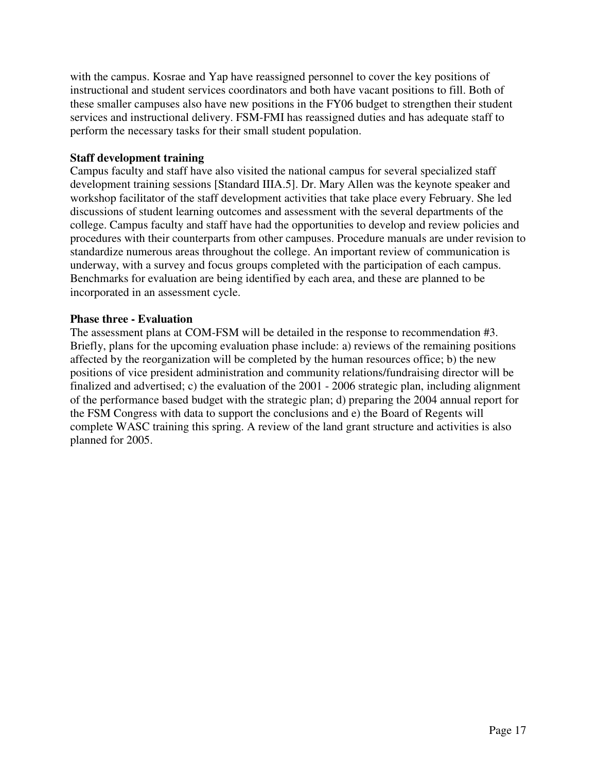with the campus. Kosrae and Yap have reassigned personnel to cover the key positions of instructional and student services coordinators and both have vacant positions to fill. Both of these smaller campuses also have new positions in the FY06 budget to strengthen their student services and instructional delivery. FSM-FMI has reassigned duties and has adequate staff to perform the necessary tasks for their small student population.

## **Staff development training**

Campus faculty and staff have also visited the national campus for several specialized staff development training sessions [Standard IIIA.5]. Dr. Mary Allen was the keynote speaker and workshop facilitator of the staff development activities that take place every February. She led discussions of student learning outcomes and assessment with the several departments of the college. Campus faculty and staff have had the opportunities to develop and review policies and procedures with their counterparts from other campuses. Procedure manuals are under revision to standardize numerous areas throughout the college. An important review of communication is underway, with a survey and focus groups completed with the participation of each campus. Benchmarks for evaluation are being identified by each area, and these are planned to be incorporated in an assessment cycle.

### **Phase three - Evaluation**

The assessment plans at COM-FSM will be detailed in the response to recommendation #3. Briefly, plans for the upcoming evaluation phase include: a) reviews of the remaining positions affected by the reorganization will be completed by the human resources office; b) the new positions of vice president administration and community relations/fundraising director will be finalized and advertised; c) the evaluation of the 2001 - 2006 strategic plan, including alignment of the performance based budget with the strategic plan; d) preparing the 2004 annual report for the FSM Congress with data to support the conclusions and e) the Board of Regents will complete WASC training this spring. A review of the land grant structure and activities is also planned for 2005.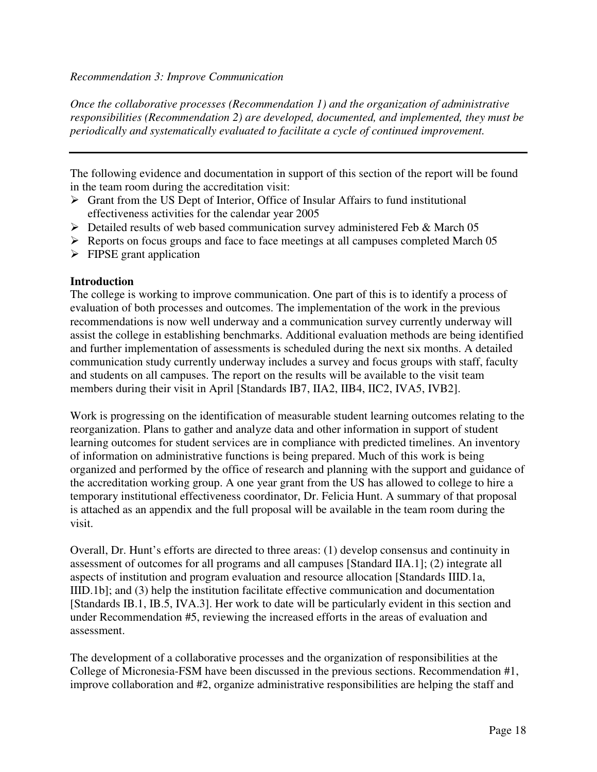#### *Recommendation 3: Improve Communication*

*Once the collaborative processes (Recommendation 1) and the organization of administrative responsibilities (Recommendation 2) are developed, documented, and implemented, they must be periodically and systematically evaluated to facilitate a cycle of continued improvement.* 

The following evidence and documentation in support of this section of the report will be found in the team room during the accreditation visit:

- $\triangleright$  Grant from the US Dept of Interior, Office of Insular Affairs to fund institutional effectiveness activities for the calendar year 2005
- $\triangleright$  Detailed results of web based communication survey administered Feb & March 05
- Reports on focus groups and face to face meetings at all campuses completed March 05
- $\triangleright$  FIPSE grant application

### **Introduction**

The college is working to improve communication. One part of this is to identify a process of evaluation of both processes and outcomes. The implementation of the work in the previous recommendations is now well underway and a communication survey currently underway will assist the college in establishing benchmarks. Additional evaluation methods are being identified and further implementation of assessments is scheduled during the next six months. A detailed communication study currently underway includes a survey and focus groups with staff, faculty and students on all campuses. The report on the results will be available to the visit team members during their visit in April [Standards IB7, IIA2, IIB4, IIC2, IVA5, IVB2].

Work is progressing on the identification of measurable student learning outcomes relating to the reorganization. Plans to gather and analyze data and other information in support of student learning outcomes for student services are in compliance with predicted timelines. An inventory of information on administrative functions is being prepared. Much of this work is being organized and performed by the office of research and planning with the support and guidance of the accreditation working group. A one year grant from the US has allowed to college to hire a temporary institutional effectiveness coordinator, Dr. Felicia Hunt. A summary of that proposal is attached as an appendix and the full proposal will be available in the team room during the visit.

Overall, Dr. Hunt's efforts are directed to three areas: (1) develop consensus and continuity in assessment of outcomes for all programs and all campuses [Standard IIA.1]; (2) integrate all aspects of institution and program evaluation and resource allocation [Standards IIID.1a, IIID.1b]; and (3) help the institution facilitate effective communication and documentation [Standards IB.1, IB.5, IVA.3]. Her work to date will be particularly evident in this section and under Recommendation #5, reviewing the increased efforts in the areas of evaluation and assessment.

The development of a collaborative processes and the organization of responsibilities at the College of Micronesia-FSM have been discussed in the previous sections. Recommendation #1, improve collaboration and #2, organize administrative responsibilities are helping the staff and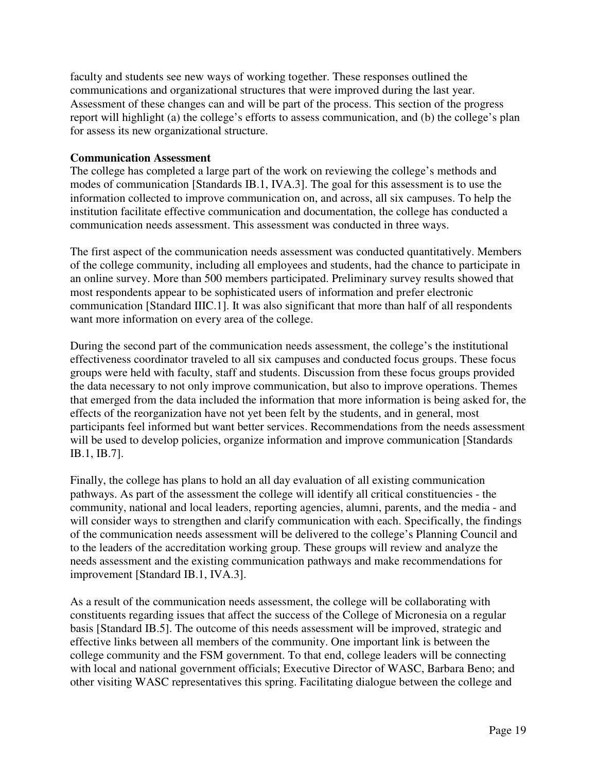faculty and students see new ways of working together. These responses outlined the communications and organizational structures that were improved during the last year. Assessment of these changes can and will be part of the process. This section of the progress report will highlight (a) the college's efforts to assess communication, and (b) the college's plan for assess its new organizational structure.

### **Communication Assessment**

The college has completed a large part of the work on reviewing the college's methods and modes of communication [Standards IB.1, IVA.3]. The goal for this assessment is to use the information collected to improve communication on, and across, all six campuses. To help the institution facilitate effective communication and documentation, the college has conducted a communication needs assessment. This assessment was conducted in three ways.

The first aspect of the communication needs assessment was conducted quantitatively. Members of the college community, including all employees and students, had the chance to participate in an online survey. More than 500 members participated. Preliminary survey results showed that most respondents appear to be sophisticated users of information and prefer electronic communication [Standard IIIC.1]. It was also significant that more than half of all respondents want more information on every area of the college.

During the second part of the communication needs assessment, the college's the institutional effectiveness coordinator traveled to all six campuses and conducted focus groups. These focus groups were held with faculty, staff and students. Discussion from these focus groups provided the data necessary to not only improve communication, but also to improve operations. Themes that emerged from the data included the information that more information is being asked for, the effects of the reorganization have not yet been felt by the students, and in general, most participants feel informed but want better services. Recommendations from the needs assessment will be used to develop policies, organize information and improve communication [Standards] IB.1, IB.7].

Finally, the college has plans to hold an all day evaluation of all existing communication pathways. As part of the assessment the college will identify all critical constituencies - the community, national and local leaders, reporting agencies, alumni, parents, and the media - and will consider ways to strengthen and clarify communication with each. Specifically, the findings of the communication needs assessment will be delivered to the college's Planning Council and to the leaders of the accreditation working group. These groups will review and analyze the needs assessment and the existing communication pathways and make recommendations for improvement [Standard IB.1, IVA.3].

As a result of the communication needs assessment, the college will be collaborating with constituents regarding issues that affect the success of the College of Micronesia on a regular basis [Standard IB.5]. The outcome of this needs assessment will be improved, strategic and effective links between all members of the community. One important link is between the college community and the FSM government. To that end, college leaders will be connecting with local and national government officials; Executive Director of WASC, Barbara Beno; and other visiting WASC representatives this spring. Facilitating dialogue between the college and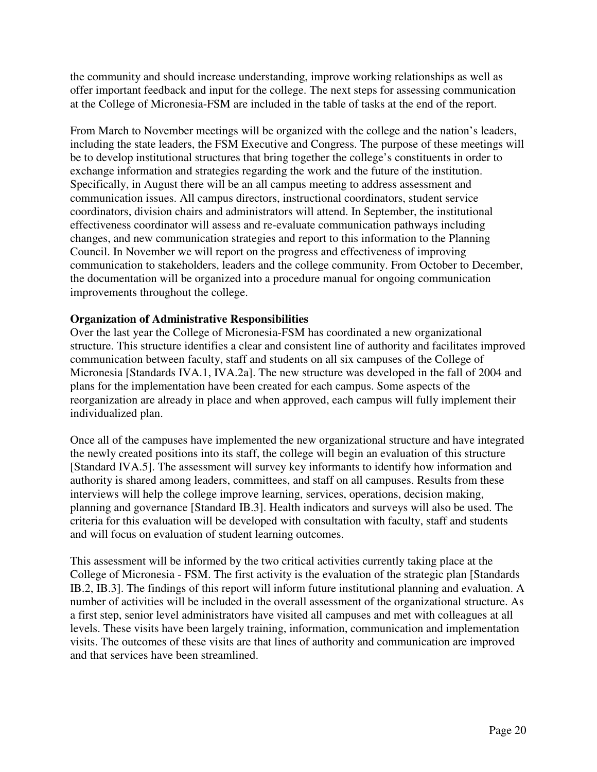the community and should increase understanding, improve working relationships as well as offer important feedback and input for the college. The next steps for assessing communication at the College of Micronesia-FSM are included in the table of tasks at the end of the report.

From March to November meetings will be organized with the college and the nation's leaders, including the state leaders, the FSM Executive and Congress. The purpose of these meetings will be to develop institutional structures that bring together the college's constituents in order to exchange information and strategies regarding the work and the future of the institution. Specifically, in August there will be an all campus meeting to address assessment and communication issues. All campus directors, instructional coordinators, student service coordinators, division chairs and administrators will attend. In September, the institutional effectiveness coordinator will assess and re-evaluate communication pathways including changes, and new communication strategies and report to this information to the Planning Council. In November we will report on the progress and effectiveness of improving communication to stakeholders, leaders and the college community. From October to December, the documentation will be organized into a procedure manual for ongoing communication improvements throughout the college.

### **Organization of Administrative Responsibilities**

Over the last year the College of Micronesia-FSM has coordinated a new organizational structure. This structure identifies a clear and consistent line of authority and facilitates improved communication between faculty, staff and students on all six campuses of the College of Micronesia [Standards IVA.1, IVA.2a]. The new structure was developed in the fall of 2004 and plans for the implementation have been created for each campus. Some aspects of the reorganization are already in place and when approved, each campus will fully implement their individualized plan.

Once all of the campuses have implemented the new organizational structure and have integrated the newly created positions into its staff, the college will begin an evaluation of this structure [Standard IVA.5]. The assessment will survey key informants to identify how information and authority is shared among leaders, committees, and staff on all campuses. Results from these interviews will help the college improve learning, services, operations, decision making, planning and governance [Standard IB.3]. Health indicators and surveys will also be used. The criteria for this evaluation will be developed with consultation with faculty, staff and students and will focus on evaluation of student learning outcomes.

This assessment will be informed by the two critical activities currently taking place at the College of Micronesia - FSM. The first activity is the evaluation of the strategic plan [Standards IB.2, IB.3]. The findings of this report will inform future institutional planning and evaluation. A number of activities will be included in the overall assessment of the organizational structure. As a first step, senior level administrators have visited all campuses and met with colleagues at all levels. These visits have been largely training, information, communication and implementation visits. The outcomes of these visits are that lines of authority and communication are improved and that services have been streamlined.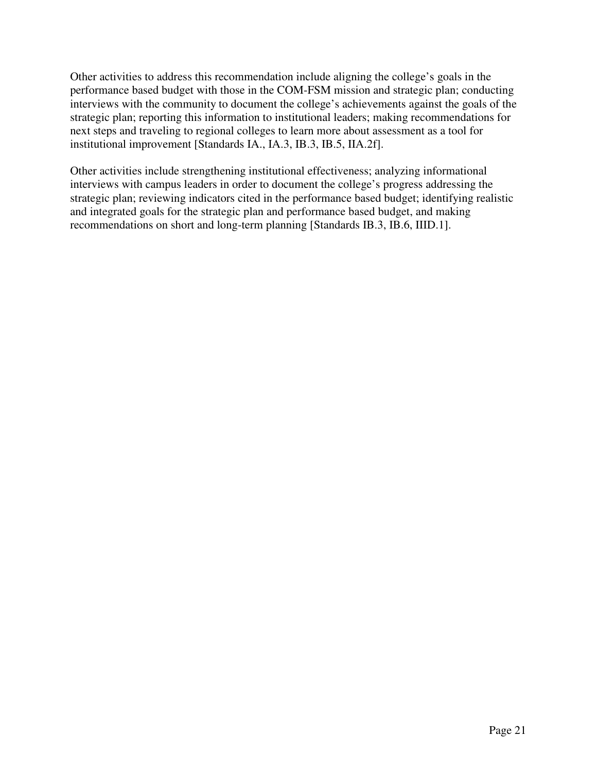Other activities to address this recommendation include aligning the college's goals in the performance based budget with those in the COM-FSM mission and strategic plan; conducting interviews with the community to document the college's achievements against the goals of the strategic plan; reporting this information to institutional leaders; making recommendations for next steps and traveling to regional colleges to learn more about assessment as a tool for institutional improvement [Standards IA., IA.3, IB.3, IB.5, IIA.2f].

Other activities include strengthening institutional effectiveness; analyzing informational interviews with campus leaders in order to document the college's progress addressing the strategic plan; reviewing indicators cited in the performance based budget; identifying realistic and integrated goals for the strategic plan and performance based budget, and making recommendations on short and long-term planning [Standards IB.3, IB.6, IIID.1].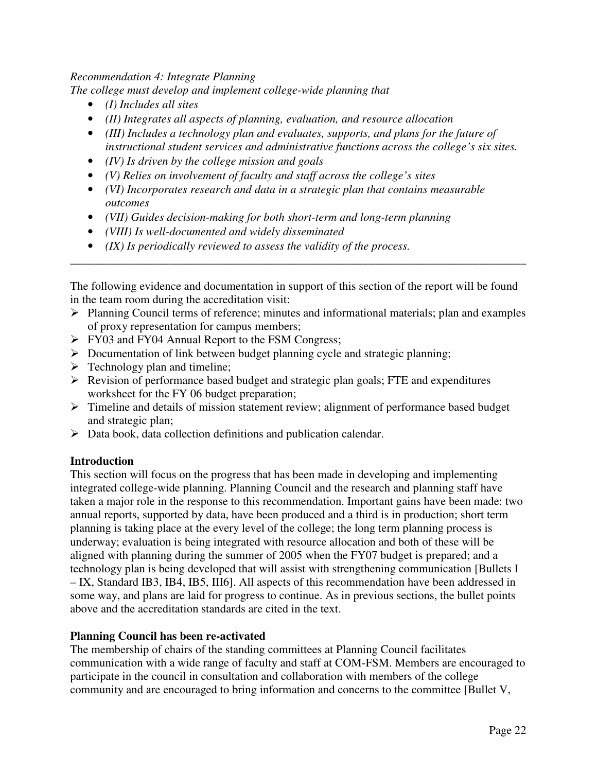### *Recommendation 4: Integrate Planning*

*The college must develop and implement college-wide planning that* 

- *(I) Includes all sites*
- *(II) Integrates all aspects of planning, evaluation, and resource allocation*
- *(III) Includes a technology plan and evaluates, supports, and plans for the future of instructional student services and administrative functions across the college's six sites.*
- *(IV) Is driven by the college mission and goals*
- *(V) Relies on involvement of faculty and staff across the college's sites*
- *(VI) Incorporates research and data in a strategic plan that contains measurable outcomes*
- *(VII) Guides decision-making for both short-term and long-term planning*
- *(VIII) Is well-documented and widely disseminated*
- *(IX) Is periodically reviewed to assess the validity of the process.*

The following evidence and documentation in support of this section of the report will be found in the team room during the accreditation visit:

\_\_\_\_\_\_\_\_\_\_\_\_\_\_\_\_\_\_\_\_\_\_\_\_\_\_\_\_\_\_\_\_\_\_\_\_\_\_\_\_\_\_\_\_\_\_\_\_\_\_\_\_\_\_\_\_\_\_\_\_\_\_\_\_\_\_\_\_\_\_\_\_\_\_\_\_\_\_

- $\triangleright$  Planning Council terms of reference; minutes and informational materials; plan and examples of proxy representation for campus members;
- **FY03** and FY04 Annual Report to the FSM Congress;
- $\triangleright$  Documentation of link between budget planning cycle and strategic planning;
- $\triangleright$  Technology plan and timeline;
- $\triangleright$  Revision of performance based budget and strategic plan goals; FTE and expenditures worksheet for the FY 06 budget preparation;
- $\triangleright$  Timeline and details of mission statement review; alignment of performance based budget and strategic plan;
- Data book, data collection definitions and publication calendar.

## **Introduction**

This section will focus on the progress that has been made in developing and implementing integrated college-wide planning. Planning Council and the research and planning staff have taken a major role in the response to this recommendation. Important gains have been made: two annual reports, supported by data, have been produced and a third is in production; short term planning is taking place at the every level of the college; the long term planning process is underway; evaluation is being integrated with resource allocation and both of these will be aligned with planning during the summer of 2005 when the FY07 budget is prepared; and a technology plan is being developed that will assist with strengthening communication [Bullets I – IX, Standard IB3, IB4, IB5, III6]. All aspects of this recommendation have been addressed in some way, and plans are laid for progress to continue. As in previous sections, the bullet points above and the accreditation standards are cited in the text.

## **Planning Council has been re-activated**

The membership of chairs of the standing committees at Planning Council facilitates communication with a wide range of faculty and staff at COM-FSM. Members are encouraged to participate in the council in consultation and collaboration with members of the college community and are encouraged to bring information and concerns to the committee [Bullet V,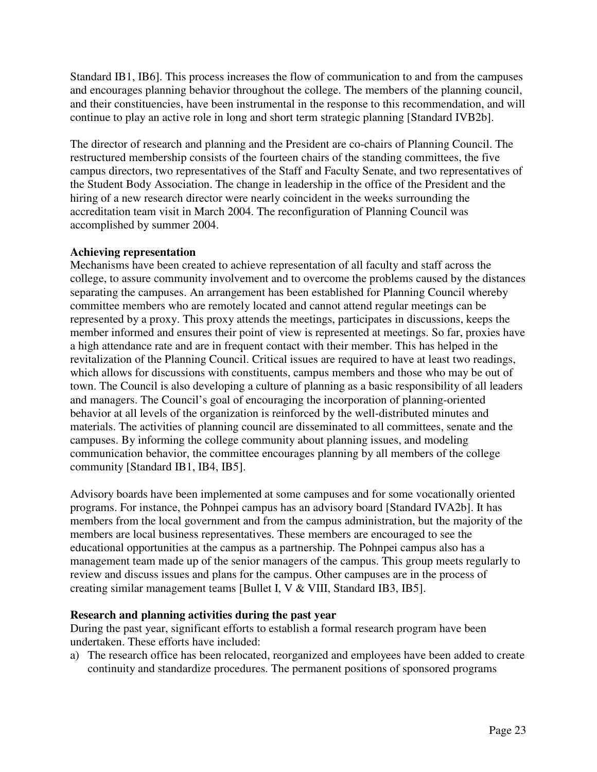Standard IB1, IB6]. This process increases the flow of communication to and from the campuses and encourages planning behavior throughout the college. The members of the planning council, and their constituencies, have been instrumental in the response to this recommendation, and will continue to play an active role in long and short term strategic planning [Standard IVB2b].

The director of research and planning and the President are co-chairs of Planning Council. The restructured membership consists of the fourteen chairs of the standing committees, the five campus directors, two representatives of the Staff and Faculty Senate, and two representatives of the Student Body Association. The change in leadership in the office of the President and the hiring of a new research director were nearly coincident in the weeks surrounding the accreditation team visit in March 2004. The reconfiguration of Planning Council was accomplished by summer 2004.

### **Achieving representation**

Mechanisms have been created to achieve representation of all faculty and staff across the college, to assure community involvement and to overcome the problems caused by the distances separating the campuses. An arrangement has been established for Planning Council whereby committee members who are remotely located and cannot attend regular meetings can be represented by a proxy. This proxy attends the meetings, participates in discussions, keeps the member informed and ensures their point of view is represented at meetings. So far, proxies have a high attendance rate and are in frequent contact with their member. This has helped in the revitalization of the Planning Council. Critical issues are required to have at least two readings, which allows for discussions with constituents, campus members and those who may be out of town. The Council is also developing a culture of planning as a basic responsibility of all leaders and managers. The Council's goal of encouraging the incorporation of planning-oriented behavior at all levels of the organization is reinforced by the well-distributed minutes and materials. The activities of planning council are disseminated to all committees, senate and the campuses. By informing the college community about planning issues, and modeling communication behavior, the committee encourages planning by all members of the college community [Standard IB1, IB4, IB5].

Advisory boards have been implemented at some campuses and for some vocationally oriented programs. For instance, the Pohnpei campus has an advisory board [Standard IVA2b]. It has members from the local government and from the campus administration, but the majority of the members are local business representatives. These members are encouraged to see the educational opportunities at the campus as a partnership. The Pohnpei campus also has a management team made up of the senior managers of the campus. This group meets regularly to review and discuss issues and plans for the campus. Other campuses are in the process of creating similar management teams [Bullet I, V & VIII, Standard IB3, IB5].

### **Research and planning activities during the past year**

During the past year, significant efforts to establish a formal research program have been undertaken. These efforts have included:

a) The research office has been relocated, reorganized and employees have been added to create continuity and standardize procedures. The permanent positions of sponsored programs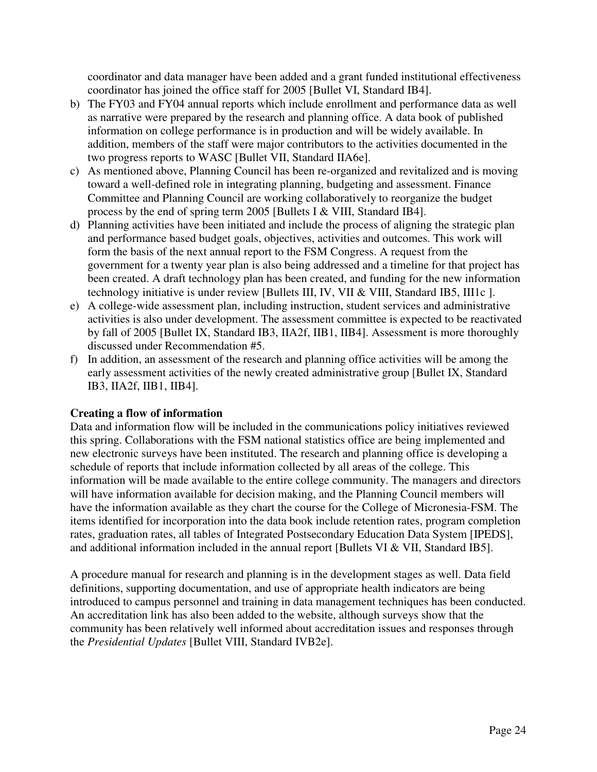coordinator and data manager have been added and a grant funded institutional effectiveness coordinator has joined the office staff for 2005 [Bullet VI, Standard IB4].

- b) The FY03 and FY04 annual reports which include enrollment and performance data as well as narrative were prepared by the research and planning office. A data book of published information on college performance is in production and will be widely available. In addition, members of the staff were major contributors to the activities documented in the two progress reports to WASC [Bullet VII, Standard IIA6e].
- c) As mentioned above, Planning Council has been re-organized and revitalized and is moving toward a well-defined role in integrating planning, budgeting and assessment. Finance Committee and Planning Council are working collaboratively to reorganize the budget process by the end of spring term 2005 [Bullets I & VIII, Standard IB4].
- d) Planning activities have been initiated and include the process of aligning the strategic plan and performance based budget goals, objectives, activities and outcomes. This work will form the basis of the next annual report to the FSM Congress. A request from the government for a twenty year plan is also being addressed and a timeline for that project has been created. A draft technology plan has been created, and funding for the new information technology initiative is under review [Bullets III, IV, VII & VIII, Standard IB5, III1c ].
- e) A college-wide assessment plan, including instruction, student services and administrative activities is also under development. The assessment committee is expected to be reactivated by fall of 2005 [Bullet IX, Standard IB3, IIA2f, IIB1, IIB4]. Assessment is more thoroughly discussed under Recommendation #5.
- f) In addition, an assessment of the research and planning office activities will be among the early assessment activities of the newly created administrative group [Bullet IX, Standard IB3, IIA2f, IIB1, IIB4].

### **Creating a flow of information**

Data and information flow will be included in the communications policy initiatives reviewed this spring. Collaborations with the FSM national statistics office are being implemented and new electronic surveys have been instituted. The research and planning office is developing a schedule of reports that include information collected by all areas of the college. This information will be made available to the entire college community. The managers and directors will have information available for decision making, and the Planning Council members will have the information available as they chart the course for the College of Micronesia-FSM. The items identified for incorporation into the data book include retention rates, program completion rates, graduation rates, all tables of Integrated Postsecondary Education Data System [IPEDS], and additional information included in the annual report [Bullets VI & VII, Standard IB5].

A procedure manual for research and planning is in the development stages as well. Data field definitions, supporting documentation, and use of appropriate health indicators are being introduced to campus personnel and training in data management techniques has been conducted. An accreditation link has also been added to the website, although surveys show that the community has been relatively well informed about accreditation issues and responses through the *Presidential Updates* [Bullet VIII, Standard IVB2e].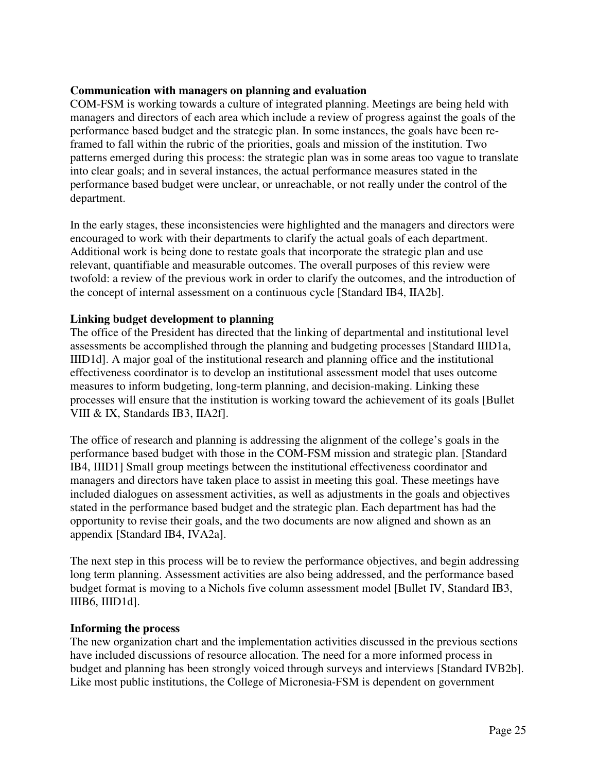### **Communication with managers on planning and evaluation**

COM-FSM is working towards a culture of integrated planning. Meetings are being held with managers and directors of each area which include a review of progress against the goals of the performance based budget and the strategic plan. In some instances, the goals have been reframed to fall within the rubric of the priorities, goals and mission of the institution. Two patterns emerged during this process: the strategic plan was in some areas too vague to translate into clear goals; and in several instances, the actual performance measures stated in the performance based budget were unclear, or unreachable, or not really under the control of the department.

In the early stages, these inconsistencies were highlighted and the managers and directors were encouraged to work with their departments to clarify the actual goals of each department. Additional work is being done to restate goals that incorporate the strategic plan and use relevant, quantifiable and measurable outcomes. The overall purposes of this review were twofold: a review of the previous work in order to clarify the outcomes, and the introduction of the concept of internal assessment on a continuous cycle [Standard IB4, IIA2b].

### **Linking budget development to planning**

The office of the President has directed that the linking of departmental and institutional level assessments be accomplished through the planning and budgeting processes [Standard IIID1a, IIID1d]. A major goal of the institutional research and planning office and the institutional effectiveness coordinator is to develop an institutional assessment model that uses outcome measures to inform budgeting, long-term planning, and decision-making. Linking these processes will ensure that the institution is working toward the achievement of its goals [Bullet VIII & IX, Standards IB3, IIA2f].

The office of research and planning is addressing the alignment of the college's goals in the performance based budget with those in the COM-FSM mission and strategic plan. [Standard IB4, IIID1] Small group meetings between the institutional effectiveness coordinator and managers and directors have taken place to assist in meeting this goal. These meetings have included dialogues on assessment activities, as well as adjustments in the goals and objectives stated in the performance based budget and the strategic plan. Each department has had the opportunity to revise their goals, and the two documents are now aligned and shown as an appendix [Standard IB4, IVA2a].

The next step in this process will be to review the performance objectives, and begin addressing long term planning. Assessment activities are also being addressed, and the performance based budget format is moving to a Nichols five column assessment model [Bullet IV, Standard IB3, IIIB6, IIID1d].

### **Informing the process**

The new organization chart and the implementation activities discussed in the previous sections have included discussions of resource allocation. The need for a more informed process in budget and planning has been strongly voiced through surveys and interviews [Standard IVB2b]. Like most public institutions, the College of Micronesia-FSM is dependent on government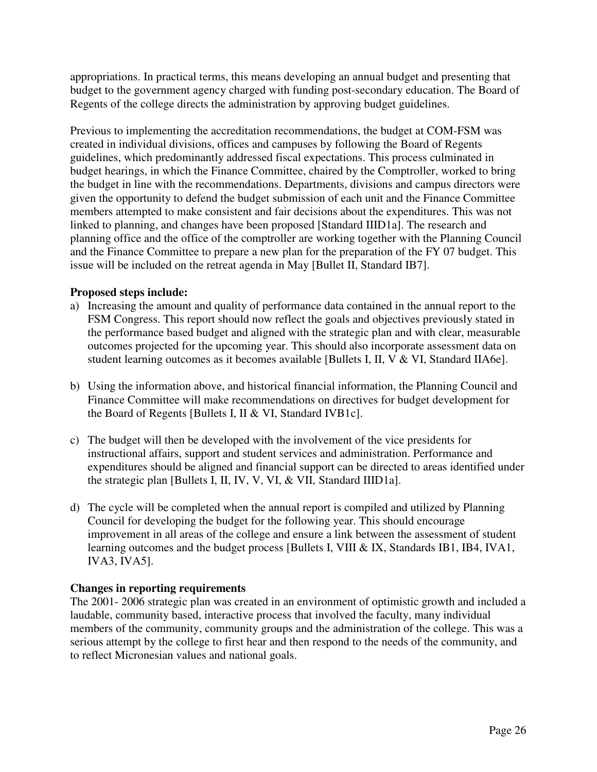appropriations. In practical terms, this means developing an annual budget and presenting that budget to the government agency charged with funding post-secondary education. The Board of Regents of the college directs the administration by approving budget guidelines.

Previous to implementing the accreditation recommendations, the budget at COM-FSM was created in individual divisions, offices and campuses by following the Board of Regents guidelines, which predominantly addressed fiscal expectations. This process culminated in budget hearings, in which the Finance Committee, chaired by the Comptroller, worked to bring the budget in line with the recommendations. Departments, divisions and campus directors were given the opportunity to defend the budget submission of each unit and the Finance Committee members attempted to make consistent and fair decisions about the expenditures. This was not linked to planning, and changes have been proposed [Standard IIID1a]. The research and planning office and the office of the comptroller are working together with the Planning Council and the Finance Committee to prepare a new plan for the preparation of the FY 07 budget. This issue will be included on the retreat agenda in May [Bullet II, Standard IB7].

### **Proposed steps include:**

- a) Increasing the amount and quality of performance data contained in the annual report to the FSM Congress. This report should now reflect the goals and objectives previously stated in the performance based budget and aligned with the strategic plan and with clear, measurable outcomes projected for the upcoming year. This should also incorporate assessment data on student learning outcomes as it becomes available [Bullets I, II, V & VI, Standard IIA6e].
- b) Using the information above, and historical financial information, the Planning Council and Finance Committee will make recommendations on directives for budget development for the Board of Regents [Bullets I, II & VI, Standard IVB1c].
- c) The budget will then be developed with the involvement of the vice presidents for instructional affairs, support and student services and administration. Performance and expenditures should be aligned and financial support can be directed to areas identified under the strategic plan [Bullets I, II, IV, V, VI, & VII, Standard IIID1a].
- d) The cycle will be completed when the annual report is compiled and utilized by Planning Council for developing the budget for the following year. This should encourage improvement in all areas of the college and ensure a link between the assessment of student learning outcomes and the budget process [Bullets I, VIII & IX, Standards IB1, IB4, IVA1, IVA3, IVA5].

### **Changes in reporting requirements**

The 2001- 2006 strategic plan was created in an environment of optimistic growth and included a laudable, community based, interactive process that involved the faculty, many individual members of the community, community groups and the administration of the college. This was a serious attempt by the college to first hear and then respond to the needs of the community, and to reflect Micronesian values and national goals.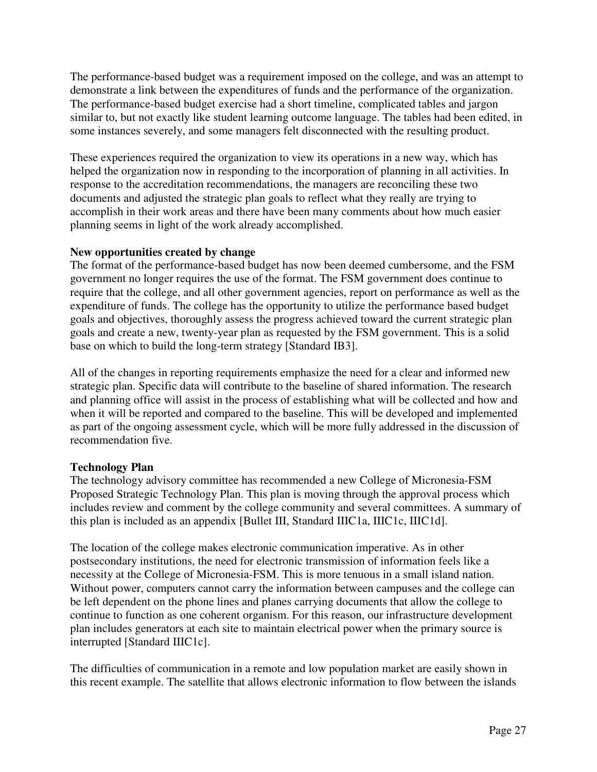The performance-based budget was a requirement imposed on the college, and was an attempt to demonstrate a link between the expenditures of funds and the performance of the organization. The performance-based budget exercise had a short timeline, complicated tables and jargon similar to, but not exactly like student learning outcome language. The tables had been edited, in some instances severely, and some managers felt disconnected with the resulting product.

These experiences required the organization to view its operations in a new way, which has helped the organization now in responding to the incorporation of planning in all activities. In response to the accreditation recommendations, the managers are reconciling these two documents and adjusted the strategic plan goals to reflect what they really are trying to accomplish in their work areas and there have been many comments about how much easier planning seems in light of the work already accomplished.

### **New opportunities created by change**

The format of the performance-based budget has now been deemed cumbersome, and the FSM government no longer requires the use of the format. The FSM government does continue to require that the college, and all other government agencies, report on performance as well as the expenditure of funds. The college has the opportunity to utilize the performance based budget goals and objectives, thoroughly assess the progress achieved toward the current strategic plan goals and create a new, twenty-year plan as requested by the FSM government. This is a solid base on which to build the long-term strategy [Standard IB3].

All of the changes in reporting requirements emphasize the need for a clear and informed new strategic plan. Specific data will contribute to the baseline of shared information. The research and planning office will assist in the process of establishing what will be collected and how and when it will be reported and compared to the baseline. This will be developed and implemented as part of the ongoing assessment cycle, which will be more fully addressed in the discussion of recommendation five.

## **Technology Plan**

The technology advisory committee has recommended a new College of Micronesia-FSM Proposed Strategic Technology Plan. This plan is moving through the approval process which includes review and comment by the college community and several committees. A summary of this plan is included as an appendix [Bullet III, Standard IIIC1a, IIIC1c, IIIC1d].

The location of the college makes electronic communication imperative. As in other postsecondary institutions, the need for electronic transmission of information feels like a necessity at the College of Micronesia-FSM. This is more tenuous in a small island nation. Without power, computers cannot carry the information between campuses and the college can be left dependent on the phone lines and planes carrying documents that allow the college to continue to function as one coherent organism. For this reason, our infrastructure development plan includes generators at each site to maintain electrical power when the primary source is interrupted [Standard IIIC1c].

The difficulties of communication in a remote and low population market are easily shown in this recent example. The satellite that allows electronic information to flow between the islands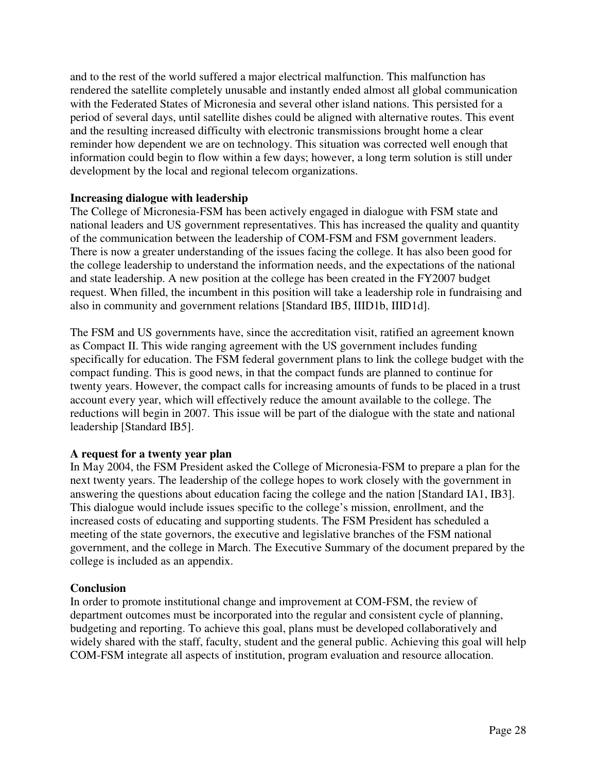and to the rest of the world suffered a major electrical malfunction. This malfunction has rendered the satellite completely unusable and instantly ended almost all global communication with the Federated States of Micronesia and several other island nations. This persisted for a period of several days, until satellite dishes could be aligned with alternative routes. This event and the resulting increased difficulty with electronic transmissions brought home a clear reminder how dependent we are on technology. This situation was corrected well enough that information could begin to flow within a few days; however, a long term solution is still under development by the local and regional telecom organizations.

### **Increasing dialogue with leadership**

The College of Micronesia-FSM has been actively engaged in dialogue with FSM state and national leaders and US government representatives. This has increased the quality and quantity of the communication between the leadership of COM-FSM and FSM government leaders. There is now a greater understanding of the issues facing the college. It has also been good for the college leadership to understand the information needs, and the expectations of the national and state leadership. A new position at the college has been created in the FY2007 budget request. When filled, the incumbent in this position will take a leadership role in fundraising and also in community and government relations [Standard IB5, IIID1b, IIID1d].

The FSM and US governments have, since the accreditation visit, ratified an agreement known as Compact II. This wide ranging agreement with the US government includes funding specifically for education. The FSM federal government plans to link the college budget with the compact funding. This is good news, in that the compact funds are planned to continue for twenty years. However, the compact calls for increasing amounts of funds to be placed in a trust account every year, which will effectively reduce the amount available to the college. The reductions will begin in 2007. This issue will be part of the dialogue with the state and national leadership [Standard IB5].

### **A request for a twenty year plan**

In May 2004, the FSM President asked the College of Micronesia-FSM to prepare a plan for the next twenty years. The leadership of the college hopes to work closely with the government in answering the questions about education facing the college and the nation [Standard IA1, IB3]. This dialogue would include issues specific to the college's mission, enrollment, and the increased costs of educating and supporting students. The FSM President has scheduled a meeting of the state governors, the executive and legislative branches of the FSM national government, and the college in March. The Executive Summary of the document prepared by the college is included as an appendix.

### **Conclusion**

In order to promote institutional change and improvement at COM-FSM, the review of department outcomes must be incorporated into the regular and consistent cycle of planning, budgeting and reporting. To achieve this goal, plans must be developed collaboratively and widely shared with the staff, faculty, student and the general public. Achieving this goal will help COM-FSM integrate all aspects of institution, program evaluation and resource allocation.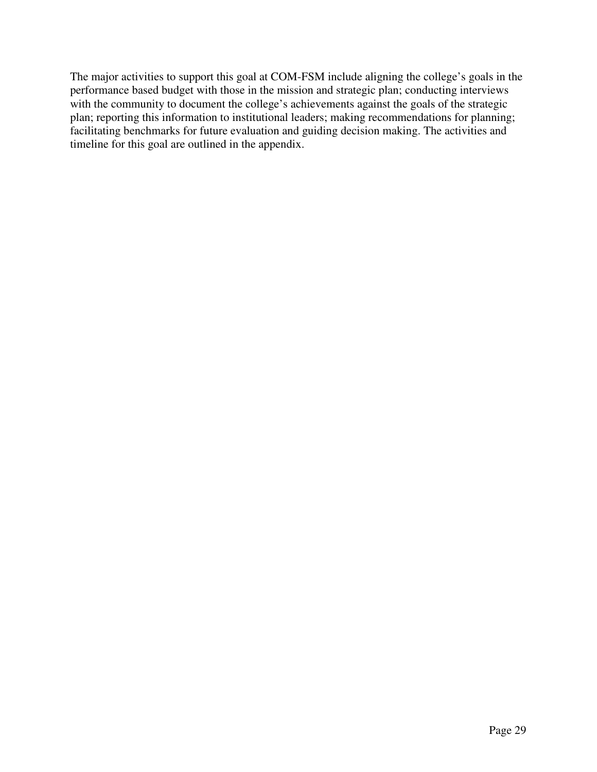The major activities to support this goal at COM-FSM include aligning the college's goals in the performance based budget with those in the mission and strategic plan; conducting interviews with the community to document the college's achievements against the goals of the strategic plan; reporting this information to institutional leaders; making recommendations for planning; facilitating benchmarks for future evaluation and guiding decision making. The activities and timeline for this goal are outlined in the appendix.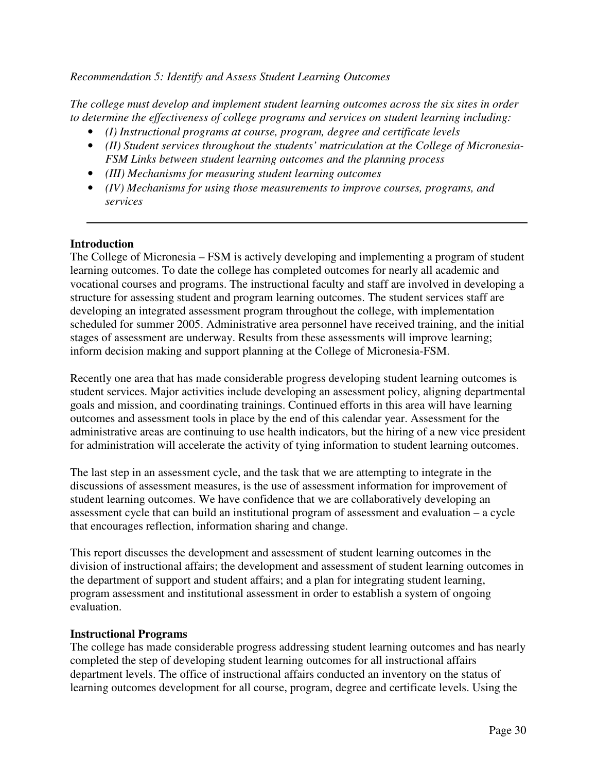### *Recommendation 5: Identify and Assess Student Learning Outcomes*

*The college must develop and implement student learning outcomes across the six sites in order to determine the effectiveness of college programs and services on student learning including:* 

- *(I) Instructional programs at course, program, degree and certificate levels*
- *(II) Student services throughout the students' matriculation at the College of Micronesia-FSM Links between student learning outcomes and the planning process*
- *(III) Mechanisms for measuring student learning outcomes*
- *(IV) Mechanisms for using those measurements to improve courses, programs, and services*

### **Introduction**

The College of Micronesia – FSM is actively developing and implementing a program of student learning outcomes. To date the college has completed outcomes for nearly all academic and vocational courses and programs. The instructional faculty and staff are involved in developing a structure for assessing student and program learning outcomes. The student services staff are developing an integrated assessment program throughout the college, with implementation scheduled for summer 2005. Administrative area personnel have received training, and the initial stages of assessment are underway. Results from these assessments will improve learning; inform decision making and support planning at the College of Micronesia-FSM.

Recently one area that has made considerable progress developing student learning outcomes is student services. Major activities include developing an assessment policy, aligning departmental goals and mission, and coordinating trainings. Continued efforts in this area will have learning outcomes and assessment tools in place by the end of this calendar year. Assessment for the administrative areas are continuing to use health indicators, but the hiring of a new vice president for administration will accelerate the activity of tying information to student learning outcomes.

The last step in an assessment cycle, and the task that we are attempting to integrate in the discussions of assessment measures, is the use of assessment information for improvement of student learning outcomes. We have confidence that we are collaboratively developing an assessment cycle that can build an institutional program of assessment and evaluation – a cycle that encourages reflection, information sharing and change.

This report discusses the development and assessment of student learning outcomes in the division of instructional affairs; the development and assessment of student learning outcomes in the department of support and student affairs; and a plan for integrating student learning, program assessment and institutional assessment in order to establish a system of ongoing evaluation.

#### **Instructional Programs**

The college has made considerable progress addressing student learning outcomes and has nearly completed the step of developing student learning outcomes for all instructional affairs department levels. The office of instructional affairs conducted an inventory on the status of learning outcomes development for all course, program, degree and certificate levels. Using the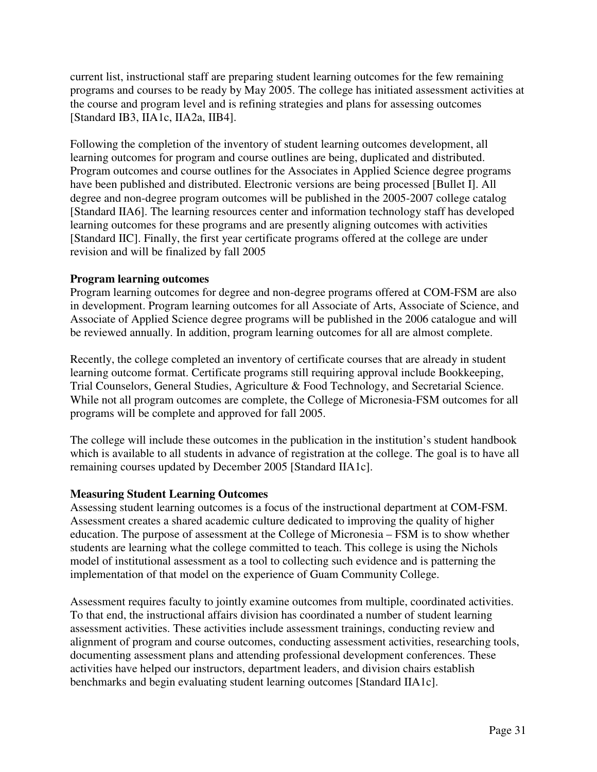current list, instructional staff are preparing student learning outcomes for the few remaining programs and courses to be ready by May 2005. The college has initiated assessment activities at the course and program level and is refining strategies and plans for assessing outcomes [Standard IB3, IIA1c, IIA2a, IIB4].

Following the completion of the inventory of student learning outcomes development, all learning outcomes for program and course outlines are being, duplicated and distributed. Program outcomes and course outlines for the Associates in Applied Science degree programs have been published and distributed. Electronic versions are being processed [Bullet I]. All degree and non-degree program outcomes will be published in the 2005-2007 college catalog [Standard IIA6]. The learning resources center and information technology staff has developed learning outcomes for these programs and are presently aligning outcomes with activities [Standard IIC]. Finally, the first year certificate programs offered at the college are under revision and will be finalized by fall 2005

### **Program learning outcomes**

Program learning outcomes for degree and non-degree programs offered at COM-FSM are also in development. Program learning outcomes for all Associate of Arts, Associate of Science, and Associate of Applied Science degree programs will be published in the 2006 catalogue and will be reviewed annually. In addition, program learning outcomes for all are almost complete.

Recently, the college completed an inventory of certificate courses that are already in student learning outcome format. Certificate programs still requiring approval include Bookkeeping, Trial Counselors, General Studies, Agriculture & Food Technology, and Secretarial Science. While not all program outcomes are complete, the College of Micronesia-FSM outcomes for all programs will be complete and approved for fall 2005.

The college will include these outcomes in the publication in the institution's student handbook which is available to all students in advance of registration at the college. The goal is to have all remaining courses updated by December 2005 [Standard IIA1c].

### **Measuring Student Learning Outcomes**

Assessing student learning outcomes is a focus of the instructional department at COM-FSM. Assessment creates a shared academic culture dedicated to improving the quality of higher education. The purpose of assessment at the College of Micronesia – FSM is to show whether students are learning what the college committed to teach. This college is using the Nichols model of institutional assessment as a tool to collecting such evidence and is patterning the implementation of that model on the experience of Guam Community College.

Assessment requires faculty to jointly examine outcomes from multiple, coordinated activities. To that end, the instructional affairs division has coordinated a number of student learning assessment activities. These activities include assessment trainings, conducting review and alignment of program and course outcomes, conducting assessment activities, researching tools, documenting assessment plans and attending professional development conferences. These activities have helped our instructors, department leaders, and division chairs establish benchmarks and begin evaluating student learning outcomes [Standard IIA1c].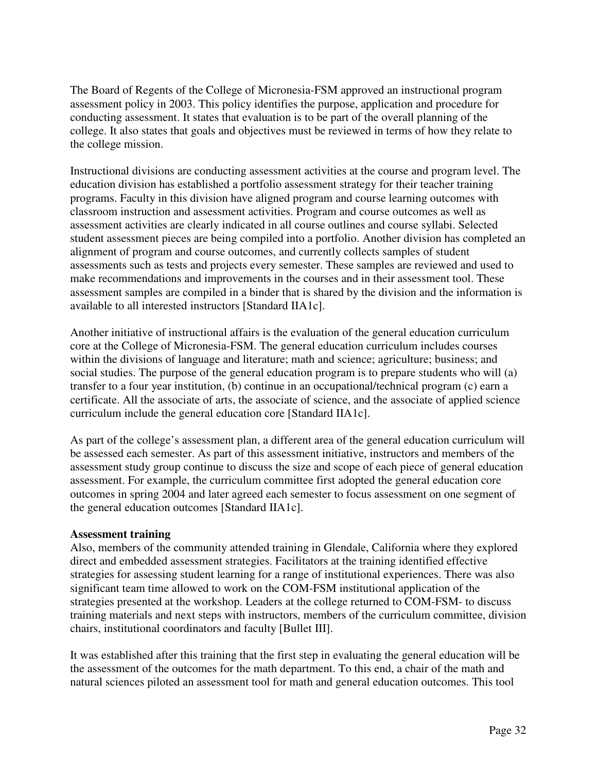The Board of Regents of the College of Micronesia-FSM approved an instructional program assessment policy in 2003. This policy identifies the purpose, application and procedure for conducting assessment. It states that evaluation is to be part of the overall planning of the college. It also states that goals and objectives must be reviewed in terms of how they relate to the college mission.

Instructional divisions are conducting assessment activities at the course and program level. The education division has established a portfolio assessment strategy for their teacher training programs. Faculty in this division have aligned program and course learning outcomes with classroom instruction and assessment activities. Program and course outcomes as well as assessment activities are clearly indicated in all course outlines and course syllabi. Selected student assessment pieces are being compiled into a portfolio. Another division has completed an alignment of program and course outcomes, and currently collects samples of student assessments such as tests and projects every semester. These samples are reviewed and used to make recommendations and improvements in the courses and in their assessment tool. These assessment samples are compiled in a binder that is shared by the division and the information is available to all interested instructors [Standard IIA1c].

Another initiative of instructional affairs is the evaluation of the general education curriculum core at the College of Micronesia-FSM. The general education curriculum includes courses within the divisions of language and literature; math and science; agriculture; business; and social studies. The purpose of the general education program is to prepare students who will (a) transfer to a four year institution, (b) continue in an occupational/technical program (c) earn a certificate. All the associate of arts, the associate of science, and the associate of applied science curriculum include the general education core [Standard IIA1c].

As part of the college's assessment plan, a different area of the general education curriculum will be assessed each semester. As part of this assessment initiative, instructors and members of the assessment study group continue to discuss the size and scope of each piece of general education assessment. For example, the curriculum committee first adopted the general education core outcomes in spring 2004 and later agreed each semester to focus assessment on one segment of the general education outcomes [Standard IIA1c].

### **Assessment training**

Also, members of the community attended training in Glendale, California where they explored direct and embedded assessment strategies. Facilitators at the training identified effective strategies for assessing student learning for a range of institutional experiences. There was also significant team time allowed to work on the COM-FSM institutional application of the strategies presented at the workshop. Leaders at the college returned to COM-FSM- to discuss training materials and next steps with instructors, members of the curriculum committee, division chairs, institutional coordinators and faculty [Bullet III].

It was established after this training that the first step in evaluating the general education will be the assessment of the outcomes for the math department. To this end, a chair of the math and natural sciences piloted an assessment tool for math and general education outcomes. This tool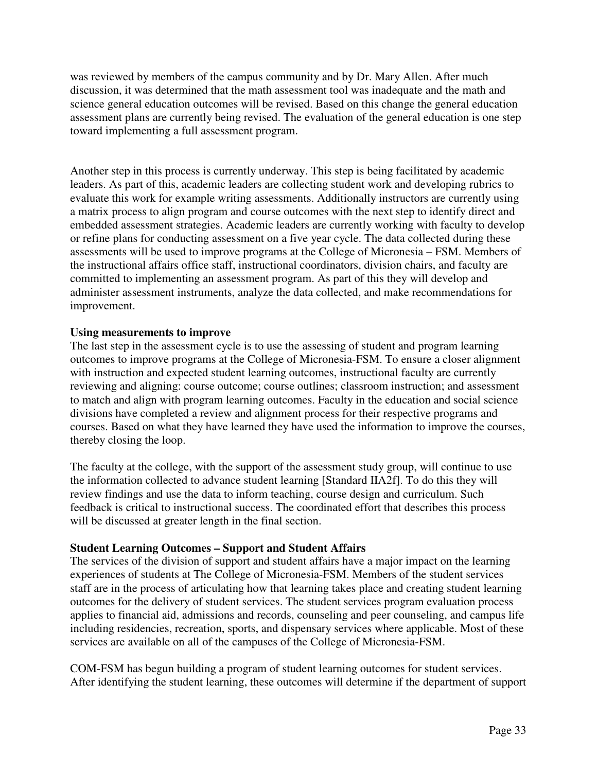was reviewed by members of the campus community and by Dr. Mary Allen. After much discussion, it was determined that the math assessment tool was inadequate and the math and science general education outcomes will be revised. Based on this change the general education assessment plans are currently being revised. The evaluation of the general education is one step toward implementing a full assessment program.

Another step in this process is currently underway. This step is being facilitated by academic leaders. As part of this, academic leaders are collecting student work and developing rubrics to evaluate this work for example writing assessments. Additionally instructors are currently using a matrix process to align program and course outcomes with the next step to identify direct and embedded assessment strategies. Academic leaders are currently working with faculty to develop or refine plans for conducting assessment on a five year cycle. The data collected during these assessments will be used to improve programs at the College of Micronesia – FSM. Members of the instructional affairs office staff, instructional coordinators, division chairs, and faculty are committed to implementing an assessment program. As part of this they will develop and administer assessment instruments, analyze the data collected, and make recommendations for improvement.

### **Using measurements to improve**

The last step in the assessment cycle is to use the assessing of student and program learning outcomes to improve programs at the College of Micronesia-FSM. To ensure a closer alignment with instruction and expected student learning outcomes, instructional faculty are currently reviewing and aligning: course outcome; course outlines; classroom instruction; and assessment to match and align with program learning outcomes. Faculty in the education and social science divisions have completed a review and alignment process for their respective programs and courses. Based on what they have learned they have used the information to improve the courses, thereby closing the loop.

The faculty at the college, with the support of the assessment study group, will continue to use the information collected to advance student learning [Standard IIA2f]. To do this they will review findings and use the data to inform teaching, course design and curriculum. Such feedback is critical to instructional success. The coordinated effort that describes this process will be discussed at greater length in the final section.

### **Student Learning Outcomes – Support and Student Affairs**

The services of the division of support and student affairs have a major impact on the learning experiences of students at The College of Micronesia-FSM. Members of the student services staff are in the process of articulating how that learning takes place and creating student learning outcomes for the delivery of student services. The student services program evaluation process applies to financial aid, admissions and records, counseling and peer counseling, and campus life including residencies, recreation, sports, and dispensary services where applicable. Most of these services are available on all of the campuses of the College of Micronesia-FSM.

COM-FSM has begun building a program of student learning outcomes for student services. After identifying the student learning, these outcomes will determine if the department of support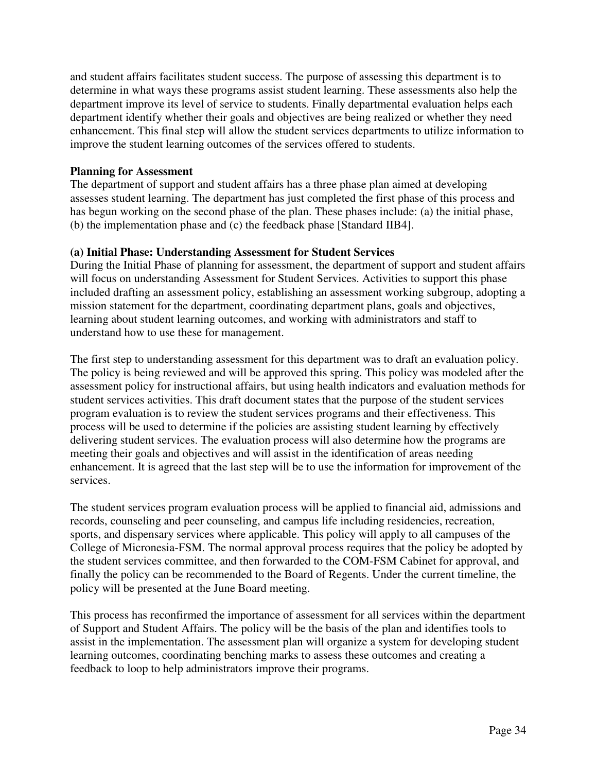and student affairs facilitates student success. The purpose of assessing this department is to determine in what ways these programs assist student learning. These assessments also help the department improve its level of service to students. Finally departmental evaluation helps each department identify whether their goals and objectives are being realized or whether they need enhancement. This final step will allow the student services departments to utilize information to improve the student learning outcomes of the services offered to students.

### **Planning for Assessment**

The department of support and student affairs has a three phase plan aimed at developing assesses student learning. The department has just completed the first phase of this process and has begun working on the second phase of the plan. These phases include: (a) the initial phase, (b) the implementation phase and (c) the feedback phase [Standard IIB4].

### **(a) Initial Phase: Understanding Assessment for Student Services**

During the Initial Phase of planning for assessment, the department of support and student affairs will focus on understanding Assessment for Student Services. Activities to support this phase included drafting an assessment policy, establishing an assessment working subgroup, adopting a mission statement for the department, coordinating department plans, goals and objectives, learning about student learning outcomes, and working with administrators and staff to understand how to use these for management.

The first step to understanding assessment for this department was to draft an evaluation policy. The policy is being reviewed and will be approved this spring. This policy was modeled after the assessment policy for instructional affairs, but using health indicators and evaluation methods for student services activities. This draft document states that the purpose of the student services program evaluation is to review the student services programs and their effectiveness. This process will be used to determine if the policies are assisting student learning by effectively delivering student services. The evaluation process will also determine how the programs are meeting their goals and objectives and will assist in the identification of areas needing enhancement. It is agreed that the last step will be to use the information for improvement of the services.

The student services program evaluation process will be applied to financial aid, admissions and records, counseling and peer counseling, and campus life including residencies, recreation, sports, and dispensary services where applicable. This policy will apply to all campuses of the College of Micronesia-FSM. The normal approval process requires that the policy be adopted by the student services committee, and then forwarded to the COM-FSM Cabinet for approval, and finally the policy can be recommended to the Board of Regents. Under the current timeline, the policy will be presented at the June Board meeting.

This process has reconfirmed the importance of assessment for all services within the department of Support and Student Affairs. The policy will be the basis of the plan and identifies tools to assist in the implementation. The assessment plan will organize a system for developing student learning outcomes, coordinating benching marks to assess these outcomes and creating a feedback to loop to help administrators improve their programs.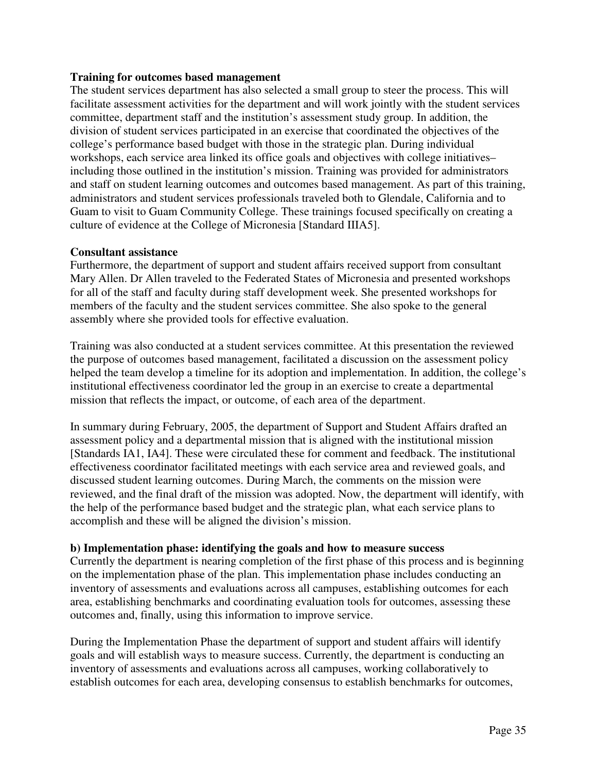### **Training for outcomes based management**

The student services department has also selected a small group to steer the process. This will facilitate assessment activities for the department and will work jointly with the student services committee, department staff and the institution's assessment study group. In addition, the division of student services participated in an exercise that coordinated the objectives of the college's performance based budget with those in the strategic plan. During individual workshops, each service area linked its office goals and objectives with college initiatives– including those outlined in the institution's mission. Training was provided for administrators and staff on student learning outcomes and outcomes based management. As part of this training, administrators and student services professionals traveled both to Glendale, California and to Guam to visit to Guam Community College. These trainings focused specifically on creating a culture of evidence at the College of Micronesia [Standard IIIA5].

### **Consultant assistance**

Furthermore, the department of support and student affairs received support from consultant Mary Allen. Dr Allen traveled to the Federated States of Micronesia and presented workshops for all of the staff and faculty during staff development week. She presented workshops for members of the faculty and the student services committee. She also spoke to the general assembly where she provided tools for effective evaluation.

Training was also conducted at a student services committee. At this presentation the reviewed the purpose of outcomes based management, facilitated a discussion on the assessment policy helped the team develop a timeline for its adoption and implementation. In addition, the college's institutional effectiveness coordinator led the group in an exercise to create a departmental mission that reflects the impact, or outcome, of each area of the department.

In summary during February, 2005, the department of Support and Student Affairs drafted an assessment policy and a departmental mission that is aligned with the institutional mission [Standards IA1, IA4]. These were circulated these for comment and feedback. The institutional effectiveness coordinator facilitated meetings with each service area and reviewed goals, and discussed student learning outcomes. During March, the comments on the mission were reviewed, and the final draft of the mission was adopted. Now, the department will identify, with the help of the performance based budget and the strategic plan, what each service plans to accomplish and these will be aligned the division's mission.

### **b) Implementation phase: identifying the goals and how to measure success**

Currently the department is nearing completion of the first phase of this process and is beginning on the implementation phase of the plan. This implementation phase includes conducting an inventory of assessments and evaluations across all campuses, establishing outcomes for each area, establishing benchmarks and coordinating evaluation tools for outcomes, assessing these outcomes and, finally, using this information to improve service.

During the Implementation Phase the department of support and student affairs will identify goals and will establish ways to measure success. Currently, the department is conducting an inventory of assessments and evaluations across all campuses, working collaboratively to establish outcomes for each area, developing consensus to establish benchmarks for outcomes,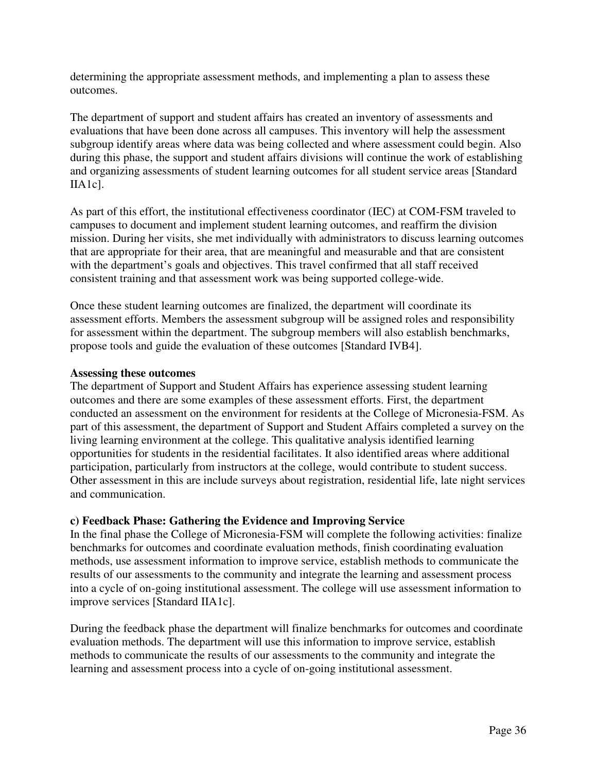determining the appropriate assessment methods, and implementing a plan to assess these outcomes.

The department of support and student affairs has created an inventory of assessments and evaluations that have been done across all campuses. This inventory will help the assessment subgroup identify areas where data was being collected and where assessment could begin. Also during this phase, the support and student affairs divisions will continue the work of establishing and organizing assessments of student learning outcomes for all student service areas [Standard IIA1c].

As part of this effort, the institutional effectiveness coordinator (IEC) at COM-FSM traveled to campuses to document and implement student learning outcomes, and reaffirm the division mission. During her visits, she met individually with administrators to discuss learning outcomes that are appropriate for their area, that are meaningful and measurable and that are consistent with the department's goals and objectives. This travel confirmed that all staff received consistent training and that assessment work was being supported college-wide.

Once these student learning outcomes are finalized, the department will coordinate its assessment efforts. Members the assessment subgroup will be assigned roles and responsibility for assessment within the department. The subgroup members will also establish benchmarks, propose tools and guide the evaluation of these outcomes [Standard IVB4].

#### **Assessing these outcomes**

The department of Support and Student Affairs has experience assessing student learning outcomes and there are some examples of these assessment efforts. First, the department conducted an assessment on the environment for residents at the College of Micronesia-FSM. As part of this assessment, the department of Support and Student Affairs completed a survey on the living learning environment at the college. This qualitative analysis identified learning opportunities for students in the residential facilitates. It also identified areas where additional participation, particularly from instructors at the college, would contribute to student success. Other assessment in this are include surveys about registration, residential life, late night services and communication.

### **c) Feedback Phase: Gathering the Evidence and Improving Service**

In the final phase the College of Micronesia-FSM will complete the following activities: finalize benchmarks for outcomes and coordinate evaluation methods, finish coordinating evaluation methods, use assessment information to improve service, establish methods to communicate the results of our assessments to the community and integrate the learning and assessment process into a cycle of on-going institutional assessment. The college will use assessment information to improve services [Standard IIA1c].

During the feedback phase the department will finalize benchmarks for outcomes and coordinate evaluation methods. The department will use this information to improve service, establish methods to communicate the results of our assessments to the community and integrate the learning and assessment process into a cycle of on-going institutional assessment.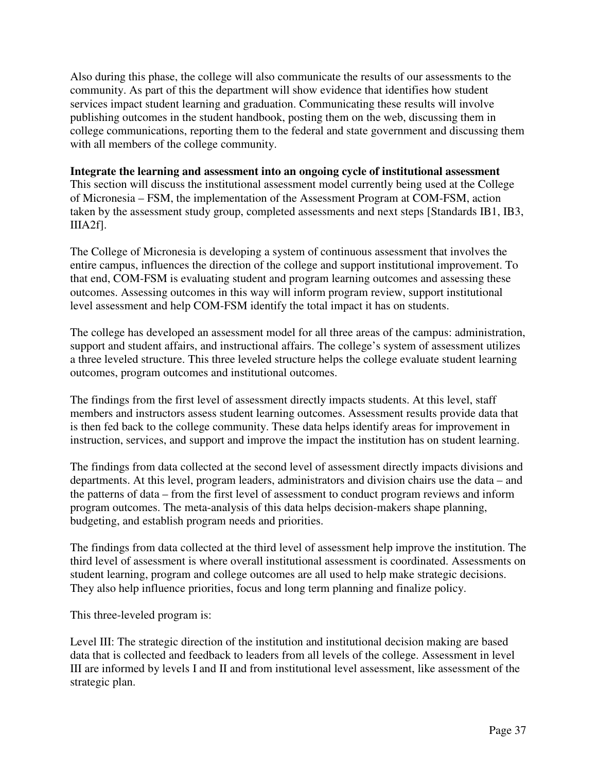Also during this phase, the college will also communicate the results of our assessments to the community. As part of this the department will show evidence that identifies how student services impact student learning and graduation. Communicating these results will involve publishing outcomes in the student handbook, posting them on the web, discussing them in college communications, reporting them to the federal and state government and discussing them with all members of the college community.

### **Integrate the learning and assessment into an ongoing cycle of institutional assessment**

This section will discuss the institutional assessment model currently being used at the College of Micronesia – FSM, the implementation of the Assessment Program at COM-FSM, action taken by the assessment study group, completed assessments and next steps [Standards IB1, IB3, IIIA2f].

The College of Micronesia is developing a system of continuous assessment that involves the entire campus, influences the direction of the college and support institutional improvement. To that end, COM-FSM is evaluating student and program learning outcomes and assessing these outcomes. Assessing outcomes in this way will inform program review, support institutional level assessment and help COM-FSM identify the total impact it has on students.

The college has developed an assessment model for all three areas of the campus: administration, support and student affairs, and instructional affairs. The college's system of assessment utilizes a three leveled structure. This three leveled structure helps the college evaluate student learning outcomes, program outcomes and institutional outcomes.

The findings from the first level of assessment directly impacts students. At this level, staff members and instructors assess student learning outcomes. Assessment results provide data that is then fed back to the college community. These data helps identify areas for improvement in instruction, services, and support and improve the impact the institution has on student learning.

The findings from data collected at the second level of assessment directly impacts divisions and departments. At this level, program leaders, administrators and division chairs use the data – and the patterns of data – from the first level of assessment to conduct program reviews and inform program outcomes. The meta-analysis of this data helps decision-makers shape planning, budgeting, and establish program needs and priorities.

The findings from data collected at the third level of assessment help improve the institution. The third level of assessment is where overall institutional assessment is coordinated. Assessments on student learning, program and college outcomes are all used to help make strategic decisions. They also help influence priorities, focus and long term planning and finalize policy.

This three-leveled program is:

Level III: The strategic direction of the institution and institutional decision making are based data that is collected and feedback to leaders from all levels of the college. Assessment in level III are informed by levels I and II and from institutional level assessment, like assessment of the strategic plan.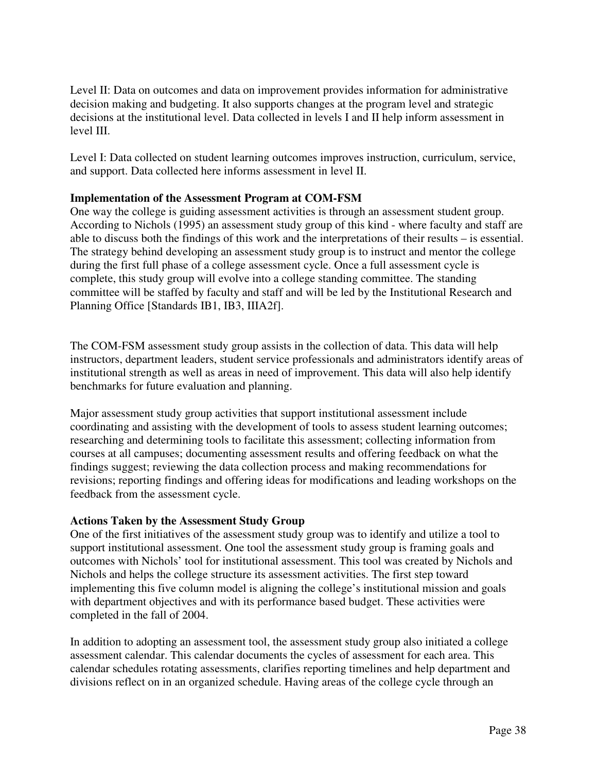Level II: Data on outcomes and data on improvement provides information for administrative decision making and budgeting. It also supports changes at the program level and strategic decisions at the institutional level. Data collected in levels I and II help inform assessment in level III.

Level I: Data collected on student learning outcomes improves instruction, curriculum, service, and support. Data collected here informs assessment in level II.

### **Implementation of the Assessment Program at COM-FSM**

One way the college is guiding assessment activities is through an assessment student group. According to Nichols (1995) an assessment study group of this kind - where faculty and staff are able to discuss both the findings of this work and the interpretations of their results – is essential. The strategy behind developing an assessment study group is to instruct and mentor the college during the first full phase of a college assessment cycle. Once a full assessment cycle is complete, this study group will evolve into a college standing committee. The standing committee will be staffed by faculty and staff and will be led by the Institutional Research and Planning Office [Standards IB1, IB3, IIIA2f].

The COM-FSM assessment study group assists in the collection of data. This data will help instructors, department leaders, student service professionals and administrators identify areas of institutional strength as well as areas in need of improvement. This data will also help identify benchmarks for future evaluation and planning.

Major assessment study group activities that support institutional assessment include coordinating and assisting with the development of tools to assess student learning outcomes; researching and determining tools to facilitate this assessment; collecting information from courses at all campuses; documenting assessment results and offering feedback on what the findings suggest; reviewing the data collection process and making recommendations for revisions; reporting findings and offering ideas for modifications and leading workshops on the feedback from the assessment cycle.

### **Actions Taken by the Assessment Study Group**

One of the first initiatives of the assessment study group was to identify and utilize a tool to support institutional assessment. One tool the assessment study group is framing goals and outcomes with Nichols' tool for institutional assessment. This tool was created by Nichols and Nichols and helps the college structure its assessment activities. The first step toward implementing this five column model is aligning the college's institutional mission and goals with department objectives and with its performance based budget. These activities were completed in the fall of 2004.

In addition to adopting an assessment tool, the assessment study group also initiated a college assessment calendar. This calendar documents the cycles of assessment for each area. This calendar schedules rotating assessments, clarifies reporting timelines and help department and divisions reflect on in an organized schedule. Having areas of the college cycle through an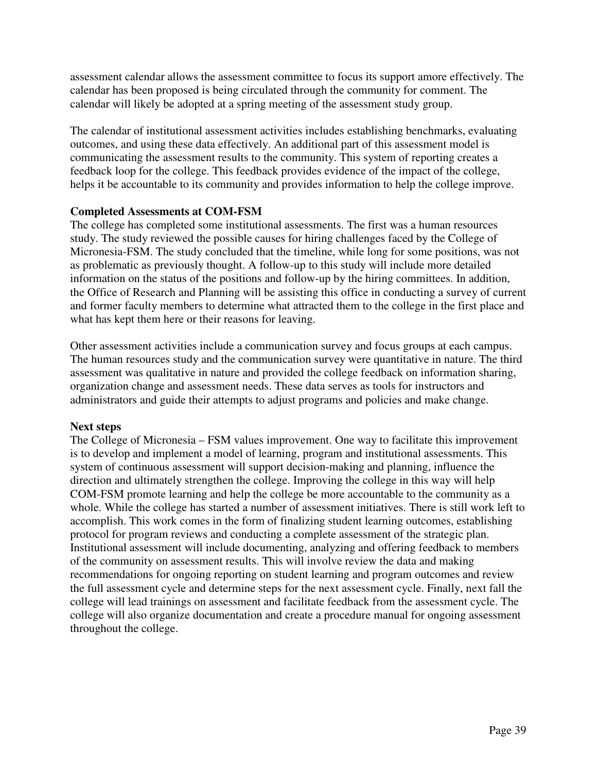assessment calendar allows the assessment committee to focus its support amore effectively. The calendar has been proposed is being circulated through the community for comment. The calendar will likely be adopted at a spring meeting of the assessment study group.

The calendar of institutional assessment activities includes establishing benchmarks, evaluating outcomes, and using these data effectively. An additional part of this assessment model is communicating the assessment results to the community. This system of reporting creates a feedback loop for the college. This feedback provides evidence of the impact of the college, helps it be accountable to its community and provides information to help the college improve.

### **Completed Assessments at COM-FSM**

The college has completed some institutional assessments. The first was a human resources study. The study reviewed the possible causes for hiring challenges faced by the College of Micronesia-FSM. The study concluded that the timeline, while long for some positions, was not as problematic as previously thought. A follow-up to this study will include more detailed information on the status of the positions and follow-up by the hiring committees. In addition, the Office of Research and Planning will be assisting this office in conducting a survey of current and former faculty members to determine what attracted them to the college in the first place and what has kept them here or their reasons for leaving.

Other assessment activities include a communication survey and focus groups at each campus. The human resources study and the communication survey were quantitative in nature. The third assessment was qualitative in nature and provided the college feedback on information sharing, organization change and assessment needs. These data serves as tools for instructors and administrators and guide their attempts to adjust programs and policies and make change.

## **Next steps**

The College of Micronesia – FSM values improvement. One way to facilitate this improvement is to develop and implement a model of learning, program and institutional assessments. This system of continuous assessment will support decision-making and planning, influence the direction and ultimately strengthen the college. Improving the college in this way will help COM-FSM promote learning and help the college be more accountable to the community as a whole. While the college has started a number of assessment initiatives. There is still work left to accomplish. This work comes in the form of finalizing student learning outcomes, establishing protocol for program reviews and conducting a complete assessment of the strategic plan. Institutional assessment will include documenting, analyzing and offering feedback to members of the community on assessment results. This will involve review the data and making recommendations for ongoing reporting on student learning and program outcomes and review the full assessment cycle and determine steps for the next assessment cycle. Finally, next fall the college will lead trainings on assessment and facilitate feedback from the assessment cycle. The college will also organize documentation and create a procedure manual for ongoing assessment throughout the college.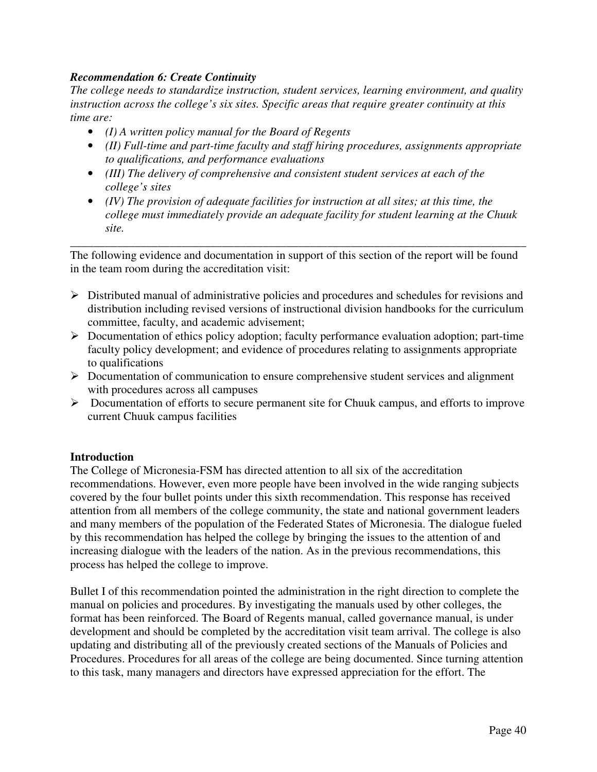## *Recommendation 6: Create Continuity*

*The college needs to standardize instruction, student services, learning environment, and quality instruction across the college's six sites. Specific areas that require greater continuity at this time are:* 

- *(I) A written policy manual for the Board of Regents*
- *(II) Full-time and part-time faculty and staff hiring procedures, assignments appropriate to qualifications, and performance evaluations*
- *(III) The delivery of comprehensive and consistent student services at each of the college's sites*
- *(IV) The provision of adequate facilities for instruction at all sites; at this time, the college must immediately provide an adequate facility for student learning at the Chuuk site.*

The following evidence and documentation in support of this section of the report will be found in the team room during the accreditation visit:

\_\_\_\_\_\_\_\_\_\_\_\_\_\_\_\_\_\_\_\_\_\_\_\_\_\_\_\_\_\_\_\_\_\_\_\_\_\_\_\_\_\_\_\_\_\_\_\_\_\_\_\_\_\_\_\_\_\_\_\_\_\_\_\_\_\_\_\_\_\_\_\_\_\_\_\_\_\_

- $\triangleright$  Distributed manual of administrative policies and procedures and schedules for revisions and distribution including revised versions of instructional division handbooks for the curriculum committee, faculty, and academic advisement;
- $\triangleright$  Documentation of ethics policy adoption; faculty performance evaluation adoption; part-time faculty policy development; and evidence of procedures relating to assignments appropriate to qualifications
- $\triangleright$  Documentation of communication to ensure comprehensive student services and alignment with procedures across all campuses
- $\triangleright$  Documentation of efforts to secure permanent site for Chuuk campus, and efforts to improve current Chuuk campus facilities

### **Introduction**

The College of Micronesia-FSM has directed attention to all six of the accreditation recommendations. However, even more people have been involved in the wide ranging subjects covered by the four bullet points under this sixth recommendation. This response has received attention from all members of the college community, the state and national government leaders and many members of the population of the Federated States of Micronesia. The dialogue fueled by this recommendation has helped the college by bringing the issues to the attention of and increasing dialogue with the leaders of the nation. As in the previous recommendations, this process has helped the college to improve.

Bullet I of this recommendation pointed the administration in the right direction to complete the manual on policies and procedures. By investigating the manuals used by other colleges, the format has been reinforced. The Board of Regents manual, called governance manual, is under development and should be completed by the accreditation visit team arrival. The college is also updating and distributing all of the previously created sections of the Manuals of Policies and Procedures. Procedures for all areas of the college are being documented. Since turning attention to this task, many managers and directors have expressed appreciation for the effort. The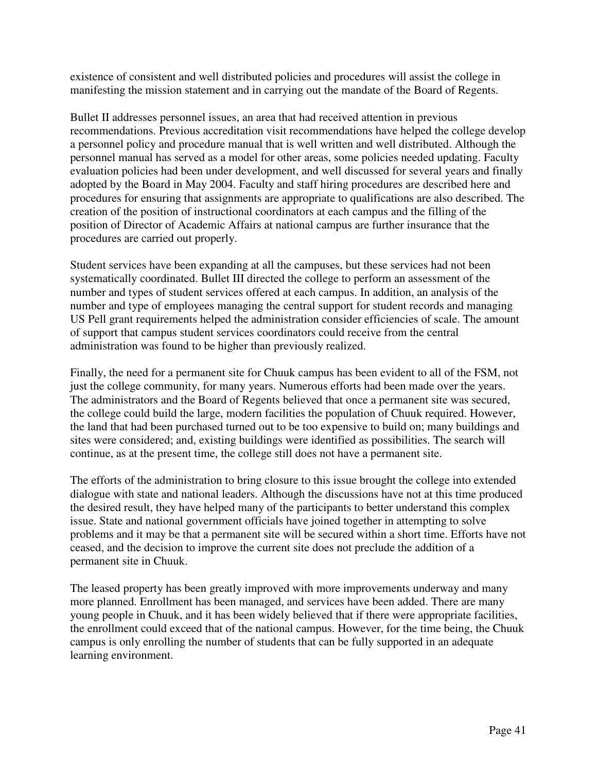existence of consistent and well distributed policies and procedures will assist the college in manifesting the mission statement and in carrying out the mandate of the Board of Regents.

Bullet II addresses personnel issues, an area that had received attention in previous recommendations. Previous accreditation visit recommendations have helped the college develop a personnel policy and procedure manual that is well written and well distributed. Although the personnel manual has served as a model for other areas, some policies needed updating. Faculty evaluation policies had been under development, and well discussed for several years and finally adopted by the Board in May 2004. Faculty and staff hiring procedures are described here and procedures for ensuring that assignments are appropriate to qualifications are also described. The creation of the position of instructional coordinators at each campus and the filling of the position of Director of Academic Affairs at national campus are further insurance that the procedures are carried out properly.

Student services have been expanding at all the campuses, but these services had not been systematically coordinated. Bullet III directed the college to perform an assessment of the number and types of student services offered at each campus. In addition, an analysis of the number and type of employees managing the central support for student records and managing US Pell grant requirements helped the administration consider efficiencies of scale. The amount of support that campus student services coordinators could receive from the central administration was found to be higher than previously realized.

Finally, the need for a permanent site for Chuuk campus has been evident to all of the FSM, not just the college community, for many years. Numerous efforts had been made over the years. The administrators and the Board of Regents believed that once a permanent site was secured, the college could build the large, modern facilities the population of Chuuk required. However, the land that had been purchased turned out to be too expensive to build on; many buildings and sites were considered; and, existing buildings were identified as possibilities. The search will continue, as at the present time, the college still does not have a permanent site.

The efforts of the administration to bring closure to this issue brought the college into extended dialogue with state and national leaders. Although the discussions have not at this time produced the desired result, they have helped many of the participants to better understand this complex issue. State and national government officials have joined together in attempting to solve problems and it may be that a permanent site will be secured within a short time. Efforts have not ceased, and the decision to improve the current site does not preclude the addition of a permanent site in Chuuk.

The leased property has been greatly improved with more improvements underway and many more planned. Enrollment has been managed, and services have been added. There are many young people in Chuuk, and it has been widely believed that if there were appropriate facilities, the enrollment could exceed that of the national campus. However, for the time being, the Chuuk campus is only enrolling the number of students that can be fully supported in an adequate learning environment.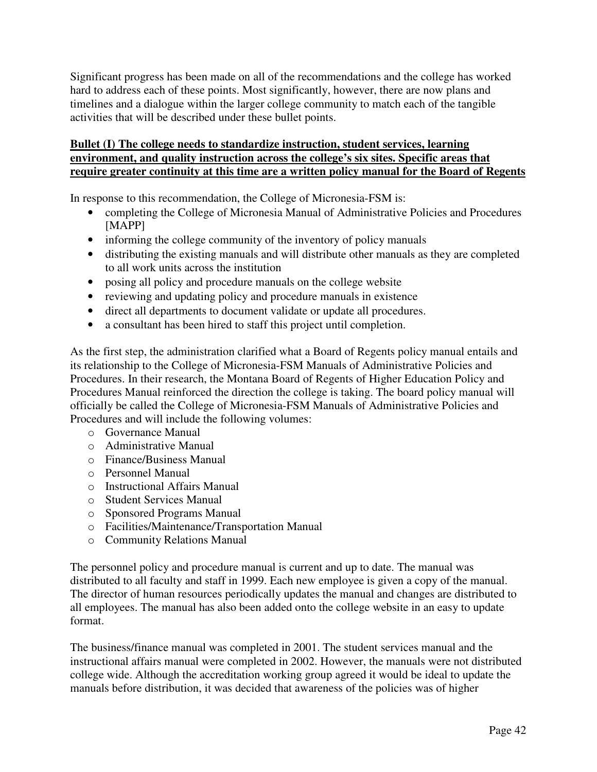Significant progress has been made on all of the recommendations and the college has worked hard to address each of these points. Most significantly, however, there are now plans and timelines and a dialogue within the larger college community to match each of the tangible activities that will be described under these bullet points.

## **Bullet (I) The college needs to standardize instruction, student services, learning environment, and quality instruction across the college's six sites. Specific areas that require greater continuity at this time are a written policy manual for the Board of Regents**

In response to this recommendation, the College of Micronesia-FSM is:

- completing the College of Micronesia Manual of Administrative Policies and Procedures [MAPP]
- informing the college community of the inventory of policy manuals
- distributing the existing manuals and will distribute other manuals as they are completed to all work units across the institution
- posing all policy and procedure manuals on the college website
- reviewing and updating policy and procedure manuals in existence
- direct all departments to document validate or update all procedures.
- a consultant has been hired to staff this project until completion.

As the first step, the administration clarified what a Board of Regents policy manual entails and its relationship to the College of Micronesia-FSM Manuals of Administrative Policies and Procedures. In their research, the Montana Board of Regents of Higher Education Policy and Procedures Manual reinforced the direction the college is taking. The board policy manual will officially be called the College of Micronesia-FSM Manuals of Administrative Policies and Procedures and will include the following volumes:

- o Governance Manual
- o Administrative Manual
- o Finance/Business Manual
- o Personnel Manual
- o Instructional Affairs Manual
- o Student Services Manual
- o Sponsored Programs Manual
- o Facilities/Maintenance/Transportation Manual
- o Community Relations Manual

The personnel policy and procedure manual is current and up to date. The manual was distributed to all faculty and staff in 1999. Each new employee is given a copy of the manual. The director of human resources periodically updates the manual and changes are distributed to all employees. The manual has also been added onto the college website in an easy to update format.

The business/finance manual was completed in 2001. The student services manual and the instructional affairs manual were completed in 2002. However, the manuals were not distributed college wide. Although the accreditation working group agreed it would be ideal to update the manuals before distribution, it was decided that awareness of the policies was of higher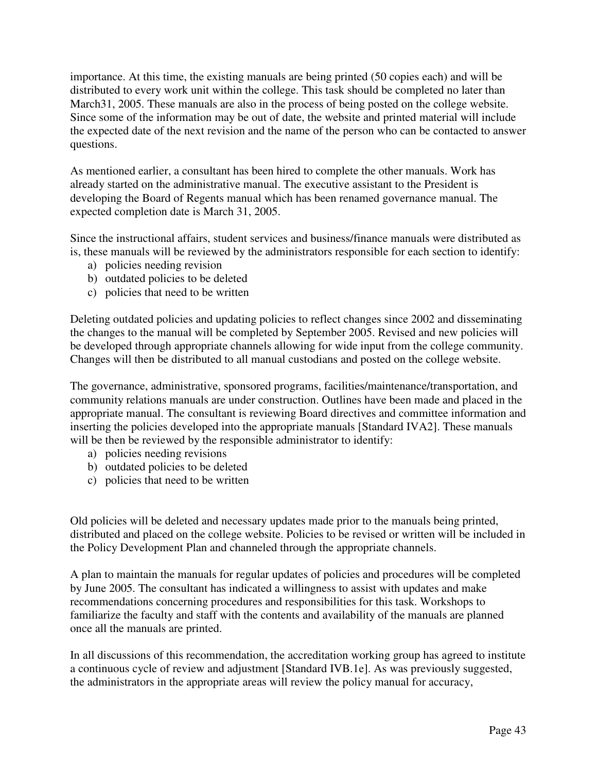importance. At this time, the existing manuals are being printed (50 copies each) and will be distributed to every work unit within the college. This task should be completed no later than March31, 2005. These manuals are also in the process of being posted on the college website. Since some of the information may be out of date, the website and printed material will include the expected date of the next revision and the name of the person who can be contacted to answer questions.

As mentioned earlier, a consultant has been hired to complete the other manuals. Work has already started on the administrative manual. The executive assistant to the President is developing the Board of Regents manual which has been renamed governance manual. The expected completion date is March 31, 2005.

Since the instructional affairs, student services and business/finance manuals were distributed as is, these manuals will be reviewed by the administrators responsible for each section to identify:

- a) policies needing revision
- b) outdated policies to be deleted
- c) policies that need to be written

Deleting outdated policies and updating policies to reflect changes since 2002 and disseminating the changes to the manual will be completed by September 2005. Revised and new policies will be developed through appropriate channels allowing for wide input from the college community. Changes will then be distributed to all manual custodians and posted on the college website.

The governance, administrative, sponsored programs, facilities/maintenance/transportation, and community relations manuals are under construction. Outlines have been made and placed in the appropriate manual. The consultant is reviewing Board directives and committee information and inserting the policies developed into the appropriate manuals [Standard IVA2]. These manuals will be then be reviewed by the responsible administrator to identify:

- a) policies needing revisions
- b) outdated policies to be deleted
- c) policies that need to be written

Old policies will be deleted and necessary updates made prior to the manuals being printed, distributed and placed on the college website. Policies to be revised or written will be included in the Policy Development Plan and channeled through the appropriate channels.

A plan to maintain the manuals for regular updates of policies and procedures will be completed by June 2005. The consultant has indicated a willingness to assist with updates and make recommendations concerning procedures and responsibilities for this task. Workshops to familiarize the faculty and staff with the contents and availability of the manuals are planned once all the manuals are printed.

In all discussions of this recommendation, the accreditation working group has agreed to institute a continuous cycle of review and adjustment [Standard IVB.1e]. As was previously suggested, the administrators in the appropriate areas will review the policy manual for accuracy,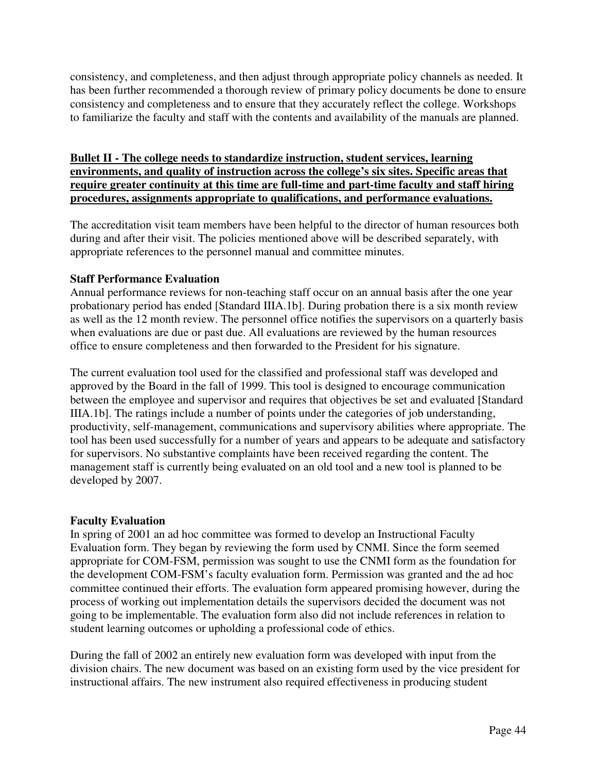consistency, and completeness, and then adjust through appropriate policy channels as needed. It has been further recommended a thorough review of primary policy documents be done to ensure consistency and completeness and to ensure that they accurately reflect the college. Workshops to familiarize the faculty and staff with the contents and availability of the manuals are planned.

### **Bullet II - The college needs to standardize instruction, student services, learning environments, and quality of instruction across the college's six sites. Specific areas that require greater continuity at this time are full-time and part-time faculty and staff hiring procedures, assignments appropriate to qualifications, and performance evaluations.**

The accreditation visit team members have been helpful to the director of human resources both during and after their visit. The policies mentioned above will be described separately, with appropriate references to the personnel manual and committee minutes.

## **Staff Performance Evaluation**

Annual performance reviews for non-teaching staff occur on an annual basis after the one year probationary period has ended [Standard IIIA.1b]. During probation there is a six month review as well as the 12 month review. The personnel office notifies the supervisors on a quarterly basis when evaluations are due or past due. All evaluations are reviewed by the human resources office to ensure completeness and then forwarded to the President for his signature.

The current evaluation tool used for the classified and professional staff was developed and approved by the Board in the fall of 1999. This tool is designed to encourage communication between the employee and supervisor and requires that objectives be set and evaluated [Standard IIIA.1b]. The ratings include a number of points under the categories of job understanding, productivity, self-management, communications and supervisory abilities where appropriate. The tool has been used successfully for a number of years and appears to be adequate and satisfactory for supervisors. No substantive complaints have been received regarding the content. The management staff is currently being evaluated on an old tool and a new tool is planned to be developed by 2007.

### **Faculty Evaluation**

In spring of 2001 an ad hoc committee was formed to develop an Instructional Faculty Evaluation form. They began by reviewing the form used by CNMI. Since the form seemed appropriate for COM-FSM, permission was sought to use the CNMI form as the foundation for the development COM-FSM's faculty evaluation form. Permission was granted and the ad hoc committee continued their efforts. The evaluation form appeared promising however, during the process of working out implementation details the supervisors decided the document was not going to be implementable. The evaluation form also did not include references in relation to student learning outcomes or upholding a professional code of ethics.

During the fall of 2002 an entirely new evaluation form was developed with input from the division chairs. The new document was based on an existing form used by the vice president for instructional affairs. The new instrument also required effectiveness in producing student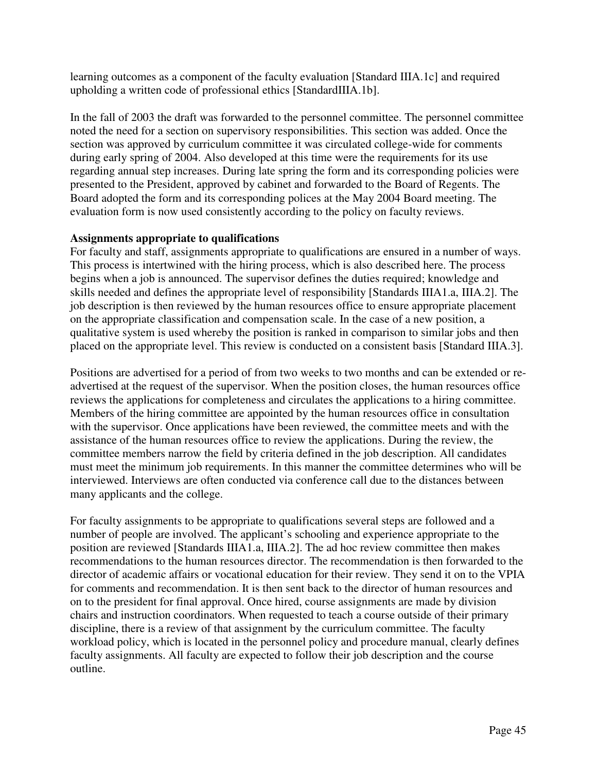learning outcomes as a component of the faculty evaluation [Standard IIIA.1c] and required upholding a written code of professional ethics [StandardIIIA.1b].

In the fall of 2003 the draft was forwarded to the personnel committee. The personnel committee noted the need for a section on supervisory responsibilities. This section was added. Once the section was approved by curriculum committee it was circulated college-wide for comments during early spring of 2004. Also developed at this time were the requirements for its use regarding annual step increases. During late spring the form and its corresponding policies were presented to the President, approved by cabinet and forwarded to the Board of Regents. The Board adopted the form and its corresponding polices at the May 2004 Board meeting. The evaluation form is now used consistently according to the policy on faculty reviews.

### **Assignments appropriate to qualifications**

For faculty and staff, assignments appropriate to qualifications are ensured in a number of ways. This process is intertwined with the hiring process, which is also described here. The process begins when a job is announced. The supervisor defines the duties required; knowledge and skills needed and defines the appropriate level of responsibility [Standards IIIA1.a, IIIA.2]. The job description is then reviewed by the human resources office to ensure appropriate placement on the appropriate classification and compensation scale. In the case of a new position, a qualitative system is used whereby the position is ranked in comparison to similar jobs and then placed on the appropriate level. This review is conducted on a consistent basis [Standard IIIA.3].

Positions are advertised for a period of from two weeks to two months and can be extended or readvertised at the request of the supervisor. When the position closes, the human resources office reviews the applications for completeness and circulates the applications to a hiring committee. Members of the hiring committee are appointed by the human resources office in consultation with the supervisor. Once applications have been reviewed, the committee meets and with the assistance of the human resources office to review the applications. During the review, the committee members narrow the field by criteria defined in the job description. All candidates must meet the minimum job requirements. In this manner the committee determines who will be interviewed. Interviews are often conducted via conference call due to the distances between many applicants and the college.

For faculty assignments to be appropriate to qualifications several steps are followed and a number of people are involved. The applicant's schooling and experience appropriate to the position are reviewed [Standards IIIA1.a, IIIA.2]. The ad hoc review committee then makes recommendations to the human resources director. The recommendation is then forwarded to the director of academic affairs or vocational education for their review. They send it on to the VPIA for comments and recommendation. It is then sent back to the director of human resources and on to the president for final approval. Once hired, course assignments are made by division chairs and instruction coordinators. When requested to teach a course outside of their primary discipline, there is a review of that assignment by the curriculum committee. The faculty workload policy, which is located in the personnel policy and procedure manual, clearly defines faculty assignments. All faculty are expected to follow their job description and the course outline.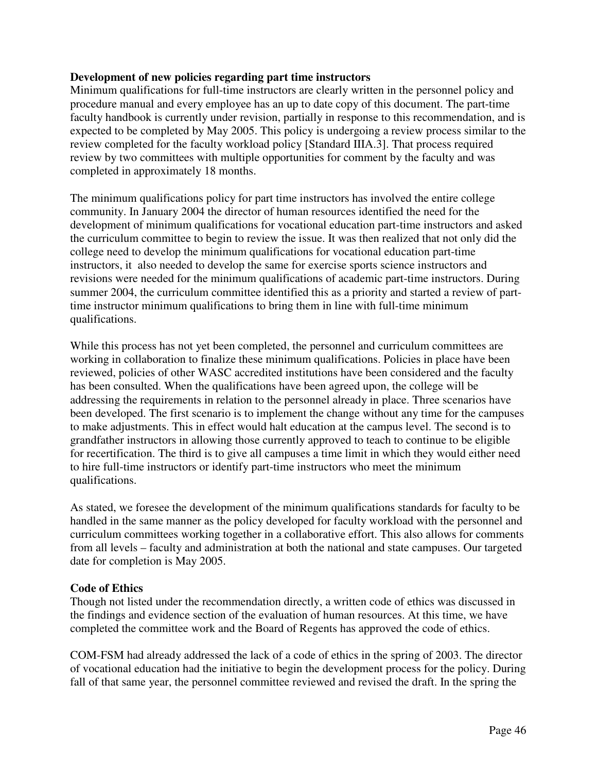### **Development of new policies regarding part time instructors**

Minimum qualifications for full-time instructors are clearly written in the personnel policy and procedure manual and every employee has an up to date copy of this document. The part-time faculty handbook is currently under revision, partially in response to this recommendation, and is expected to be completed by May 2005. This policy is undergoing a review process similar to the review completed for the faculty workload policy [Standard IIIA.3]. That process required review by two committees with multiple opportunities for comment by the faculty and was completed in approximately 18 months.

The minimum qualifications policy for part time instructors has involved the entire college community. In January 2004 the director of human resources identified the need for the development of minimum qualifications for vocational education part-time instructors and asked the curriculum committee to begin to review the issue. It was then realized that not only did the college need to develop the minimum qualifications for vocational education part-time instructors, it also needed to develop the same for exercise sports science instructors and revisions were needed for the minimum qualifications of academic part-time instructors. During summer 2004, the curriculum committee identified this as a priority and started a review of parttime instructor minimum qualifications to bring them in line with full-time minimum qualifications.

While this process has not yet been completed, the personnel and curriculum committees are working in collaboration to finalize these minimum qualifications. Policies in place have been reviewed, policies of other WASC accredited institutions have been considered and the faculty has been consulted. When the qualifications have been agreed upon, the college will be addressing the requirements in relation to the personnel already in place. Three scenarios have been developed. The first scenario is to implement the change without any time for the campuses to make adjustments. This in effect would halt education at the campus level. The second is to grandfather instructors in allowing those currently approved to teach to continue to be eligible for recertification. The third is to give all campuses a time limit in which they would either need to hire full-time instructors or identify part-time instructors who meet the minimum qualifications.

As stated, we foresee the development of the minimum qualifications standards for faculty to be handled in the same manner as the policy developed for faculty workload with the personnel and curriculum committees working together in a collaborative effort. This also allows for comments from all levels – faculty and administration at both the national and state campuses. Our targeted date for completion is May 2005.

## **Code of Ethics**

Though not listed under the recommendation directly, a written code of ethics was discussed in the findings and evidence section of the evaluation of human resources. At this time, we have completed the committee work and the Board of Regents has approved the code of ethics.

COM-FSM had already addressed the lack of a code of ethics in the spring of 2003. The director of vocational education had the initiative to begin the development process for the policy. During fall of that same year, the personnel committee reviewed and revised the draft. In the spring the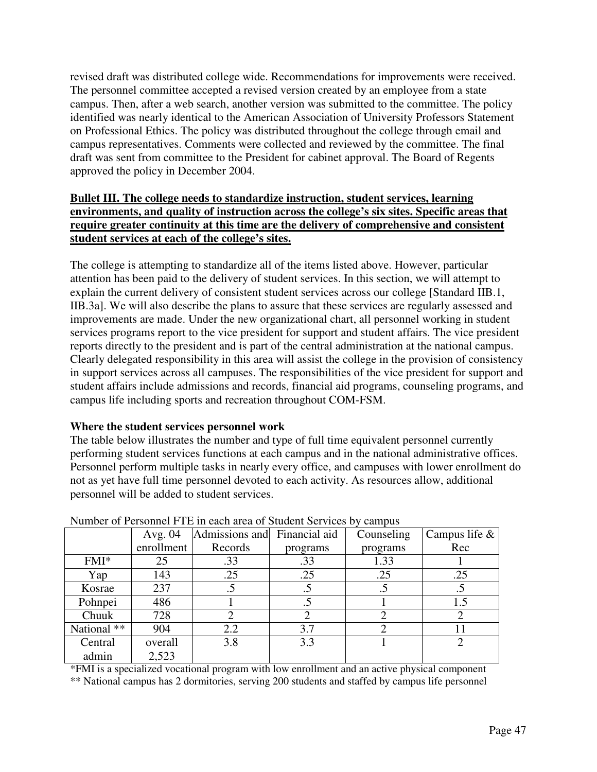revised draft was distributed college wide. Recommendations for improvements were received. The personnel committee accepted a revised version created by an employee from a state campus. Then, after a web search, another version was submitted to the committee. The policy identified was nearly identical to the American Association of University Professors Statement on Professional Ethics. The policy was distributed throughout the college through email and campus representatives. Comments were collected and reviewed by the committee. The final draft was sent from committee to the President for cabinet approval. The Board of Regents approved the policy in December 2004.

## **Bullet III. The college needs to standardize instruction, student services, learning environments, and quality of instruction across the college's six sites. Specific areas that require greater continuity at this time are the delivery of comprehensive and consistent student services at each of the college's sites.**

The college is attempting to standardize all of the items listed above. However, particular attention has been paid to the delivery of student services. In this section, we will attempt to explain the current delivery of consistent student services across our college [Standard IIB.1, IIB.3a]. We will also describe the plans to assure that these services are regularly assessed and improvements are made. Under the new organizational chart, all personnel working in student services programs report to the vice president for support and student affairs. The vice president reports directly to the president and is part of the central administration at the national campus. Clearly delegated responsibility in this area will assist the college in the provision of consistency in support services across all campuses. The responsibilities of the vice president for support and student affairs include admissions and records, financial aid programs, counseling programs, and campus life including sports and recreation throughout COM-FSM.

## **Where the student services personnel work**

The table below illustrates the number and type of full time equivalent personnel currently performing student services functions at each campus and in the national administrative offices. Personnel perform multiple tasks in nearly every office, and campuses with lower enrollment do not as yet have full time personnel devoted to each activity. As resources allow, additional personnel will be added to student services.

| $\ldots$ . The consequence of $\ldots$ is the contracted of $\ldots$ of $\ldots$ . The contraction of $\ldots$ |            |                              |                             |            |                  |
|----------------------------------------------------------------------------------------------------------------|------------|------------------------------|-----------------------------|------------|------------------|
|                                                                                                                | Avg. $04$  | Admissions and Financial aid |                             | Counseling | Campus life $\&$ |
|                                                                                                                | enrollment | Records                      | programs                    | programs   | Rec              |
| $FMI^*$                                                                                                        | 25         | .33                          | .33                         | 1.33       |                  |
| Yap                                                                                                            | 143        | .25                          | .25                         | .25        | .25              |
| Kosrae                                                                                                         | 237        |                              |                             | .5         |                  |
| Pohnpei                                                                                                        | 486        |                              |                             |            | 1.5              |
| Chuuk                                                                                                          | 728        | $\overline{2}$               | $\mathcal{D}_{\mathcal{L}}$ |            | 2                |
| National **                                                                                                    | 904        | 2.2                          | 3.7                         |            |                  |
| Central                                                                                                        | overall    | 3.8                          | 3.3                         |            |                  |
| admin                                                                                                          | 2,523      |                              |                             |            |                  |

### Number of Personnel FTE in each area of Student Services by campus

\*FMI is a specialized vocational program with low enrollment and an active physical component \*\* National campus has 2 dormitories, serving 200 students and staffed by campus life personnel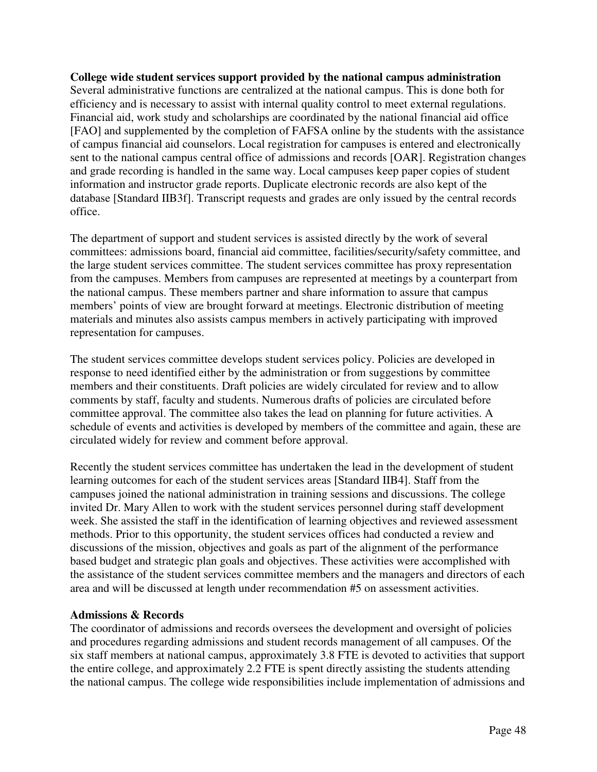## **College wide student services support provided by the national campus administration**  Several administrative functions are centralized at the national campus. This is done both for efficiency and is necessary to assist with internal quality control to meet external regulations. Financial aid, work study and scholarships are coordinated by the national financial aid office [FAO] and supplemented by the completion of FAFSA online by the students with the assistance of campus financial aid counselors. Local registration for campuses is entered and electronically sent to the national campus central office of admissions and records [OAR]. Registration changes and grade recording is handled in the same way. Local campuses keep paper copies of student information and instructor grade reports. Duplicate electronic records are also kept of the database [Standard IIB3f]. Transcript requests and grades are only issued by the central records office.

The department of support and student services is assisted directly by the work of several committees: admissions board, financial aid committee, facilities/security/safety committee, and the large student services committee. The student services committee has proxy representation from the campuses. Members from campuses are represented at meetings by a counterpart from the national campus. These members partner and share information to assure that campus members' points of view are brought forward at meetings. Electronic distribution of meeting materials and minutes also assists campus members in actively participating with improved representation for campuses.

The student services committee develops student services policy. Policies are developed in response to need identified either by the administration or from suggestions by committee members and their constituents. Draft policies are widely circulated for review and to allow comments by staff, faculty and students. Numerous drafts of policies are circulated before committee approval. The committee also takes the lead on planning for future activities. A schedule of events and activities is developed by members of the committee and again, these are circulated widely for review and comment before approval.

Recently the student services committee has undertaken the lead in the development of student learning outcomes for each of the student services areas [Standard IIB4]. Staff from the campuses joined the national administration in training sessions and discussions. The college invited Dr. Mary Allen to work with the student services personnel during staff development week. She assisted the staff in the identification of learning objectives and reviewed assessment methods. Prior to this opportunity, the student services offices had conducted a review and discussions of the mission, objectives and goals as part of the alignment of the performance based budget and strategic plan goals and objectives. These activities were accomplished with the assistance of the student services committee members and the managers and directors of each area and will be discussed at length under recommendation #5 on assessment activities.

### **Admissions & Records**

The coordinator of admissions and records oversees the development and oversight of policies and procedures regarding admissions and student records management of all campuses. Of the six staff members at national campus, approximately 3.8 FTE is devoted to activities that support the entire college, and approximately 2.2 FTE is spent directly assisting the students attending the national campus. The college wide responsibilities include implementation of admissions and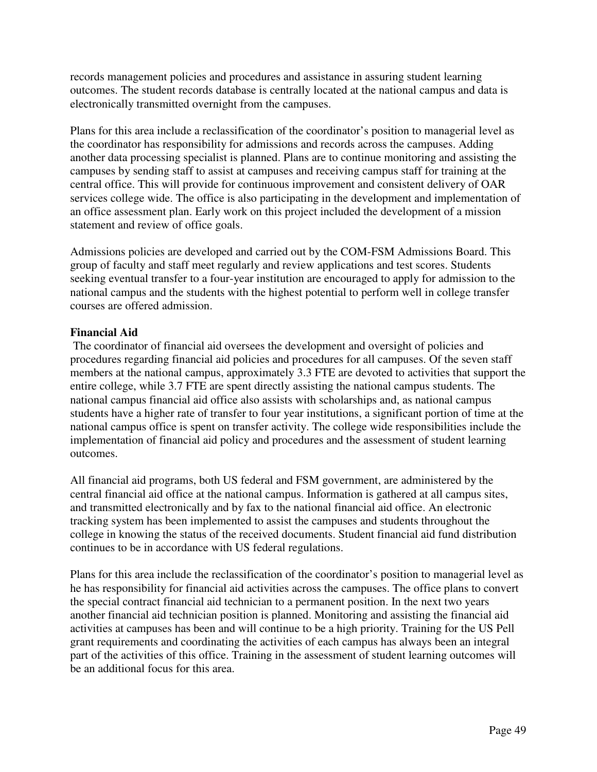records management policies and procedures and assistance in assuring student learning outcomes. The student records database is centrally located at the national campus and data is electronically transmitted overnight from the campuses.

Plans for this area include a reclassification of the coordinator's position to managerial level as the coordinator has responsibility for admissions and records across the campuses. Adding another data processing specialist is planned. Plans are to continue monitoring and assisting the campuses by sending staff to assist at campuses and receiving campus staff for training at the central office. This will provide for continuous improvement and consistent delivery of OAR services college wide. The office is also participating in the development and implementation of an office assessment plan. Early work on this project included the development of a mission statement and review of office goals.

Admissions policies are developed and carried out by the COM-FSM Admissions Board. This group of faculty and staff meet regularly and review applications and test scores. Students seeking eventual transfer to a four-year institution are encouraged to apply for admission to the national campus and the students with the highest potential to perform well in college transfer courses are offered admission.

## **Financial Aid**

 The coordinator of financial aid oversees the development and oversight of policies and procedures regarding financial aid policies and procedures for all campuses. Of the seven staff members at the national campus, approximately 3.3 FTE are devoted to activities that support the entire college, while 3.7 FTE are spent directly assisting the national campus students. The national campus financial aid office also assists with scholarships and, as national campus students have a higher rate of transfer to four year institutions, a significant portion of time at the national campus office is spent on transfer activity. The college wide responsibilities include the implementation of financial aid policy and procedures and the assessment of student learning outcomes.

All financial aid programs, both US federal and FSM government, are administered by the central financial aid office at the national campus. Information is gathered at all campus sites, and transmitted electronically and by fax to the national financial aid office. An electronic tracking system has been implemented to assist the campuses and students throughout the college in knowing the status of the received documents. Student financial aid fund distribution continues to be in accordance with US federal regulations.

Plans for this area include the reclassification of the coordinator's position to managerial level as he has responsibility for financial aid activities across the campuses. The office plans to convert the special contract financial aid technician to a permanent position. In the next two years another financial aid technician position is planned. Monitoring and assisting the financial aid activities at campuses has been and will continue to be a high priority. Training for the US Pell grant requirements and coordinating the activities of each campus has always been an integral part of the activities of this office. Training in the assessment of student learning outcomes will be an additional focus for this area.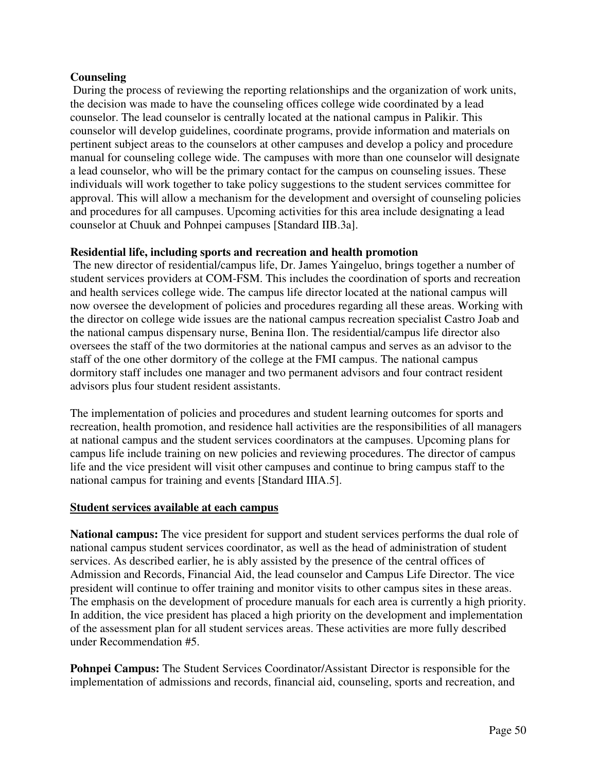### **Counseling**

 During the process of reviewing the reporting relationships and the organization of work units, the decision was made to have the counseling offices college wide coordinated by a lead counselor. The lead counselor is centrally located at the national campus in Palikir. This counselor will develop guidelines, coordinate programs, provide information and materials on pertinent subject areas to the counselors at other campuses and develop a policy and procedure manual for counseling college wide. The campuses with more than one counselor will designate a lead counselor, who will be the primary contact for the campus on counseling issues. These individuals will work together to take policy suggestions to the student services committee for approval. This will allow a mechanism for the development and oversight of counseling policies and procedures for all campuses. Upcoming activities for this area include designating a lead counselor at Chuuk and Pohnpei campuses [Standard IIB.3a].

### **Residential life, including sports and recreation and health promotion**

The new director of residential/campus life, Dr. James Yaingeluo, brings together a number of student services providers at COM-FSM. This includes the coordination of sports and recreation and health services college wide. The campus life director located at the national campus will now oversee the development of policies and procedures regarding all these areas. Working with the director on college wide issues are the national campus recreation specialist Castro Joab and the national campus dispensary nurse, Benina Ilon. The residential/campus life director also oversees the staff of the two dormitories at the national campus and serves as an advisor to the staff of the one other dormitory of the college at the FMI campus. The national campus dormitory staff includes one manager and two permanent advisors and four contract resident advisors plus four student resident assistants.

The implementation of policies and procedures and student learning outcomes for sports and recreation, health promotion, and residence hall activities are the responsibilities of all managers at national campus and the student services coordinators at the campuses. Upcoming plans for campus life include training on new policies and reviewing procedures. The director of campus life and the vice president will visit other campuses and continue to bring campus staff to the national campus for training and events [Standard IIIA.5].

### **Student services available at each campus**

**National campus:** The vice president for support and student services performs the dual role of national campus student services coordinator, as well as the head of administration of student services. As described earlier, he is ably assisted by the presence of the central offices of Admission and Records, Financial Aid, the lead counselor and Campus Life Director. The vice president will continue to offer training and monitor visits to other campus sites in these areas. The emphasis on the development of procedure manuals for each area is currently a high priority. In addition, the vice president has placed a high priority on the development and implementation of the assessment plan for all student services areas. These activities are more fully described under Recommendation #5.

**Pohnpei Campus:** The Student Services Coordinator/Assistant Director is responsible for the implementation of admissions and records, financial aid, counseling, sports and recreation, and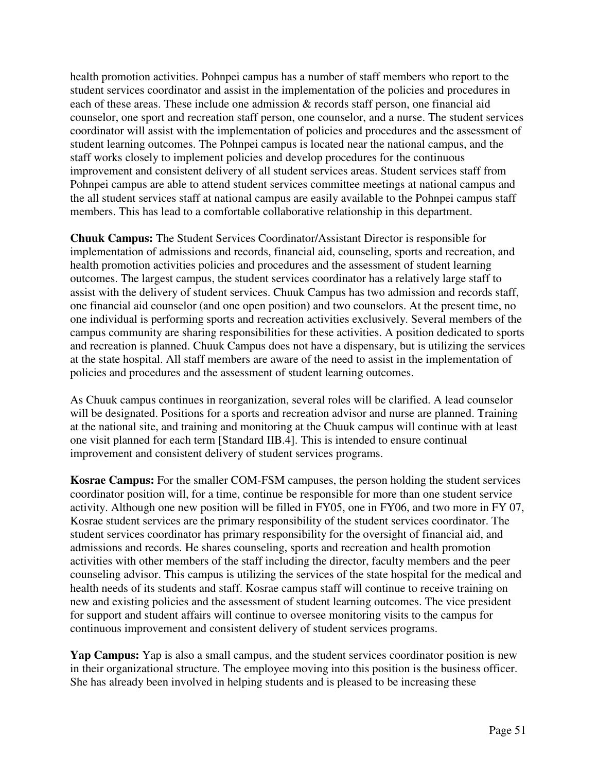health promotion activities. Pohnpei campus has a number of staff members who report to the student services coordinator and assist in the implementation of the policies and procedures in each of these areas. These include one admission & records staff person, one financial aid counselor, one sport and recreation staff person, one counselor, and a nurse. The student services coordinator will assist with the implementation of policies and procedures and the assessment of student learning outcomes. The Pohnpei campus is located near the national campus, and the staff works closely to implement policies and develop procedures for the continuous improvement and consistent delivery of all student services areas. Student services staff from Pohnpei campus are able to attend student services committee meetings at national campus and the all student services staff at national campus are easily available to the Pohnpei campus staff members. This has lead to a comfortable collaborative relationship in this department.

**Chuuk Campus:** The Student Services Coordinator/Assistant Director is responsible for implementation of admissions and records, financial aid, counseling, sports and recreation, and health promotion activities policies and procedures and the assessment of student learning outcomes. The largest campus, the student services coordinator has a relatively large staff to assist with the delivery of student services. Chuuk Campus has two admission and records staff, one financial aid counselor (and one open position) and two counselors. At the present time, no one individual is performing sports and recreation activities exclusively. Several members of the campus community are sharing responsibilities for these activities. A position dedicated to sports and recreation is planned. Chuuk Campus does not have a dispensary, but is utilizing the services at the state hospital. All staff members are aware of the need to assist in the implementation of policies and procedures and the assessment of student learning outcomes.

As Chuuk campus continues in reorganization, several roles will be clarified. A lead counselor will be designated. Positions for a sports and recreation advisor and nurse are planned. Training at the national site, and training and monitoring at the Chuuk campus will continue with at least one visit planned for each term [Standard IIB.4]. This is intended to ensure continual improvement and consistent delivery of student services programs.

**Kosrae Campus:** For the smaller COM-FSM campuses, the person holding the student services coordinator position will, for a time, continue be responsible for more than one student service activity. Although one new position will be filled in FY05, one in FY06, and two more in FY 07, Kosrae student services are the primary responsibility of the student services coordinator. The student services coordinator has primary responsibility for the oversight of financial aid, and admissions and records. He shares counseling, sports and recreation and health promotion activities with other members of the staff including the director, faculty members and the peer counseling advisor. This campus is utilizing the services of the state hospital for the medical and health needs of its students and staff. Kosrae campus staff will continue to receive training on new and existing policies and the assessment of student learning outcomes. The vice president for support and student affairs will continue to oversee monitoring visits to the campus for continuous improvement and consistent delivery of student services programs.

**Yap Campus:** Yap is also a small campus, and the student services coordinator position is new in their organizational structure. The employee moving into this position is the business officer. She has already been involved in helping students and is pleased to be increasing these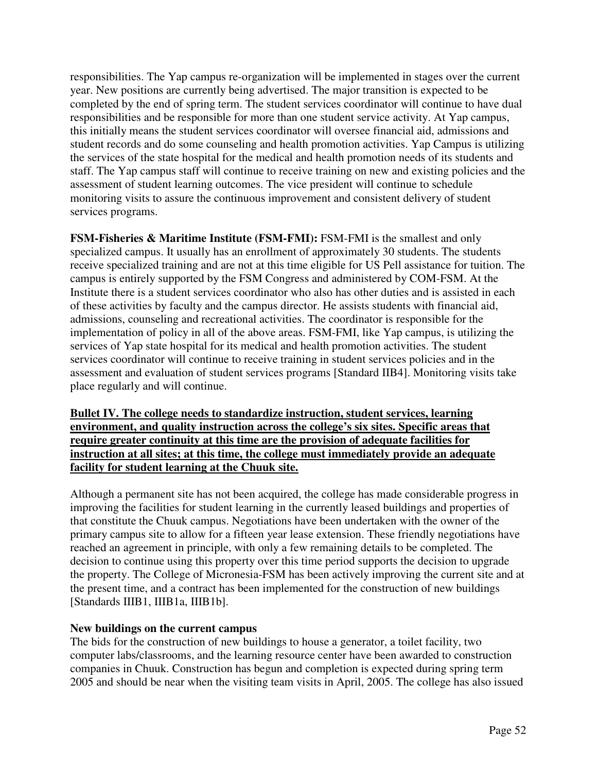responsibilities. The Yap campus re-organization will be implemented in stages over the current year. New positions are currently being advertised. The major transition is expected to be completed by the end of spring term. The student services coordinator will continue to have dual responsibilities and be responsible for more than one student service activity. At Yap campus, this initially means the student services coordinator will oversee financial aid, admissions and student records and do some counseling and health promotion activities. Yap Campus is utilizing the services of the state hospital for the medical and health promotion needs of its students and staff. The Yap campus staff will continue to receive training on new and existing policies and the assessment of student learning outcomes. The vice president will continue to schedule monitoring visits to assure the continuous improvement and consistent delivery of student services programs.

**FSM-Fisheries & Maritime Institute (FSM-FMI): FSM-FMI is the smallest and only** specialized campus. It usually has an enrollment of approximately 30 students. The students receive specialized training and are not at this time eligible for US Pell assistance for tuition. The campus is entirely supported by the FSM Congress and administered by COM-FSM. At the Institute there is a student services coordinator who also has other duties and is assisted in each of these activities by faculty and the campus director. He assists students with financial aid, admissions, counseling and recreational activities. The coordinator is responsible for the implementation of policy in all of the above areas. FSM-FMI, like Yap campus, is utilizing the services of Yap state hospital for its medical and health promotion activities. The student services coordinator will continue to receive training in student services policies and in the assessment and evaluation of student services programs [Standard IIB4]. Monitoring visits take place regularly and will continue.

### **Bullet IV. The college needs to standardize instruction, student services, learning environment, and quality instruction across the college's six sites. Specific areas that require greater continuity at this time are the provision of adequate facilities for instruction at all sites; at this time, the college must immediately provide an adequate facility for student learning at the Chuuk site.**

Although a permanent site has not been acquired, the college has made considerable progress in improving the facilities for student learning in the currently leased buildings and properties of that constitute the Chuuk campus. Negotiations have been undertaken with the owner of the primary campus site to allow for a fifteen year lease extension. These friendly negotiations have reached an agreement in principle, with only a few remaining details to be completed. The decision to continue using this property over this time period supports the decision to upgrade the property. The College of Micronesia-FSM has been actively improving the current site and at the present time, and a contract has been implemented for the construction of new buildings [Standards IIIB1, IIIB1a, IIIB1b].

## **New buildings on the current campus**

The bids for the construction of new buildings to house a generator, a toilet facility, two computer labs/classrooms, and the learning resource center have been awarded to construction companies in Chuuk. Construction has begun and completion is expected during spring term 2005 and should be near when the visiting team visits in April, 2005. The college has also issued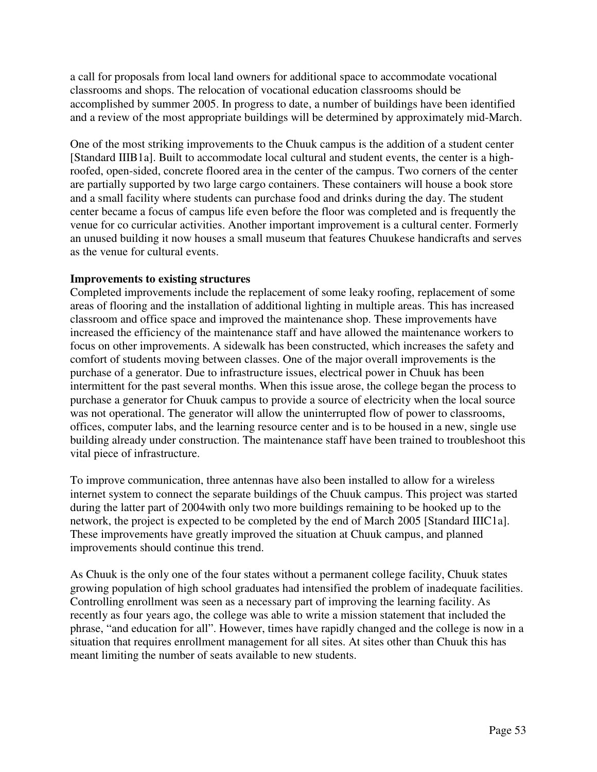a call for proposals from local land owners for additional space to accommodate vocational classrooms and shops. The relocation of vocational education classrooms should be accomplished by summer 2005. In progress to date, a number of buildings have been identified and a review of the most appropriate buildings will be determined by approximately mid-March.

One of the most striking improvements to the Chuuk campus is the addition of a student center [Standard IIIB1a]. Built to accommodate local cultural and student events, the center is a highroofed, open-sided, concrete floored area in the center of the campus. Two corners of the center are partially supported by two large cargo containers. These containers will house a book store and a small facility where students can purchase food and drinks during the day. The student center became a focus of campus life even before the floor was completed and is frequently the venue for co curricular activities. Another important improvement is a cultural center. Formerly an unused building it now houses a small museum that features Chuukese handicrafts and serves as the venue for cultural events.

### **Improvements to existing structures**

Completed improvements include the replacement of some leaky roofing, replacement of some areas of flooring and the installation of additional lighting in multiple areas. This has increased classroom and office space and improved the maintenance shop. These improvements have increased the efficiency of the maintenance staff and have allowed the maintenance workers to focus on other improvements. A sidewalk has been constructed, which increases the safety and comfort of students moving between classes. One of the major overall improvements is the purchase of a generator. Due to infrastructure issues, electrical power in Chuuk has been intermittent for the past several months. When this issue arose, the college began the process to purchase a generator for Chuuk campus to provide a source of electricity when the local source was not operational. The generator will allow the uninterrupted flow of power to classrooms, offices, computer labs, and the learning resource center and is to be housed in a new, single use building already under construction. The maintenance staff have been trained to troubleshoot this vital piece of infrastructure.

To improve communication, three antennas have also been installed to allow for a wireless internet system to connect the separate buildings of the Chuuk campus. This project was started during the latter part of 2004with only two more buildings remaining to be hooked up to the network, the project is expected to be completed by the end of March 2005 [Standard IIIC1a]. These improvements have greatly improved the situation at Chuuk campus, and planned improvements should continue this trend.

As Chuuk is the only one of the four states without a permanent college facility, Chuuk states growing population of high school graduates had intensified the problem of inadequate facilities. Controlling enrollment was seen as a necessary part of improving the learning facility. As recently as four years ago, the college was able to write a mission statement that included the phrase, "and education for all". However, times have rapidly changed and the college is now in a situation that requires enrollment management for all sites. At sites other than Chuuk this has meant limiting the number of seats available to new students.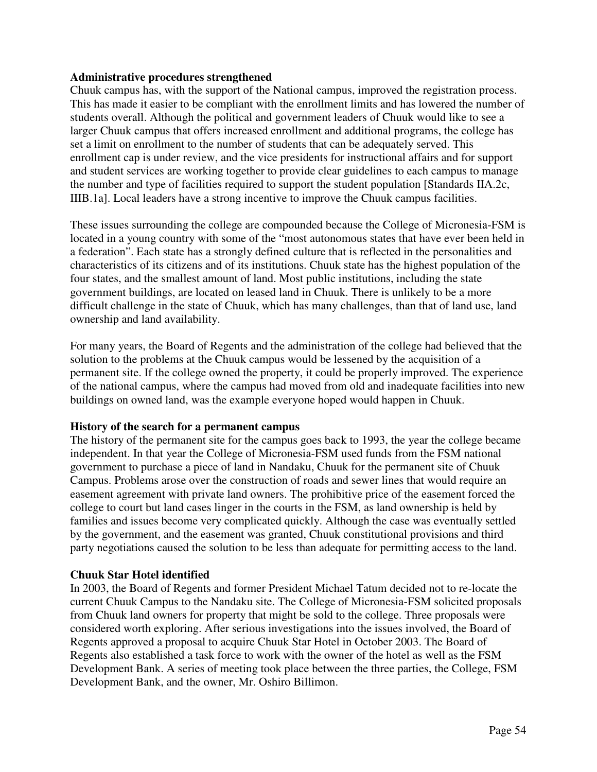#### **Administrative procedures strengthened**

Chuuk campus has, with the support of the National campus, improved the registration process. This has made it easier to be compliant with the enrollment limits and has lowered the number of students overall. Although the political and government leaders of Chuuk would like to see a larger Chuuk campus that offers increased enrollment and additional programs, the college has set a limit on enrollment to the number of students that can be adequately served. This enrollment cap is under review, and the vice presidents for instructional affairs and for support and student services are working together to provide clear guidelines to each campus to manage the number and type of facilities required to support the student population [Standards IIA.2c, IIIB.1a]. Local leaders have a strong incentive to improve the Chuuk campus facilities.

These issues surrounding the college are compounded because the College of Micronesia-FSM is located in a young country with some of the "most autonomous states that have ever been held in a federation". Each state has a strongly defined culture that is reflected in the personalities and characteristics of its citizens and of its institutions. Chuuk state has the highest population of the four states, and the smallest amount of land. Most public institutions, including the state government buildings, are located on leased land in Chuuk. There is unlikely to be a more difficult challenge in the state of Chuuk, which has many challenges, than that of land use, land ownership and land availability.

For many years, the Board of Regents and the administration of the college had believed that the solution to the problems at the Chuuk campus would be lessened by the acquisition of a permanent site. If the college owned the property, it could be properly improved. The experience of the national campus, where the campus had moved from old and inadequate facilities into new buildings on owned land, was the example everyone hoped would happen in Chuuk.

### **History of the search for a permanent campus**

The history of the permanent site for the campus goes back to 1993, the year the college became independent. In that year the College of Micronesia-FSM used funds from the FSM national government to purchase a piece of land in Nandaku, Chuuk for the permanent site of Chuuk Campus. Problems arose over the construction of roads and sewer lines that would require an easement agreement with private land owners. The prohibitive price of the easement forced the college to court but land cases linger in the courts in the FSM, as land ownership is held by families and issues become very complicated quickly. Although the case was eventually settled by the government, and the easement was granted, Chuuk constitutional provisions and third party negotiations caused the solution to be less than adequate for permitting access to the land.

### **Chuuk Star Hotel identified**

In 2003, the Board of Regents and former President Michael Tatum decided not to re-locate the current Chuuk Campus to the Nandaku site. The College of Micronesia-FSM solicited proposals from Chuuk land owners for property that might be sold to the college. Three proposals were considered worth exploring. After serious investigations into the issues involved, the Board of Regents approved a proposal to acquire Chuuk Star Hotel in October 2003. The Board of Regents also established a task force to work with the owner of the hotel as well as the FSM Development Bank. A series of meeting took place between the three parties, the College, FSM Development Bank, and the owner, Mr. Oshiro Billimon.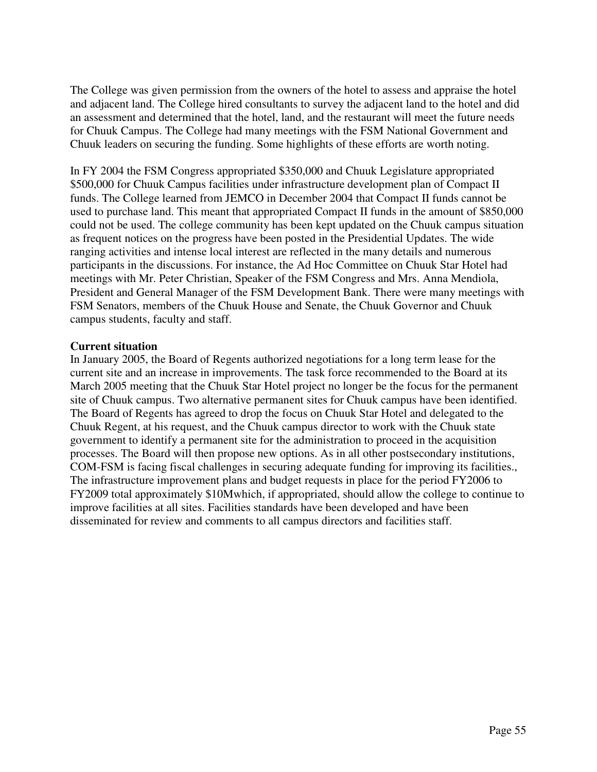The College was given permission from the owners of the hotel to assess and appraise the hotel and adjacent land. The College hired consultants to survey the adjacent land to the hotel and did an assessment and determined that the hotel, land, and the restaurant will meet the future needs for Chuuk Campus. The College had many meetings with the FSM National Government and Chuuk leaders on securing the funding. Some highlights of these efforts are worth noting.

In FY 2004 the FSM Congress appropriated \$350,000 and Chuuk Legislature appropriated \$500,000 for Chuuk Campus facilities under infrastructure development plan of Compact II funds. The College learned from JEMCO in December 2004 that Compact II funds cannot be used to purchase land. This meant that appropriated Compact II funds in the amount of \$850,000 could not be used. The college community has been kept updated on the Chuuk campus situation as frequent notices on the progress have been posted in the Presidential Updates. The wide ranging activities and intense local interest are reflected in the many details and numerous participants in the discussions. For instance, the Ad Hoc Committee on Chuuk Star Hotel had meetings with Mr. Peter Christian, Speaker of the FSM Congress and Mrs. Anna Mendiola, President and General Manager of the FSM Development Bank. There were many meetings with FSM Senators, members of the Chuuk House and Senate, the Chuuk Governor and Chuuk campus students, faculty and staff.

#### **Current situation**

In January 2005, the Board of Regents authorized negotiations for a long term lease for the current site and an increase in improvements. The task force recommended to the Board at its March 2005 meeting that the Chuuk Star Hotel project no longer be the focus for the permanent site of Chuuk campus. Two alternative permanent sites for Chuuk campus have been identified. The Board of Regents has agreed to drop the focus on Chuuk Star Hotel and delegated to the Chuuk Regent, at his request, and the Chuuk campus director to work with the Chuuk state government to identify a permanent site for the administration to proceed in the acquisition processes. The Board will then propose new options. As in all other postsecondary institutions, COM-FSM is facing fiscal challenges in securing adequate funding for improving its facilities., The infrastructure improvement plans and budget requests in place for the period FY2006 to FY2009 total approximately \$10Mwhich, if appropriated, should allow the college to continue to improve facilities at all sites. Facilities standards have been developed and have been disseminated for review and comments to all campus directors and facilities staff.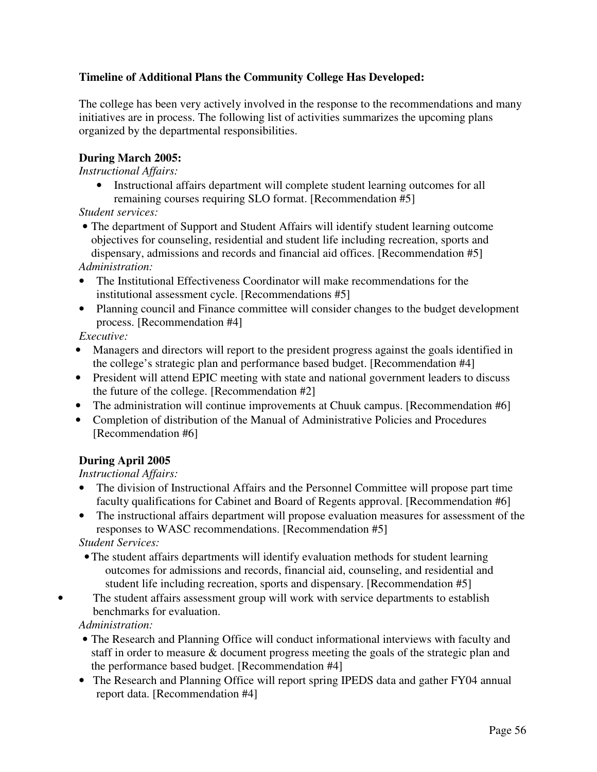## **Timeline of Additional Plans the Community College Has Developed:**

The college has been very actively involved in the response to the recommendations and many initiatives are in process. The following list of activities summarizes the upcoming plans organized by the departmental responsibilities.

## **During March 2005:**

*Instructional Affairs:* 

• Instructional affairs department will complete student learning outcomes for all remaining courses requiring SLO format. [Recommendation #5]

*Student services:* 

• The department of Support and Student Affairs will identify student learning outcome objectives for counseling, residential and student life including recreation, sports and dispensary, admissions and records and financial aid offices. [Recommendation #5]

*Administration:* 

- The Institutional Effectiveness Coordinator will make recommendations for the institutional assessment cycle. [Recommendations #5]
- Planning council and Finance committee will consider changes to the budget development process. [Recommendation #4]

*Executive:* 

- Managers and directors will report to the president progress against the goals identified in the college's strategic plan and performance based budget. [Recommendation #4]
- President will attend EPIC meeting with state and national government leaders to discuss the future of the college. [Recommendation #2]
- The administration will continue improvements at Chuuk campus. [Recommendation #6]
- Completion of distribution of the Manual of Administrative Policies and Procedures [Recommendation #6]

# **During April 2005**

*Instructional Affairs:* 

• The division of Instructional Affairs and the Personnel Committee will propose part time faculty qualifications for Cabinet and Board of Regents approval. [Recommendation #6]

• The instructional affairs department will propose evaluation measures for assessment of the responses to WASC recommendations. [Recommendation #5]

*Student Services:* 

- •The student affairs departments will identify evaluation methods for student learning outcomes for admissions and records, financial aid, counseling, and residential and student life including recreation, sports and dispensary. [Recommendation #5]
- The student affairs assessment group will work with service departments to establish benchmarks for evaluation.

*Administration:* 

- The Research and Planning Office will conduct informational interviews with faculty and staff in order to measure & document progress meeting the goals of the strategic plan and the performance based budget. [Recommendation #4]
- The Research and Planning Office will report spring IPEDS data and gather FY04 annual report data. [Recommendation #4]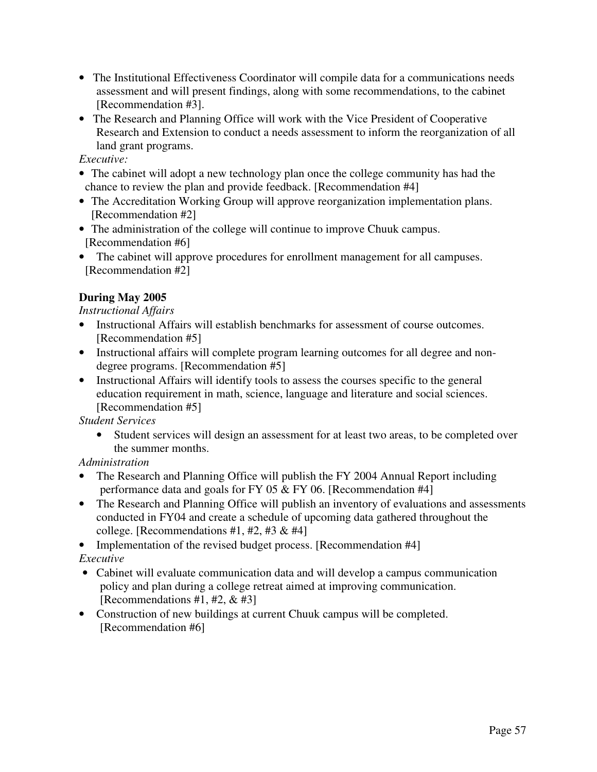- The Institutional Effectiveness Coordinator will compile data for a communications needs assessment and will present findings, along with some recommendations, to the cabinet [Recommendation #3].
- The Research and Planning Office will work with the Vice President of Cooperative Research and Extension to conduct a needs assessment to inform the reorganization of all land grant programs.

*Executive:* 

- The cabinet will adopt a new technology plan once the college community has had the chance to review the plan and provide feedback. [Recommendation #4]
- The Accreditation Working Group will approve reorganization implementation plans. [Recommendation #2]
- The administration of the college will continue to improve Chuuk campus. [Recommendation #6]
- The cabinet will approve procedures for enrollment management for all campuses. [Recommendation #2]

## **During May 2005**

### *Instructional Affairs*

- Instructional Affairs will establish benchmarks for assessment of course outcomes. [Recommendation #5]
- Instructional affairs will complete program learning outcomes for all degree and nondegree programs. [Recommendation #5]
- Instructional Affairs will identify tools to assess the courses specific to the general education requirement in math, science, language and literature and social sciences. [Recommendation #5]

*Student Services* 

• Student services will design an assessment for at least two areas, to be completed over the summer months.

*Administration* 

- The Research and Planning Office will publish the FY 2004 Annual Report including performance data and goals for FY 05 & FY 06. [Recommendation #4]
- The Research and Planning Office will publish an inventory of evaluations and assessments conducted in FY04 and create a schedule of upcoming data gathered throughout the college. [Recommendations  $#1, #2, #3 & 44$ ]

• Implementation of the revised budget process. [Recommendation #4] *Executive* 

- Cabinet will evaluate communication data and will develop a campus communication policy and plan during a college retreat aimed at improving communication. [Recommendations #1, #2, & #3]
- Construction of new buildings at current Chuuk campus will be completed. [Recommendation #6]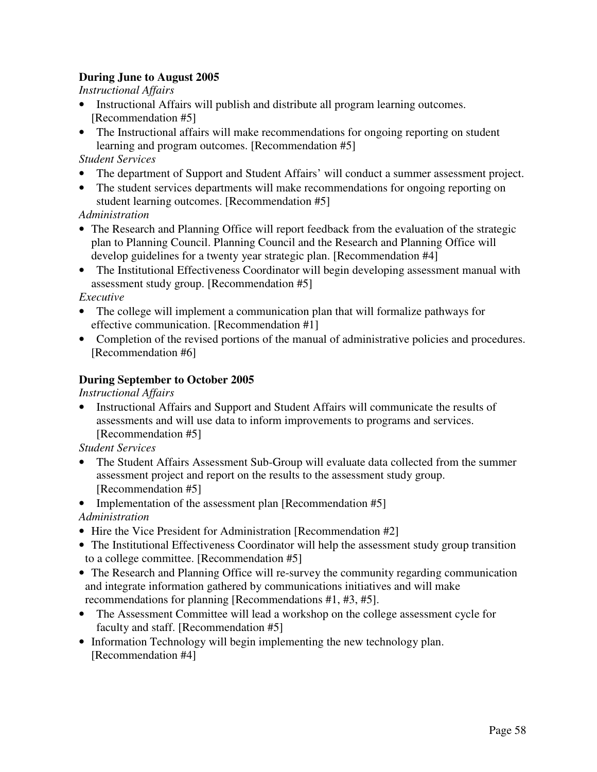## **During June to August 2005**

*Instructional Affairs* 

- Instructional Affairs will publish and distribute all program learning outcomes. [Recommendation #5]
- The Instructional affairs will make recommendations for ongoing reporting on student learning and program outcomes. [Recommendation #5]

## *Student Services*

- The department of Support and Student Affairs' will conduct a summer assessment project.
- The student services departments will make recommendations for ongoing reporting on student learning outcomes. [Recommendation #5]

*Administration* 

- The Research and Planning Office will report feedback from the evaluation of the strategic plan to Planning Council. Planning Council and the Research and Planning Office will develop guidelines for a twenty year strategic plan. [Recommendation #4]
- The Institutional Effectiveness Coordinator will begin developing assessment manual with assessment study group. [Recommendation #5]

## *Executive*

- The college will implement a communication plan that will formalize pathways for effective communication. [Recommendation #1]
- Completion of the revised portions of the manual of administrative policies and procedures. [Recommendation #6]

## **During September to October 2005**

*Instructional Affairs* 

• Instructional Affairs and Support and Student Affairs will communicate the results of assessments and will use data to inform improvements to programs and services. [Recommendation #5]

*Student Services* 

- The Student Affairs Assessment Sub-Group will evaluate data collected from the summer assessment project and report on the results to the assessment study group. [Recommendation #5]
- Implementation of the assessment plan [Recommendation #5]

*Administration* 

- Hire the Vice President for Administration [Recommendation #2]
- The Institutional Effectiveness Coordinator will help the assessment study group transition to a college committee. [Recommendation #5]
- The Research and Planning Office will re-survey the community regarding communication and integrate information gathered by communications initiatives and will make recommendations for planning [Recommendations #1, #3, #5].
- The Assessment Committee will lead a workshop on the college assessment cycle for faculty and staff. [Recommendation #5]
- Information Technology will begin implementing the new technology plan. [Recommendation #4]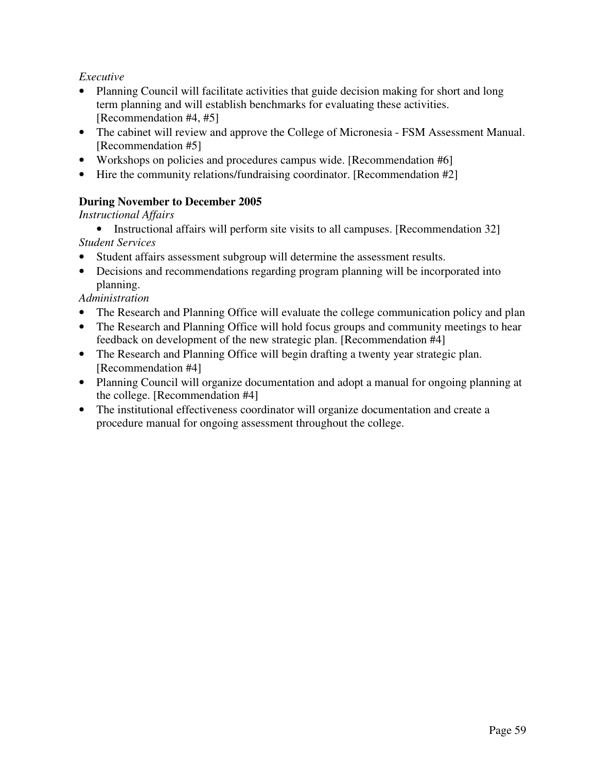*Executive* 

- Planning Council will facilitate activities that guide decision making for short and long term planning and will establish benchmarks for evaluating these activities. [Recommendation #4, #5]
- The cabinet will review and approve the College of Micronesia FSM Assessment Manual. [Recommendation #5]
- Workshops on policies and procedures campus wide. [Recommendation #6]
- Hire the community relations/fundraising coordinator. [Recommendation #2]

# **During November to December 2005**

*Instructional Affairs* 

- Instructional affairs will perform site visits to all campuses. [Recommendation 32] *Student Services*
- Student affairs assessment subgroup will determine the assessment results.
- Decisions and recommendations regarding program planning will be incorporated into planning.

*Administration* 

- The Research and Planning Office will evaluate the college communication policy and plan
- The Research and Planning Office will hold focus groups and community meetings to hear feedback on development of the new strategic plan. [Recommendation #4]
- The Research and Planning Office will begin drafting a twenty year strategic plan. [Recommendation #4]
- Planning Council will organize documentation and adopt a manual for ongoing planning at the college. [Recommendation #4]
- The institutional effectiveness coordinator will organize documentation and create a procedure manual for ongoing assessment throughout the college.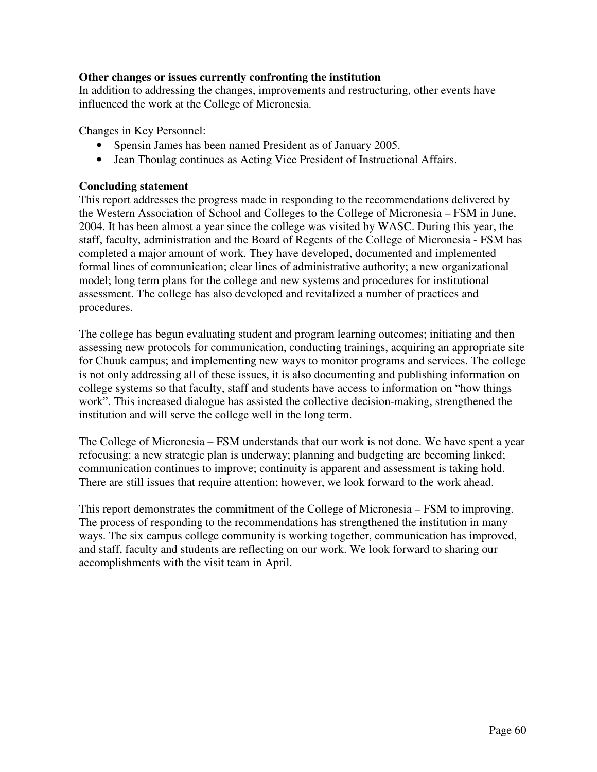### **Other changes or issues currently confronting the institution**

In addition to addressing the changes, improvements and restructuring, other events have influenced the work at the College of Micronesia.

Changes in Key Personnel:

- Spensin James has been named President as of January 2005.
- Jean Thoulag continues as Acting Vice President of Instructional Affairs.

### **Concluding statement**

This report addresses the progress made in responding to the recommendations delivered by the Western Association of School and Colleges to the College of Micronesia – FSM in June, 2004. It has been almost a year since the college was visited by WASC. During this year, the staff, faculty, administration and the Board of Regents of the College of Micronesia - FSM has completed a major amount of work. They have developed, documented and implemented formal lines of communication; clear lines of administrative authority; a new organizational model; long term plans for the college and new systems and procedures for institutional assessment. The college has also developed and revitalized a number of practices and procedures.

The college has begun evaluating student and program learning outcomes; initiating and then assessing new protocols for communication, conducting trainings, acquiring an appropriate site for Chuuk campus; and implementing new ways to monitor programs and services. The college is not only addressing all of these issues, it is also documenting and publishing information on college systems so that faculty, staff and students have access to information on "how things work". This increased dialogue has assisted the collective decision-making, strengthened the institution and will serve the college well in the long term.

The College of Micronesia – FSM understands that our work is not done. We have spent a year refocusing: a new strategic plan is underway; planning and budgeting are becoming linked; communication continues to improve; continuity is apparent and assessment is taking hold. There are still issues that require attention; however, we look forward to the work ahead.

This report demonstrates the commitment of the College of Micronesia – FSM to improving. The process of responding to the recommendations has strengthened the institution in many ways. The six campus college community is working together, communication has improved, and staff, faculty and students are reflecting on our work. We look forward to sharing our accomplishments with the visit team in April.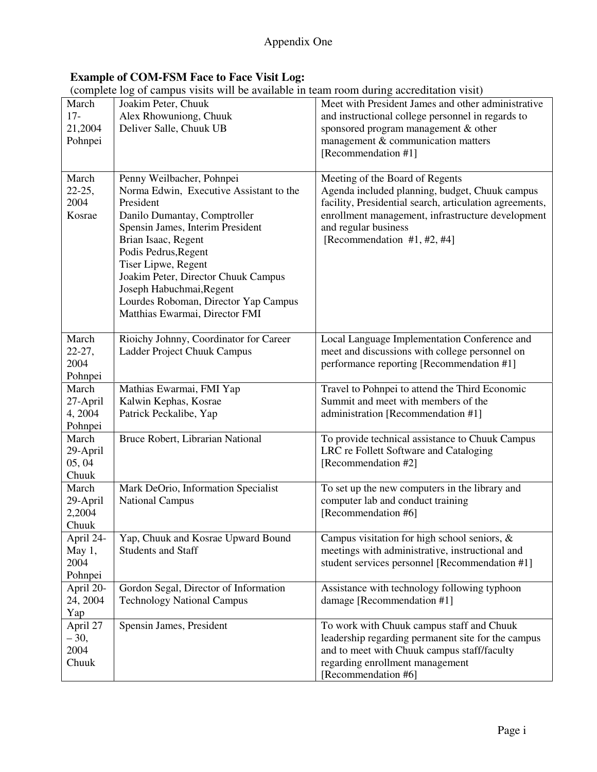### **Example of COM-FSM Face to Face Visit Log:**

(complete log of campus visits will be available in team room during accreditation visit)

|             | (complete log of campus visits will be available in team fooin during accreditation visit) |                                                         |
|-------------|--------------------------------------------------------------------------------------------|---------------------------------------------------------|
| March       | Joakim Peter, Chuuk                                                                        | Meet with President James and other administrative      |
| $17-$       | Alex Rhowuniong, Chuuk                                                                     | and instructional college personnel in regards to       |
| 21,2004     | Deliver Salle, Chuuk UB                                                                    | sponsored program management & other                    |
| Pohnpei     |                                                                                            | management & communication matters                      |
|             |                                                                                            | [Recommendation #1]                                     |
|             |                                                                                            |                                                         |
| March       | Penny Weilbacher, Pohnpei                                                                  | Meeting of the Board of Regents                         |
| $22 - 25$ , | Norma Edwin, Executive Assistant to the                                                    | Agenda included planning, budget, Chuuk campus          |
| 2004        | President                                                                                  | facility, Presidential search, articulation agreements, |
| Kosrae      | Danilo Dumantay, Comptroller                                                               | enrollment management, infrastructure development       |
|             | Spensin James, Interim President                                                           | and regular business                                    |
|             |                                                                                            |                                                         |
|             | Brian Isaac, Regent                                                                        | [Recommendation #1, #2, #4]                             |
|             | Podis Pedrus, Regent                                                                       |                                                         |
|             | Tiser Lipwe, Regent                                                                        |                                                         |
|             | Joakim Peter, Director Chuuk Campus                                                        |                                                         |
|             | Joseph Habuchmai, Regent                                                                   |                                                         |
|             | Lourdes Roboman, Director Yap Campus                                                       |                                                         |
|             | Matthias Ewarmai, Director FMI                                                             |                                                         |
|             |                                                                                            |                                                         |
| March       | Rioichy Johnny, Coordinator for Career                                                     | Local Language Implementation Conference and            |
| $22 - 27$ , | Ladder Project Chuuk Campus                                                                | meet and discussions with college personnel on          |
| 2004        |                                                                                            | performance reporting [Recommendation #1]               |
| Pohnpei     |                                                                                            |                                                         |
| March       | Mathias Ewarmai, FMI Yap                                                                   | Travel to Pohnpei to attend the Third Economic          |
| 27-April    | Kalwin Kephas, Kosrae                                                                      | Summit and meet with members of the                     |
| 4,2004      | Patrick Peckalibe, Yap                                                                     | administration [Recommendation #1]                      |
| Pohnpei     |                                                                                            |                                                         |
| March       | Bruce Robert, Librarian National                                                           | To provide technical assistance to Chuuk Campus         |
| 29-April    |                                                                                            | LRC re Follett Software and Cataloging                  |
| 05, 04      |                                                                                            | [Recommendation #2]                                     |
| Chuuk       |                                                                                            |                                                         |
| March       | Mark DeOrio, Information Specialist                                                        | To set up the new computers in the library and          |
| 29-April    | <b>National Campus</b>                                                                     | computer lab and conduct training                       |
| 2,2004      |                                                                                            | [Recommendation #6]                                     |
| Chuuk       |                                                                                            |                                                         |
| April 24-   | Yap, Chuuk and Kosrae Upward Bound                                                         | Campus visitation for high school seniors, $\&$         |
| May $1,$    | <b>Students and Staff</b>                                                                  | meetings with administrative, instructional and         |
| 2004        |                                                                                            | student services personnel [Recommendation #1]          |
| Pohnpei     |                                                                                            |                                                         |
| April 20-   | Gordon Segal, Director of Information                                                      | Assistance with technology following typhoon            |
|             |                                                                                            |                                                         |
| 24, 2004    | <b>Technology National Campus</b>                                                          | damage [Recommendation #1]                              |
| Yap         |                                                                                            |                                                         |
| April 27    | Spensin James, President                                                                   | To work with Chuuk campus staff and Chuuk               |
| $-30,$      |                                                                                            | leadership regarding permanent site for the campus      |
| 2004        |                                                                                            | and to meet with Chuuk campus staff/faculty             |
| Chuuk       |                                                                                            | regarding enrollment management                         |
|             |                                                                                            | [Recommendation #6]                                     |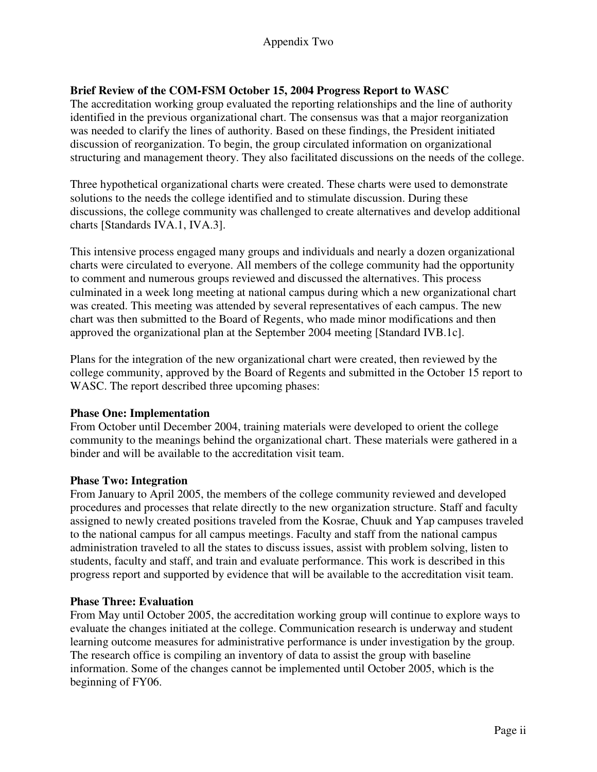## **Brief Review of the COM-FSM October 15, 2004 Progress Report to WASC**

The accreditation working group evaluated the reporting relationships and the line of authority identified in the previous organizational chart. The consensus was that a major reorganization was needed to clarify the lines of authority. Based on these findings, the President initiated discussion of reorganization. To begin, the group circulated information on organizational structuring and management theory. They also facilitated discussions on the needs of the college.

Three hypothetical organizational charts were created. These charts were used to demonstrate solutions to the needs the college identified and to stimulate discussion. During these discussions, the college community was challenged to create alternatives and develop additional charts [Standards IVA.1, IVA.3].

This intensive process engaged many groups and individuals and nearly a dozen organizational charts were circulated to everyone. All members of the college community had the opportunity to comment and numerous groups reviewed and discussed the alternatives. This process culminated in a week long meeting at national campus during which a new organizational chart was created. This meeting was attended by several representatives of each campus. The new chart was then submitted to the Board of Regents, who made minor modifications and then approved the organizational plan at the September 2004 meeting [Standard IVB.1c].

Plans for the integration of the new organizational chart were created, then reviewed by the college community, approved by the Board of Regents and submitted in the October 15 report to WASC. The report described three upcoming phases:

## **Phase One: Implementation**

From October until December 2004, training materials were developed to orient the college community to the meanings behind the organizational chart. These materials were gathered in a binder and will be available to the accreditation visit team.

### **Phase Two: Integration**

From January to April 2005, the members of the college community reviewed and developed procedures and processes that relate directly to the new organization structure. Staff and faculty assigned to newly created positions traveled from the Kosrae, Chuuk and Yap campuses traveled to the national campus for all campus meetings. Faculty and staff from the national campus administration traveled to all the states to discuss issues, assist with problem solving, listen to students, faculty and staff, and train and evaluate performance. This work is described in this progress report and supported by evidence that will be available to the accreditation visit team.

### **Phase Three: Evaluation**

From May until October 2005, the accreditation working group will continue to explore ways to evaluate the changes initiated at the college. Communication research is underway and student learning outcome measures for administrative performance is under investigation by the group. The research office is compiling an inventory of data to assist the group with baseline information. Some of the changes cannot be implemented until October 2005, which is the beginning of FY06.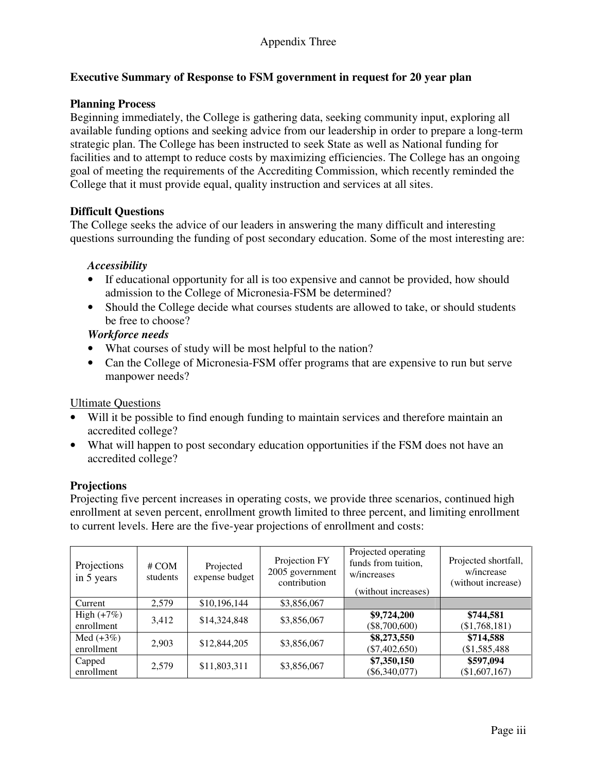## **Executive Summary of Response to FSM government in request for 20 year plan**

## **Planning Process**

Beginning immediately, the College is gathering data, seeking community input, exploring all available funding options and seeking advice from our leadership in order to prepare a long-term strategic plan. The College has been instructed to seek State as well as National funding for facilities and to attempt to reduce costs by maximizing efficiencies. The College has an ongoing goal of meeting the requirements of the Accrediting Commission, which recently reminded the College that it must provide equal, quality instruction and services at all sites.

### **Difficult Questions**

The College seeks the advice of our leaders in answering the many difficult and interesting questions surrounding the funding of post secondary education. Some of the most interesting are:

### *Accessibility*

- If educational opportunity for all is too expensive and cannot be provided, how should admission to the College of Micronesia-FSM be determined?
- Should the College decide what courses students are allowed to take, or should students be free to choose?

### *Workforce needs*

- What courses of study will be most helpful to the nation?
- Can the College of Micronesia-FSM offer programs that are expensive to run but serve manpower needs?

### Ultimate Questions

- Will it be possible to find enough funding to maintain services and therefore maintain an accredited college?
- What will happen to post secondary education opportunities if the FSM does not have an accredited college?

### **Projections**

Projecting five percent increases in operating costs, we provide three scenarios, continued high enrollment at seven percent, enrollment growth limited to three percent, and limiting enrollment to current levels. Here are the five-year projections of enrollment and costs:

| Projections<br>in 5 years  | # COM<br>students | Projected<br>expense budget | Projection FY<br>2005 government<br>contribution | Projected operating<br>funds from tuition,<br>w/increases<br>(without increases) | Projected shortfall,<br>w/increase<br>(without increase) |
|----------------------------|-------------------|-----------------------------|--------------------------------------------------|----------------------------------------------------------------------------------|----------------------------------------------------------|
| Current                    | 2,579             | \$10,196,144                | \$3,856,067                                      |                                                                                  |                                                          |
| High $(+7%)$<br>enrollment | 3.412             | \$14,324,848                | \$3,856,067                                      | \$9,724,200<br>$(\$8,700,600)$                                                   | \$744,581<br>(\$1,768,181)                               |
| Med $(+3%)$<br>enrollment  | 2,903             | \$12,844,205                | \$3,856,067                                      | \$8,273,550<br>$(\$7,402,650)$                                                   | \$714,588<br>$(\$1,585,488$                              |
| Capped<br>enrollment       | 2,579             | \$11,803,311                | \$3,856,067                                      | \$7,350,150<br>$(\$6,340,077)$                                                   | \$597,094<br>(\$1,607,167)                               |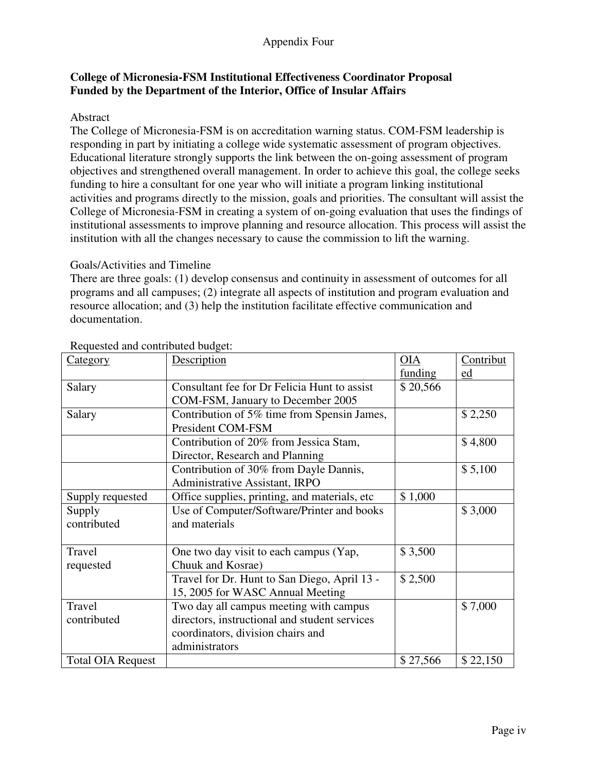## Appendix Four

## **College of Micronesia-FSM Institutional Effectiveness Coordinator Proposal Funded by the Department of the Interior, Office of Insular Affairs**

### Abstract

The College of Micronesia-FSM is on accreditation warning status. COM-FSM leadership is responding in part by initiating a college wide systematic assessment of program objectives. Educational literature strongly supports the link between the on-going assessment of program objectives and strengthened overall management. In order to achieve this goal, the college seeks funding to hire a consultant for one year who will initiate a program linking institutional activities and programs directly to the mission, goals and priorities. The consultant will assist the College of Micronesia-FSM in creating a system of on-going evaluation that uses the findings of institutional assessments to improve planning and resource allocation. This process will assist the institution with all the changes necessary to cause the commission to lift the warning.

#### Goals/Activities and Timeline

There are three goals: (1) develop consensus and continuity in assessment of outcomes for all programs and all campuses; (2) integrate all aspects of institution and program evaluation and resource allocation; and (3) help the institution facilitate effective communication and documentation.

| <b>Category</b>          | Description                                   | OIA      | Contribut |
|--------------------------|-----------------------------------------------|----------|-----------|
|                          |                                               | funding  | ed        |
| Salary                   | Consultant fee for Dr Felicia Hunt to assist  | \$20,566 |           |
|                          | COM-FSM, January to December 2005             |          |           |
| Salary                   | Contribution of 5% time from Spensin James,   |          | \$2,250   |
|                          | President COM-FSM                             |          |           |
|                          | Contribution of 20% from Jessica Stam,        |          | \$4,800   |
|                          | Director, Research and Planning               |          |           |
|                          | Contribution of 30% from Dayle Dannis,        |          | \$5,100   |
|                          | Administrative Assistant, IRPO                |          |           |
| Supply requested         | Office supplies, printing, and materials, etc | \$1,000  |           |
| Supply                   | Use of Computer/Software/Printer and books    |          | \$3,000   |
| contributed              | and materials                                 |          |           |
|                          |                                               |          |           |
| Travel                   | One two day visit to each campus (Yap,        | \$3,500  |           |
| requested                | Chuuk and Kosrae)                             |          |           |
|                          | Travel for Dr. Hunt to San Diego, April 13 -  | \$2,500  |           |
|                          | 15, 2005 for WASC Annual Meeting              |          |           |
| Travel                   | Two day all campus meeting with campus        |          | \$7,000   |
| contributed              | directors, instructional and student services |          |           |
|                          | coordinators, division chairs and             |          |           |
|                          | administrators                                |          |           |
| <b>Total OIA Request</b> |                                               | \$27,566 | \$22,150  |

### Requested and contributed budget: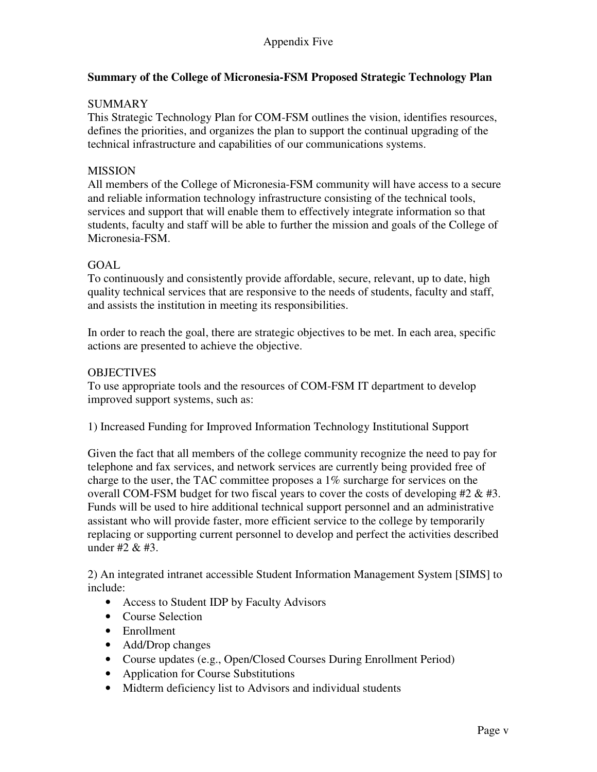## **Summary of the College of Micronesia-FSM Proposed Strategic Technology Plan**

## **SUMMARY**

This Strategic Technology Plan for COM-FSM outlines the vision, identifies resources, defines the priorities, and organizes the plan to support the continual upgrading of the technical infrastructure and capabilities of our communications systems.

### MISSION

All members of the College of Micronesia-FSM community will have access to a secure and reliable information technology infrastructure consisting of the technical tools, services and support that will enable them to effectively integrate information so that students, faculty and staff will be able to further the mission and goals of the College of Micronesia-FSM.

### GOAL

To continuously and consistently provide affordable, secure, relevant, up to date, high quality technical services that are responsive to the needs of students, faculty and staff, and assists the institution in meeting its responsibilities.

In order to reach the goal, there are strategic objectives to be met. In each area, specific actions are presented to achieve the objective.

### **OBJECTIVES**

To use appropriate tools and the resources of COM-FSM IT department to develop improved support systems, such as:

1) Increased Funding for Improved Information Technology Institutional Support

Given the fact that all members of the college community recognize the need to pay for telephone and fax services, and network services are currently being provided free of charge to the user, the TAC committee proposes a 1% surcharge for services on the overall COM-FSM budget for two fiscal years to cover the costs of developing  $#2 \& #3$ . Funds will be used to hire additional technical support personnel and an administrative assistant who will provide faster, more efficient service to the college by temporarily replacing or supporting current personnel to develop and perfect the activities described under #2 & #3.

2) An integrated intranet accessible Student Information Management System [SIMS] to include:

- Access to Student IDP by Faculty Advisors
- Course Selection
- Enrollment
- Add/Drop changes
- Course updates (e.g., Open/Closed Courses During Enrollment Period)
- Application for Course Substitutions
- Midterm deficiency list to Advisors and individual students